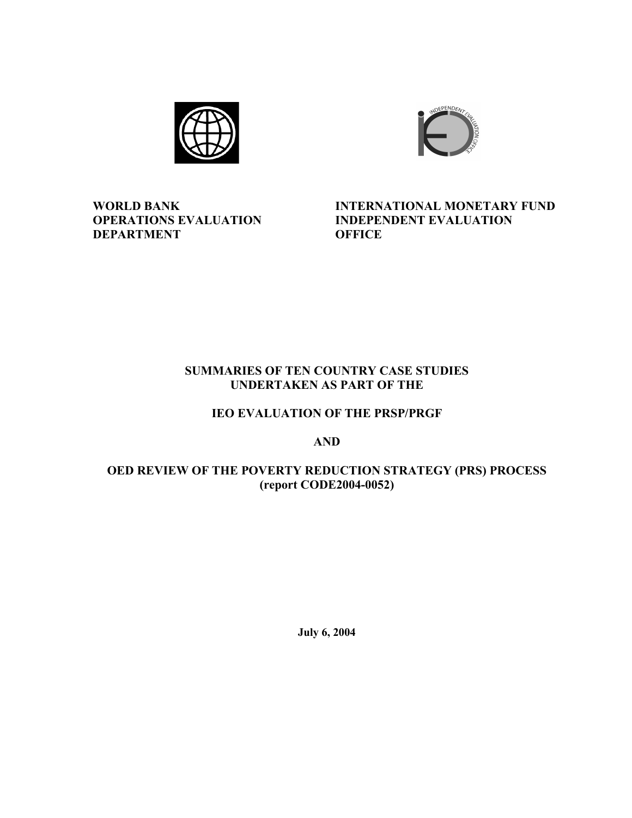



**WORLD BANK OPERATIONS EVALUATION DEPARTMENT** 

**INTERNATIONAL MONETARY FUND INDEPENDENT EVALUATION OFFICE** 

### **SUMMARIES OF TEN COUNTRY CASE STUDIES UNDERTAKEN AS PART OF THE**

## **IEO EVALUATION OF THE PRSP/PRGF**

**AND** 

## **OED REVIEW OF THE POVERTY REDUCTION STRATEGY (PRS) PROCESS (report CODE2004-0052)**

**July 6, 2004**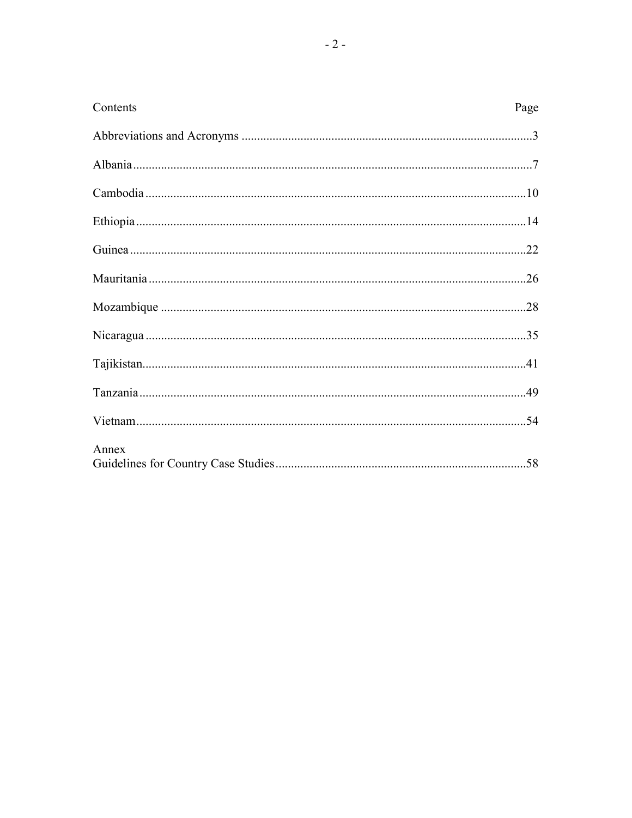| Contents | Page |
|----------|------|
|          |      |
|          |      |
|          |      |
|          |      |
|          |      |
|          |      |
|          |      |
|          |      |
|          |      |
|          |      |
|          |      |
| Annex    |      |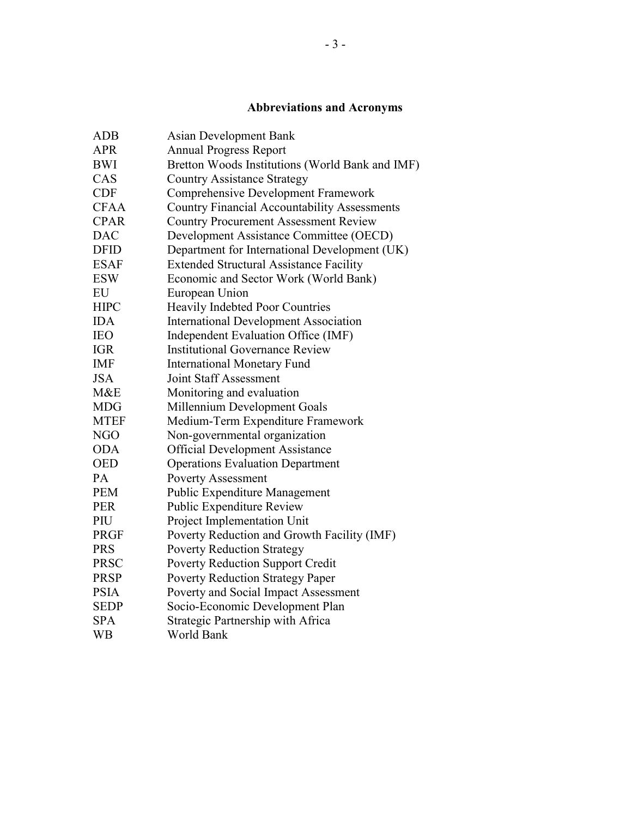# **Abbreviations and Acronyms**

| <b>ADB</b>  | <b>Asian Development Bank</b>                       |
|-------------|-----------------------------------------------------|
| <b>APR</b>  | <b>Annual Progress Report</b>                       |
| <b>BWI</b>  | Bretton Woods Institutions (World Bank and IMF)     |
| CAS         | <b>Country Assistance Strategy</b>                  |
| <b>CDF</b>  | <b>Comprehensive Development Framework</b>          |
| <b>CFAA</b> | <b>Country Financial Accountability Assessments</b> |
| <b>CPAR</b> | <b>Country Procurement Assessment Review</b>        |
| <b>DAC</b>  | Development Assistance Committee (OECD)             |
| <b>DFID</b> | Department for International Development (UK)       |
| <b>ESAF</b> | <b>Extended Structural Assistance Facility</b>      |
| <b>ESW</b>  | Economic and Sector Work (World Bank)               |
| EU          | European Union                                      |
| <b>HIPC</b> | <b>Heavily Indebted Poor Countries</b>              |
| <b>IDA</b>  | <b>International Development Association</b>        |
| <b>IEO</b>  | Independent Evaluation Office (IMF)                 |
| <b>IGR</b>  | <b>Institutional Governance Review</b>              |
| <b>IMF</b>  | <b>International Monetary Fund</b>                  |
| <b>JSA</b>  | <b>Joint Staff Assessment</b>                       |
| M&E         | Monitoring and evaluation                           |
| <b>MDG</b>  | Millennium Development Goals                        |
| <b>MTEF</b> | Medium-Term Expenditure Framework                   |
| <b>NGO</b>  | Non-governmental organization                       |
| <b>ODA</b>  | <b>Official Development Assistance</b>              |
| <b>OED</b>  | <b>Operations Evaluation Department</b>             |
| PA          | <b>Poverty Assessment</b>                           |
| <b>PEM</b>  | <b>Public Expenditure Management</b>                |
| <b>PER</b>  | Public Expenditure Review                           |
| PIU         | Project Implementation Unit                         |
| <b>PRGF</b> | Poverty Reduction and Growth Facility (IMF)         |
| <b>PRS</b>  | <b>Poverty Reduction Strategy</b>                   |
| <b>PRSC</b> | <b>Poverty Reduction Support Credit</b>             |
| <b>PRSP</b> | <b>Poverty Reduction Strategy Paper</b>             |
| <b>PSIA</b> | Poverty and Social Impact Assessment                |
| <b>SEDP</b> | Socio-Economic Development Plan                     |
| <b>SPA</b>  | Strategic Partnership with Africa                   |
| <b>WB</b>   | World Bank                                          |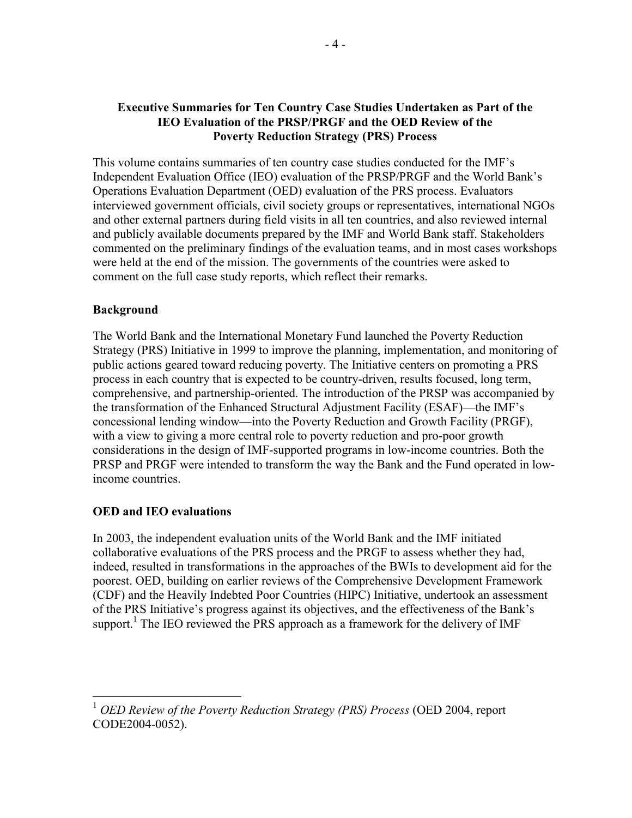### **Executive Summaries for Ten Country Case Studies Undertaken as Part of the IEO Evaluation of the PRSP/PRGF and the OED Review of the Poverty Reduction Strategy (PRS) Process**

This volume contains summaries of ten country case studies conducted for the IMF's Independent Evaluation Office (IEO) evaluation of the PRSP/PRGF and the World Bank's Operations Evaluation Department (OED) evaluation of the PRS process. Evaluators interviewed government officials, civil society groups or representatives, international NGOs and other external partners during field visits in all ten countries, and also reviewed internal and publicly available documents prepared by the IMF and World Bank staff. Stakeholders commented on the preliminary findings of the evaluation teams, and in most cases workshops were held at the end of the mission. The governments of the countries were asked to comment on the full case study reports, which reflect their remarks.

### **Background**

The World Bank and the International Monetary Fund launched the Poverty Reduction Strategy (PRS) Initiative in 1999 to improve the planning, implementation, and monitoring of public actions geared toward reducing poverty. The Initiative centers on promoting a PRS process in each country that is expected to be country-driven, results focused, long term, comprehensive, and partnership-oriented. The introduction of the PRSP was accompanied by the transformation of the Enhanced Structural Adjustment Facility (ESAF)—the IMF's concessional lending window—into the Poverty Reduction and Growth Facility (PRGF), with a view to giving a more central role to poverty reduction and pro-poor growth considerations in the design of IMF-supported programs in low-income countries. Both the PRSP and PRGF were intended to transform the way the Bank and the Fund operated in lowincome countries.

## **OED and IEO evaluations**

 $\overline{a}$ 

In 2003, the independent evaluation units of the World Bank and the IMF initiated collaborative evaluations of the PRS process and the PRGF to assess whether they had, indeed, resulted in transformations in the approaches of the BWIs to development aid for the poorest. OED, building on earlier reviews of the Comprehensive Development Framework (CDF) and the Heavily Indebted Poor Countries (HIPC) Initiative, undertook an assessment of the PRS Initiative's progress against its objectives, and the effectiveness of the Bank's support.<sup>1</sup> The IEO reviewed the PRS approach as a framework for the delivery of IMF

<sup>1</sup> *OED Review of the Poverty Reduction Strategy (PRS) Process* (OED 2004, report CODE2004-0052).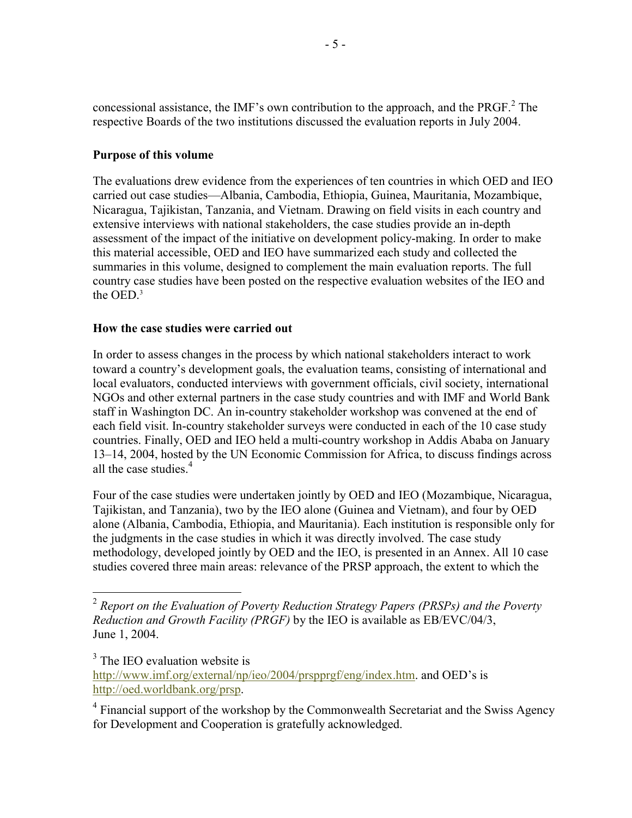concessional assistance, the IMF's own contribution to the approach, and the PRGF. $^{2}$  The respective Boards of the two institutions discussed the evaluation reports in July 2004.

#### **Purpose of this volume**

The evaluations drew evidence from the experiences of ten countries in which OED and IEO carried out case studies—Albania, Cambodia, Ethiopia, Guinea, Mauritania, Mozambique, Nicaragua, Tajikistan, Tanzania, and Vietnam. Drawing on field visits in each country and extensive interviews with national stakeholders, the case studies provide an in-depth assessment of the impact of the initiative on development policy-making. In order to make this material accessible, OED and IEO have summarized each study and collected the summaries in this volume, designed to complement the main evaluation reports. The full country case studies have been posted on the respective evaluation websites of the IEO and the  $OED<sup>3</sup>$ 

#### **How the case studies were carried out**

In order to assess changes in the process by which national stakeholders interact to work toward a country's development goals, the evaluation teams, consisting of international and local evaluators, conducted interviews with government officials, civil society, international NGOs and other external partners in the case study countries and with IMF and World Bank staff in Washington DC. An in-country stakeholder workshop was convened at the end of each field visit. In-country stakeholder surveys were conducted in each of the 10 case study countries. Finally, OED and IEO held a multi-country workshop in Addis Ababa on January 13–14, 2004, hosted by the UN Economic Commission for Africa, to discuss findings across all the case studies. $4$ 

Four of the case studies were undertaken jointly by OED and IEO (Mozambique, Nicaragua, Tajikistan, and Tanzania), two by the IEO alone (Guinea and Vietnam), and four by OED alone (Albania, Cambodia, Ethiopia, and Mauritania). Each institution is responsible only for the judgments in the case studies in which it was directly involved. The case study methodology, developed jointly by OED and the IEO, is presented in an Annex. All 10 case studies covered three main areas: relevance of the PRSP approach, the extent to which the

 $\overline{a}$ <sup>2</sup> *Report on the Evaluation of Poverty Reduction Strategy Papers (PRSPs) and the Poverty Reduction and Growth Facility (PRGF)* by the IEO is available as EB/EVC/04/3, June 1, 2004.

<sup>&</sup>lt;sup>3</sup> The IEO evaluation website is

http://www.imf.org/external/np/ieo/2004/prspprgf/eng/index.htm. and OED's is http://oed.worldbank.org/prsp.

<sup>&</sup>lt;sup>4</sup> Financial support of the workshop by the Commonwealth Secretariat and the Swiss Agency for Development and Cooperation is gratefully acknowledged.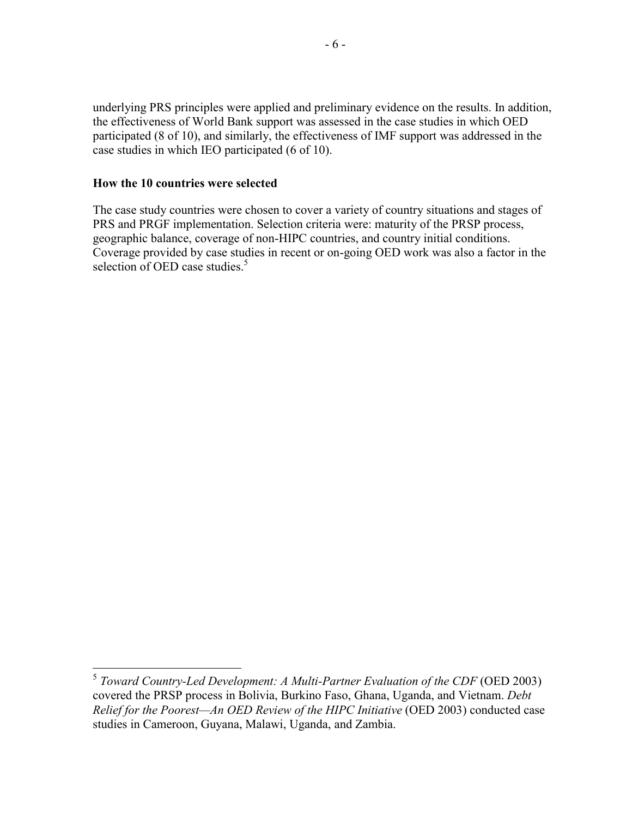underlying PRS principles were applied and preliminary evidence on the results. In addition, the effectiveness of World Bank support was assessed in the case studies in which OED participated (8 of 10), and similarly, the effectiveness of IMF support was addressed in the case studies in which IEO participated (6 of 10).

#### **How the 10 countries were selected**

 $\overline{a}$ 

The case study countries were chosen to cover a variety of country situations and stages of PRS and PRGF implementation. Selection criteria were: maturity of the PRSP process, geographic balance, coverage of non-HIPC countries, and country initial conditions. Coverage provided by case studies in recent or on-going OED work was also a factor in the selection of OED case studies.<sup>5</sup>

<sup>5</sup> *Toward Country-Led Development: A Multi-Partner Evaluation of the CDF* (OED 2003) covered the PRSP process in Bolivia, Burkino Faso, Ghana, Uganda, and Vietnam. *Debt Relief for the Poorest—An OED Review of the HIPC Initiative* (OED 2003) conducted case studies in Cameroon, Guyana, Malawi, Uganda, and Zambia.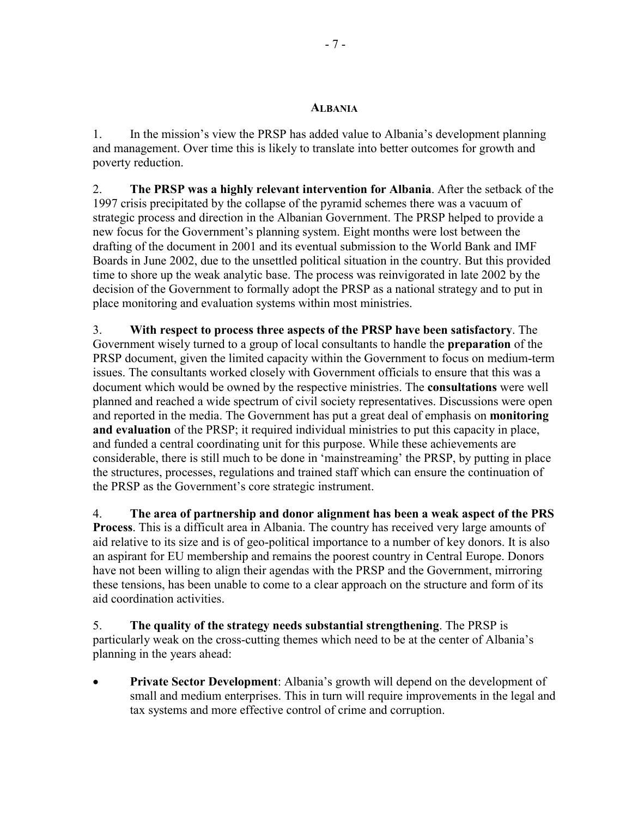#### **ALBANIA**

1. In the mission's view the PRSP has added value to Albania's development planning and management. Over time this is likely to translate into better outcomes for growth and poverty reduction.

2. **The PRSP was a highly relevant intervention for Albania**. After the setback of the 1997 crisis precipitated by the collapse of the pyramid schemes there was a vacuum of strategic process and direction in the Albanian Government. The PRSP helped to provide a new focus for the Government's planning system. Eight months were lost between the drafting of the document in 2001 and its eventual submission to the World Bank and IMF Boards in June 2002, due to the unsettled political situation in the country. But this provided time to shore up the weak analytic base. The process was reinvigorated in late 2002 by the decision of the Government to formally adopt the PRSP as a national strategy and to put in place monitoring and evaluation systems within most ministries.

3. **With respect to process three aspects of the PRSP have been satisfactory**. The Government wisely turned to a group of local consultants to handle the **preparation** of the PRSP document, given the limited capacity within the Government to focus on medium-term issues. The consultants worked closely with Government officials to ensure that this was a document which would be owned by the respective ministries. The **consultations** were well planned and reached a wide spectrum of civil society representatives. Discussions were open and reported in the media. The Government has put a great deal of emphasis on **monitoring and evaluation** of the PRSP; it required individual ministries to put this capacity in place, and funded a central coordinating unit for this purpose. While these achievements are considerable, there is still much to be done in 'mainstreaming' the PRSP, by putting in place the structures, processes, regulations and trained staff which can ensure the continuation of the PRSP as the Government's core strategic instrument.

4. **The area of partnership and donor alignment has been a weak aspect of the PRS Process**. This is a difficult area in Albania. The country has received very large amounts of aid relative to its size and is of geo-political importance to a number of key donors. It is also an aspirant for EU membership and remains the poorest country in Central Europe. Donors have not been willing to align their agendas with the PRSP and the Government, mirroring these tensions, has been unable to come to a clear approach on the structure and form of its aid coordination activities.

5. **The quality of the strategy needs substantial strengthening**. The PRSP is particularly weak on the cross-cutting themes which need to be at the center of Albania's planning in the years ahead:

**Private Sector Development:** Albania's growth will depend on the development of small and medium enterprises. This in turn will require improvements in the legal and tax systems and more effective control of crime and corruption.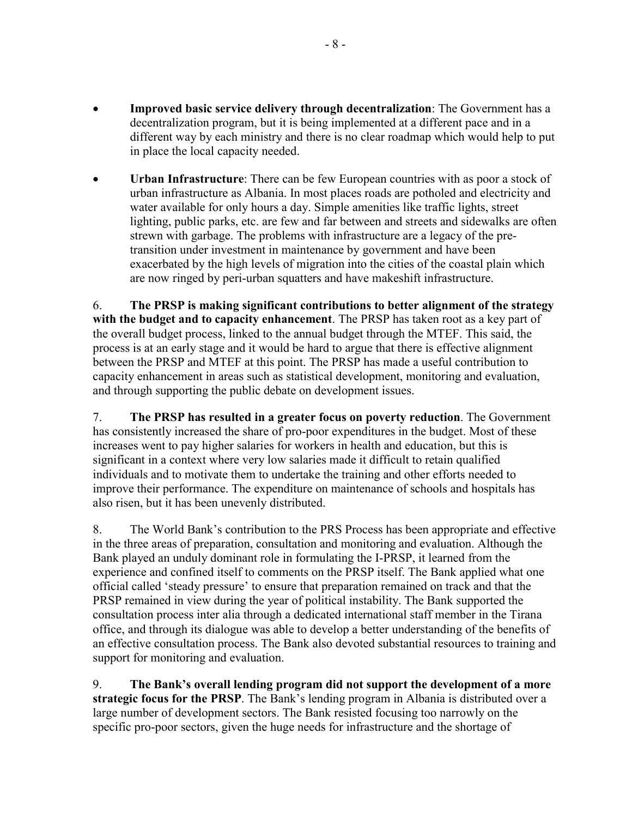- **Improved basic service delivery through decentralization**: The Government has a decentralization program, but it is being implemented at a different pace and in a different way by each ministry and there is no clear roadmap which would help to put in place the local capacity needed.
- **Urban Infrastructure**: There can be few European countries with as poor a stock of urban infrastructure as Albania. In most places roads are potholed and electricity and water available for only hours a day. Simple amenities like traffic lights, street lighting, public parks, etc. are few and far between and streets and sidewalks are often strewn with garbage. The problems with infrastructure are a legacy of the pretransition under investment in maintenance by government and have been exacerbated by the high levels of migration into the cities of the coastal plain which are now ringed by peri-urban squatters and have makeshift infrastructure.

6. **The PRSP is making significant contributions to better alignment of the strategy with the budget and to capacity enhancement**. The PRSP has taken root as a key part of the overall budget process, linked to the annual budget through the MTEF. This said, the process is at an early stage and it would be hard to argue that there is effective alignment between the PRSP and MTEF at this point. The PRSP has made a useful contribution to capacity enhancement in areas such as statistical development, monitoring and evaluation, and through supporting the public debate on development issues.

7. **The PRSP has resulted in a greater focus on poverty reduction**. The Government has consistently increased the share of pro-poor expenditures in the budget. Most of these increases went to pay higher salaries for workers in health and education, but this is significant in a context where very low salaries made it difficult to retain qualified individuals and to motivate them to undertake the training and other efforts needed to improve their performance. The expenditure on maintenance of schools and hospitals has also risen, but it has been unevenly distributed.

8. The World Bank's contribution to the PRS Process has been appropriate and effective in the three areas of preparation, consultation and monitoring and evaluation. Although the Bank played an unduly dominant role in formulating the I-PRSP, it learned from the experience and confined itself to comments on the PRSP itself. The Bank applied what one official called 'steady pressure' to ensure that preparation remained on track and that the PRSP remained in view during the year of political instability. The Bank supported the consultation process inter alia through a dedicated international staff member in the Tirana office, and through its dialogue was able to develop a better understanding of the benefits of an effective consultation process. The Bank also devoted substantial resources to training and support for monitoring and evaluation.

9. **The Bank's overall lending program did not support the development of a more strategic focus for the PRSP**. The Bank's lending program in Albania is distributed over a large number of development sectors. The Bank resisted focusing too narrowly on the specific pro-poor sectors, given the huge needs for infrastructure and the shortage of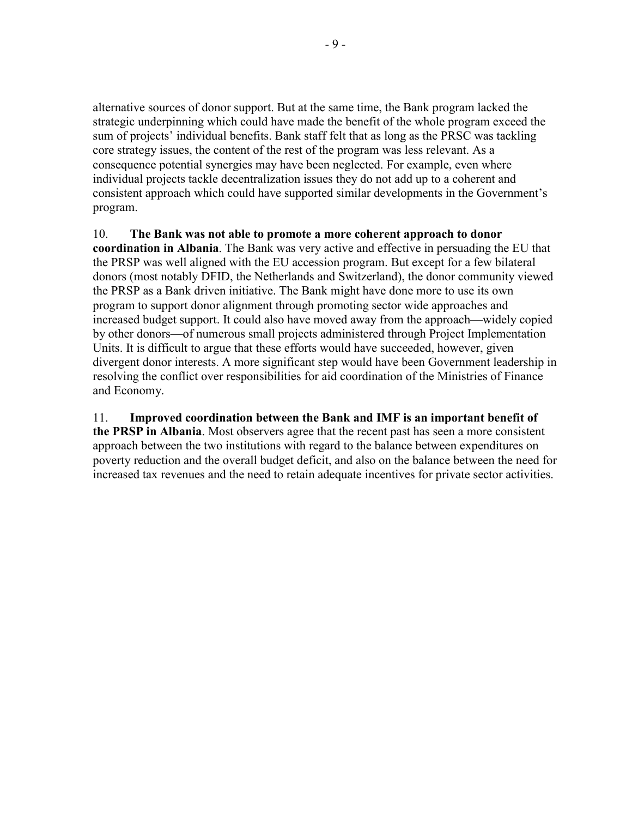alternative sources of donor support. But at the same time, the Bank program lacked the strategic underpinning which could have made the benefit of the whole program exceed the sum of projects' individual benefits. Bank staff felt that as long as the PRSC was tackling core strategy issues, the content of the rest of the program was less relevant. As a consequence potential synergies may have been neglected. For example, even where individual projects tackle decentralization issues they do not add up to a coherent and consistent approach which could have supported similar developments in the Government's program.

#### 10. **The Bank was not able to promote a more coherent approach to donor**

**coordination in Albania**. The Bank was very active and effective in persuading the EU that the PRSP was well aligned with the EU accession program. But except for a few bilateral donors (most notably DFID, the Netherlands and Switzerland), the donor community viewed the PRSP as a Bank driven initiative. The Bank might have done more to use its own program to support donor alignment through promoting sector wide approaches and increased budget support. It could also have moved away from the approach—widely copied by other donors—of numerous small projects administered through Project Implementation Units. It is difficult to argue that these efforts would have succeeded, however, given divergent donor interests. A more significant step would have been Government leadership in resolving the conflict over responsibilities for aid coordination of the Ministries of Finance and Economy.

# 11. **Improved coordination between the Bank and IMF is an important benefit of**

**the PRSP in Albania**. Most observers agree that the recent past has seen a more consistent approach between the two institutions with regard to the balance between expenditures on poverty reduction and the overall budget deficit, and also on the balance between the need for increased tax revenues and the need to retain adequate incentives for private sector activities.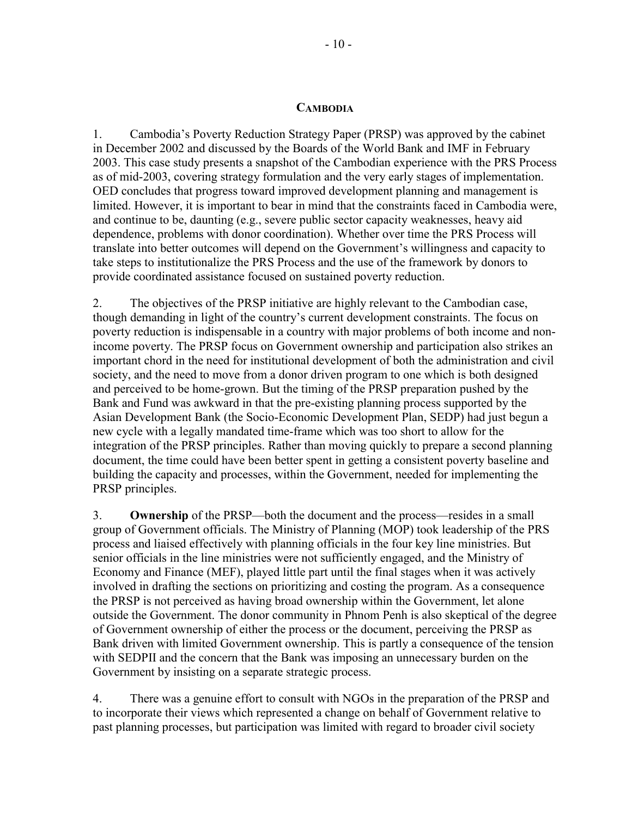#### **CAMBODIA**

1. Cambodia's Poverty Reduction Strategy Paper (PRSP) was approved by the cabinet in December 2002 and discussed by the Boards of the World Bank and IMF in February 2003. This case study presents a snapshot of the Cambodian experience with the PRS Process as of mid-2003, covering strategy formulation and the very early stages of implementation. OED concludes that progress toward improved development planning and management is limited. However, it is important to bear in mind that the constraints faced in Cambodia were, and continue to be, daunting (e.g., severe public sector capacity weaknesses, heavy aid dependence, problems with donor coordination). Whether over time the PRS Process will translate into better outcomes will depend on the Government's willingness and capacity to take steps to institutionalize the PRS Process and the use of the framework by donors to provide coordinated assistance focused on sustained poverty reduction.

2. The objectives of the PRSP initiative are highly relevant to the Cambodian case, though demanding in light of the country's current development constraints. The focus on poverty reduction is indispensable in a country with major problems of both income and nonincome poverty. The PRSP focus on Government ownership and participation also strikes an important chord in the need for institutional development of both the administration and civil society, and the need to move from a donor driven program to one which is both designed and perceived to be home-grown. But the timing of the PRSP preparation pushed by the Bank and Fund was awkward in that the pre-existing planning process supported by the Asian Development Bank (the Socio-Economic Development Plan, SEDP) had just begun a new cycle with a legally mandated time-frame which was too short to allow for the integration of the PRSP principles. Rather than moving quickly to prepare a second planning document, the time could have been better spent in getting a consistent poverty baseline and building the capacity and processes, within the Government, needed for implementing the PRSP principles.

3. **Ownership** of the PRSP—both the document and the process—resides in a small group of Government officials. The Ministry of Planning (MOP) took leadership of the PRS process and liaised effectively with planning officials in the four key line ministries. But senior officials in the line ministries were not sufficiently engaged, and the Ministry of Economy and Finance (MEF), played little part until the final stages when it was actively involved in drafting the sections on prioritizing and costing the program. As a consequence the PRSP is not perceived as having broad ownership within the Government, let alone outside the Government. The donor community in Phnom Penh is also skeptical of the degree of Government ownership of either the process or the document, perceiving the PRSP as Bank driven with limited Government ownership. This is partly a consequence of the tension with SEDPII and the concern that the Bank was imposing an unnecessary burden on the Government by insisting on a separate strategic process.

4. There was a genuine effort to consult with NGOs in the preparation of the PRSP and to incorporate their views which represented a change on behalf of Government relative to past planning processes, but participation was limited with regard to broader civil society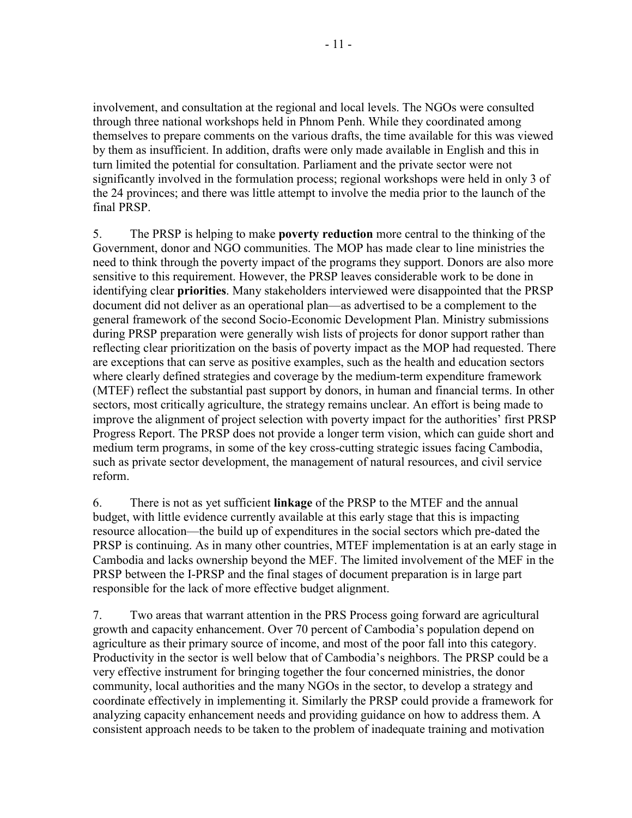involvement, and consultation at the regional and local levels. The NGOs were consulted through three national workshops held in Phnom Penh. While they coordinated among themselves to prepare comments on the various drafts, the time available for this was viewed by them as insufficient. In addition, drafts were only made available in English and this in turn limited the potential for consultation. Parliament and the private sector were not significantly involved in the formulation process; regional workshops were held in only 3 of the 24 provinces; and there was little attempt to involve the media prior to the launch of the final PRSP.

5. The PRSP is helping to make **poverty reduction** more central to the thinking of the Government, donor and NGO communities. The MOP has made clear to line ministries the need to think through the poverty impact of the programs they support. Donors are also more sensitive to this requirement. However, the PRSP leaves considerable work to be done in identifying clear **priorities**. Many stakeholders interviewed were disappointed that the PRSP document did not deliver as an operational plan—as advertised to be a complement to the general framework of the second Socio-Economic Development Plan. Ministry submissions during PRSP preparation were generally wish lists of projects for donor support rather than reflecting clear prioritization on the basis of poverty impact as the MOP had requested. There are exceptions that can serve as positive examples, such as the health and education sectors where clearly defined strategies and coverage by the medium-term expenditure framework (MTEF) reflect the substantial past support by donors, in human and financial terms. In other sectors, most critically agriculture, the strategy remains unclear. An effort is being made to improve the alignment of project selection with poverty impact for the authorities' first PRSP Progress Report. The PRSP does not provide a longer term vision, which can guide short and medium term programs, in some of the key cross-cutting strategic issues facing Cambodia, such as private sector development, the management of natural resources, and civil service reform.

6. There is not as yet sufficient **linkage** of the PRSP to the MTEF and the annual budget, with little evidence currently available at this early stage that this is impacting resource allocation—the build up of expenditures in the social sectors which pre-dated the PRSP is continuing. As in many other countries, MTEF implementation is at an early stage in Cambodia and lacks ownership beyond the MEF. The limited involvement of the MEF in the PRSP between the I-PRSP and the final stages of document preparation is in large part responsible for the lack of more effective budget alignment.

7. Two areas that warrant attention in the PRS Process going forward are agricultural growth and capacity enhancement. Over 70 percent of Cambodia's population depend on agriculture as their primary source of income, and most of the poor fall into this category. Productivity in the sector is well below that of Cambodia's neighbors. The PRSP could be a very effective instrument for bringing together the four concerned ministries, the donor community, local authorities and the many NGOs in the sector, to develop a strategy and coordinate effectively in implementing it. Similarly the PRSP could provide a framework for analyzing capacity enhancement needs and providing guidance on how to address them. A consistent approach needs to be taken to the problem of inadequate training and motivation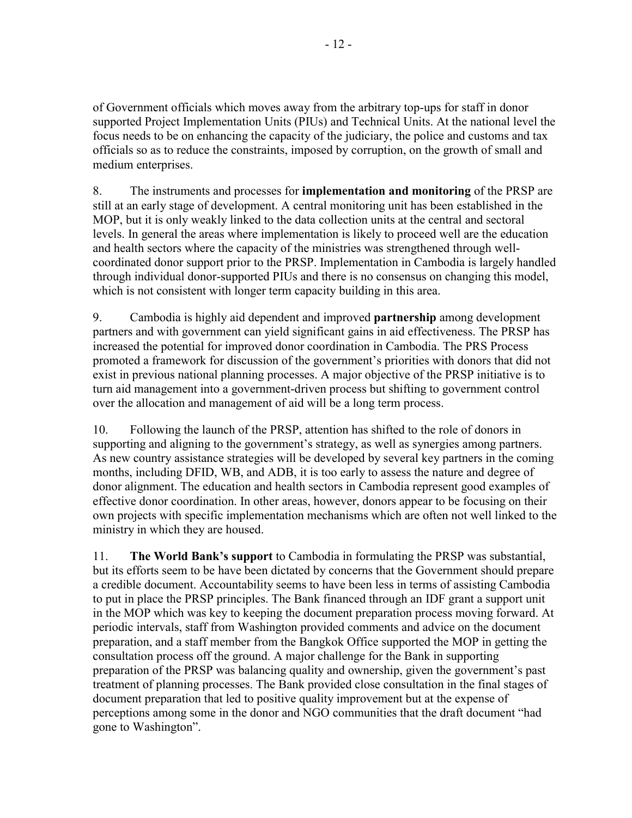of Government officials which moves away from the arbitrary top-ups for staff in donor supported Project Implementation Units (PIUs) and Technical Units. At the national level the focus needs to be on enhancing the capacity of the judiciary, the police and customs and tax officials so as to reduce the constraints, imposed by corruption, on the growth of small and medium enterprises.

8. The instruments and processes for **implementation and monitoring** of the PRSP are still at an early stage of development. A central monitoring unit has been established in the MOP, but it is only weakly linked to the data collection units at the central and sectoral levels. In general the areas where implementation is likely to proceed well are the education and health sectors where the capacity of the ministries was strengthened through wellcoordinated donor support prior to the PRSP. Implementation in Cambodia is largely handled through individual donor-supported PIUs and there is no consensus on changing this model, which is not consistent with longer term capacity building in this area.

9. Cambodia is highly aid dependent and improved **partnership** among development partners and with government can yield significant gains in aid effectiveness. The PRSP has increased the potential for improved donor coordination in Cambodia. The PRS Process promoted a framework for discussion of the government's priorities with donors that did not exist in previous national planning processes. A major objective of the PRSP initiative is to turn aid management into a government-driven process but shifting to government control over the allocation and management of aid will be a long term process.

10. Following the launch of the PRSP, attention has shifted to the role of donors in supporting and aligning to the government's strategy, as well as synergies among partners. As new country assistance strategies will be developed by several key partners in the coming months, including DFID, WB, and ADB, it is too early to assess the nature and degree of donor alignment. The education and health sectors in Cambodia represent good examples of effective donor coordination. In other areas, however, donors appear to be focusing on their own projects with specific implementation mechanisms which are often not well linked to the ministry in which they are housed.

11. **The World Bank's support** to Cambodia in formulating the PRSP was substantial, but its efforts seem to be have been dictated by concerns that the Government should prepare a credible document. Accountability seems to have been less in terms of assisting Cambodia to put in place the PRSP principles. The Bank financed through an IDF grant a support unit in the MOP which was key to keeping the document preparation process moving forward. At periodic intervals, staff from Washington provided comments and advice on the document preparation, and a staff member from the Bangkok Office supported the MOP in getting the consultation process off the ground. A major challenge for the Bank in supporting preparation of the PRSP was balancing quality and ownership, given the government's past treatment of planning processes. The Bank provided close consultation in the final stages of document preparation that led to positive quality improvement but at the expense of perceptions among some in the donor and NGO communities that the draft document "had gone to Washington".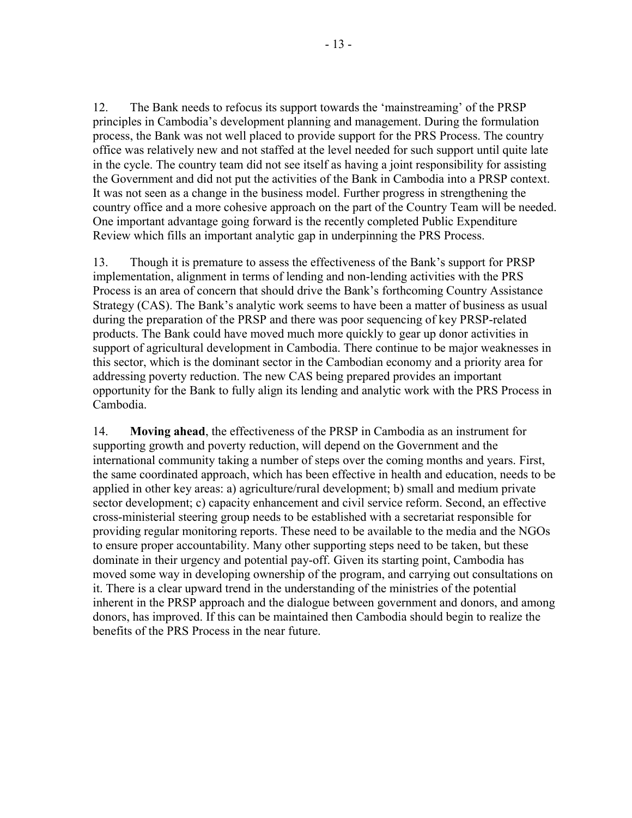12. The Bank needs to refocus its support towards the 'mainstreaming' of the PRSP principles in Cambodia's development planning and management. During the formulation process, the Bank was not well placed to provide support for the PRS Process. The country office was relatively new and not staffed at the level needed for such support until quite late in the cycle. The country team did not see itself as having a joint responsibility for assisting the Government and did not put the activities of the Bank in Cambodia into a PRSP context. It was not seen as a change in the business model. Further progress in strengthening the country office and a more cohesive approach on the part of the Country Team will be needed. One important advantage going forward is the recently completed Public Expenditure Review which fills an important analytic gap in underpinning the PRS Process.

13. Though it is premature to assess the effectiveness of the Bank's support for PRSP implementation, alignment in terms of lending and non-lending activities with the PRS Process is an area of concern that should drive the Bank's forthcoming Country Assistance Strategy (CAS). The Bank's analytic work seems to have been a matter of business as usual during the preparation of the PRSP and there was poor sequencing of key PRSP-related products. The Bank could have moved much more quickly to gear up donor activities in support of agricultural development in Cambodia. There continue to be major weaknesses in this sector, which is the dominant sector in the Cambodian economy and a priority area for addressing poverty reduction. The new CAS being prepared provides an important opportunity for the Bank to fully align its lending and analytic work with the PRS Process in Cambodia.

14. **Moving ahead**, the effectiveness of the PRSP in Cambodia as an instrument for supporting growth and poverty reduction, will depend on the Government and the international community taking a number of steps over the coming months and years. First, the same coordinated approach, which has been effective in health and education, needs to be applied in other key areas: a) agriculture/rural development; b) small and medium private sector development; c) capacity enhancement and civil service reform. Second, an effective cross-ministerial steering group needs to be established with a secretariat responsible for providing regular monitoring reports. These need to be available to the media and the NGOs to ensure proper accountability. Many other supporting steps need to be taken, but these dominate in their urgency and potential pay-off. Given its starting point, Cambodia has moved some way in developing ownership of the program, and carrying out consultations on it. There is a clear upward trend in the understanding of the ministries of the potential inherent in the PRSP approach and the dialogue between government and donors, and among donors, has improved. If this can be maintained then Cambodia should begin to realize the benefits of the PRS Process in the near future.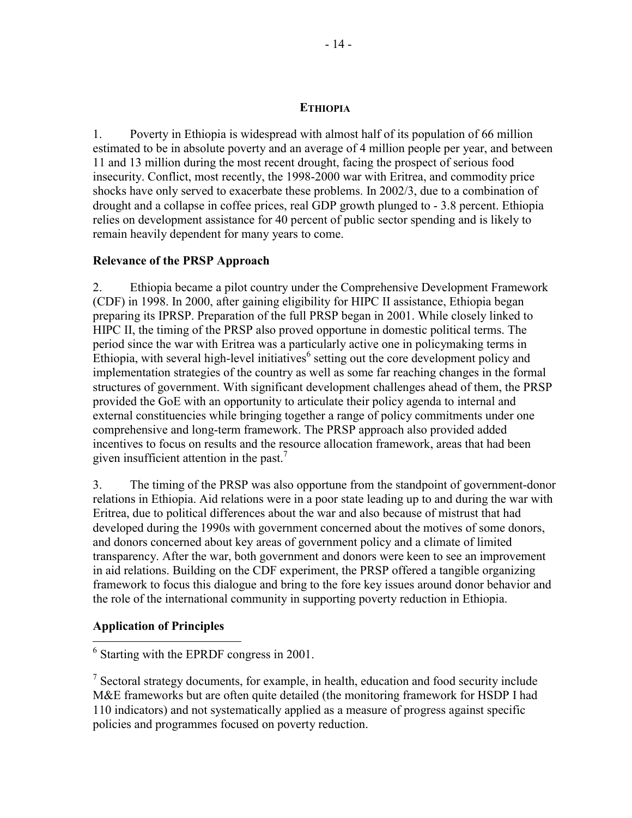#### **ETHIOPIA**

1. Poverty in Ethiopia is widespread with almost half of its population of 66 million estimated to be in absolute poverty and an average of 4 million people per year, and between 11 and 13 million during the most recent drought, facing the prospect of serious food insecurity. Conflict, most recently, the 1998-2000 war with Eritrea, and commodity price shocks have only served to exacerbate these problems. In 2002/3, due to a combination of drought and a collapse in coffee prices, real GDP growth plunged to - 3.8 percent. Ethiopia relies on development assistance for 40 percent of public sector spending and is likely to remain heavily dependent for many years to come.

#### **Relevance of the PRSP Approach**

2. Ethiopia became a pilot country under the Comprehensive Development Framework (CDF) in 1998. In 2000, after gaining eligibility for HIPC II assistance, Ethiopia began preparing its IPRSP. Preparation of the full PRSP began in 2001. While closely linked to HIPC II, the timing of the PRSP also proved opportune in domestic political terms. The period since the war with Eritrea was a particularly active one in policymaking terms in Ethiopia, with several high-level initiatives<sup>6</sup> setting out the core development policy and implementation strategies of the country as well as some far reaching changes in the formal structures of government. With significant development challenges ahead of them, the PRSP provided the GoE with an opportunity to articulate their policy agenda to internal and external constituencies while bringing together a range of policy commitments under one comprehensive and long-term framework. The PRSP approach also provided added incentives to focus on results and the resource allocation framework, areas that had been given insufficient attention in the past.<sup>7</sup>

3. The timing of the PRSP was also opportune from the standpoint of government-donor relations in Ethiopia. Aid relations were in a poor state leading up to and during the war with Eritrea, due to political differences about the war and also because of mistrust that had developed during the 1990s with government concerned about the motives of some donors, and donors concerned about key areas of government policy and a climate of limited transparency. After the war, both government and donors were keen to see an improvement in aid relations. Building on the CDF experiment, the PRSP offered a tangible organizing framework to focus this dialogue and bring to the fore key issues around donor behavior and the role of the international community in supporting poverty reduction in Ethiopia.

#### **Application of Principles**

 6 Starting with the EPRDF congress in 2001.

<sup>&</sup>lt;sup>7</sup> Sectoral strategy documents, for example, in health, education and food security include M&E frameworks but are often quite detailed (the monitoring framework for HSDP I had 110 indicators) and not systematically applied as a measure of progress against specific policies and programmes focused on poverty reduction.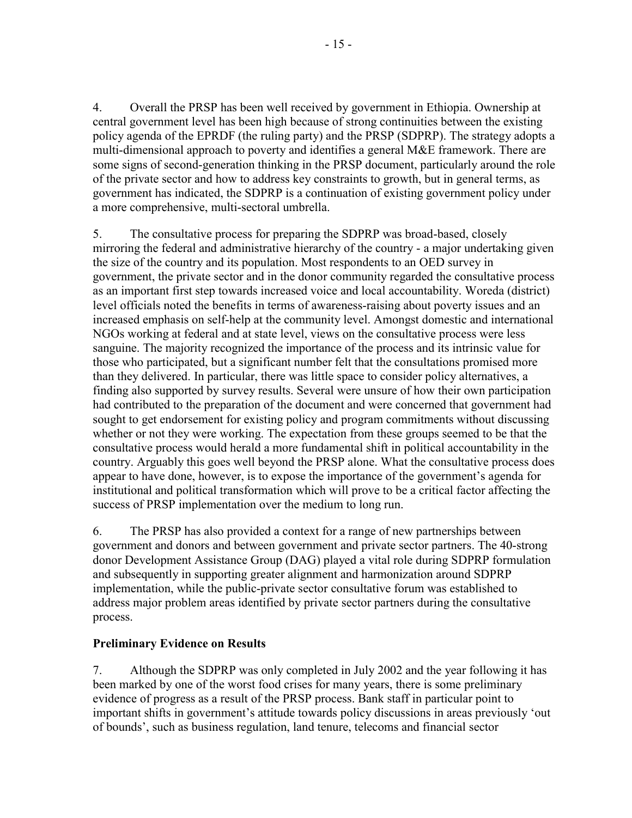4. Overall the PRSP has been well received by government in Ethiopia. Ownership at central government level has been high because of strong continuities between the existing policy agenda of the EPRDF (the ruling party) and the PRSP (SDPRP). The strategy adopts a multi-dimensional approach to poverty and identifies a general M&E framework. There are some signs of second-generation thinking in the PRSP document, particularly around the role of the private sector and how to address key constraints to growth, but in general terms, as government has indicated, the SDPRP is a continuation of existing government policy under a more comprehensive, multi-sectoral umbrella.

5. The consultative process for preparing the SDPRP was broad-based, closely mirroring the federal and administrative hierarchy of the country - a major undertaking given the size of the country and its population. Most respondents to an OED survey in government, the private sector and in the donor community regarded the consultative process as an important first step towards increased voice and local accountability. Woreda (district) level officials noted the benefits in terms of awareness-raising about poverty issues and an increased emphasis on self-help at the community level. Amongst domestic and international NGOs working at federal and at state level, views on the consultative process were less sanguine. The majority recognized the importance of the process and its intrinsic value for those who participated, but a significant number felt that the consultations promised more than they delivered. In particular, there was little space to consider policy alternatives, a finding also supported by survey results. Several were unsure of how their own participation had contributed to the preparation of the document and were concerned that government had sought to get endorsement for existing policy and program commitments without discussing whether or not they were working. The expectation from these groups seemed to be that the consultative process would herald a more fundamental shift in political accountability in the country. Arguably this goes well beyond the PRSP alone. What the consultative process does appear to have done, however, is to expose the importance of the government's agenda for institutional and political transformation which will prove to be a critical factor affecting the success of PRSP implementation over the medium to long run.

6. The PRSP has also provided a context for a range of new partnerships between government and donors and between government and private sector partners. The 40-strong donor Development Assistance Group (DAG) played a vital role during SDPRP formulation and subsequently in supporting greater alignment and harmonization around SDPRP implementation, while the public-private sector consultative forum was established to address major problem areas identified by private sector partners during the consultative process.

### **Preliminary Evidence on Results**

7. Although the SDPRP was only completed in July 2002 and the year following it has been marked by one of the worst food crises for many years, there is some preliminary evidence of progress as a result of the PRSP process. Bank staff in particular point to important shifts in government's attitude towards policy discussions in areas previously 'out of bounds', such as business regulation, land tenure, telecoms and financial sector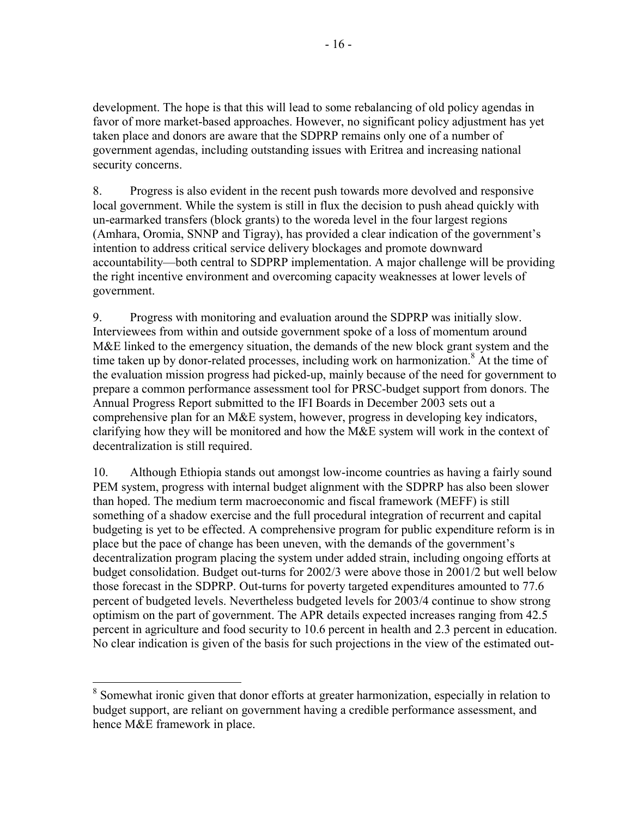development. The hope is that this will lead to some rebalancing of old policy agendas in favor of more market-based approaches. However, no significant policy adjustment has yet taken place and donors are aware that the SDPRP remains only one of a number of government agendas, including outstanding issues with Eritrea and increasing national security concerns.

8. Progress is also evident in the recent push towards more devolved and responsive local government. While the system is still in flux the decision to push ahead quickly with un-earmarked transfers (block grants) to the woreda level in the four largest regions (Amhara, Oromia, SNNP and Tigray), has provided a clear indication of the government's intention to address critical service delivery blockages and promote downward accountability—both central to SDPRP implementation. A major challenge will be providing the right incentive environment and overcoming capacity weaknesses at lower levels of government.

9. Progress with monitoring and evaluation around the SDPRP was initially slow. Interviewees from within and outside government spoke of a loss of momentum around M&E linked to the emergency situation, the demands of the new block grant system and the time taken up by donor-related processes, including work on harmonization.<sup>8</sup> At the time of the evaluation mission progress had picked-up, mainly because of the need for government to prepare a common performance assessment tool for PRSC-budget support from donors. The Annual Progress Report submitted to the IFI Boards in December 2003 sets out a comprehensive plan for an M&E system, however, progress in developing key indicators, clarifying how they will be monitored and how the M&E system will work in the context of decentralization is still required.

10. Although Ethiopia stands out amongst low-income countries as having a fairly sound PEM system, progress with internal budget alignment with the SDPRP has also been slower than hoped. The medium term macroeconomic and fiscal framework (MEFF) is still something of a shadow exercise and the full procedural integration of recurrent and capital budgeting is yet to be effected. A comprehensive program for public expenditure reform is in place but the pace of change has been uneven, with the demands of the government's decentralization program placing the system under added strain, including ongoing efforts at budget consolidation. Budget out-turns for 2002/3 were above those in 2001/2 but well below those forecast in the SDPRP. Out-turns for poverty targeted expenditures amounted to 77.6 percent of budgeted levels. Nevertheless budgeted levels for 2003/4 continue to show strong optimism on the part of government. The APR details expected increases ranging from 42.5 percent in agriculture and food security to 10.6 percent in health and 2.3 percent in education. No clear indication is given of the basis for such projections in the view of the estimated out-

<sup>&</sup>lt;sup>8</sup> Somewhat ironic given that donor efforts at greater harmonization, especially in relation to budget support, are reliant on government having a credible performance assessment, and hence M&E framework in place.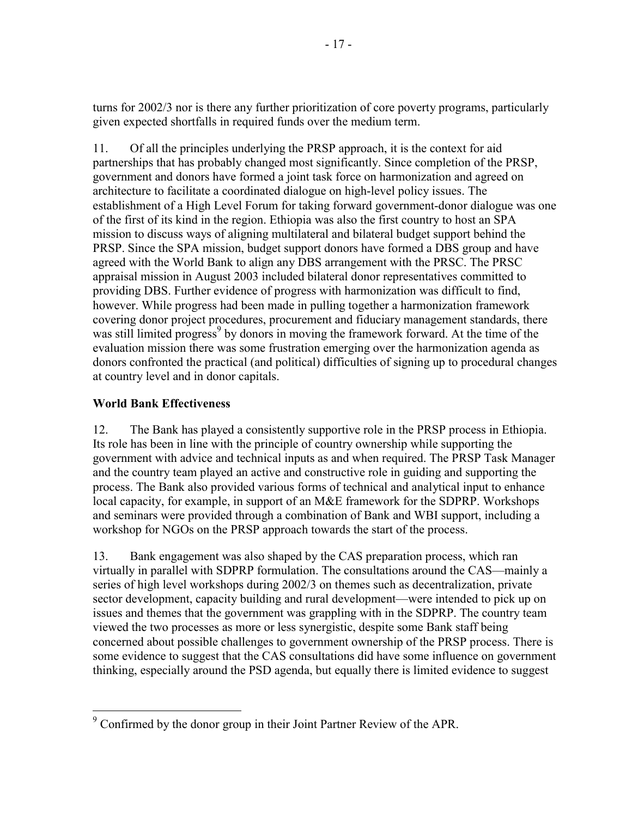turns for 2002/3 nor is there any further prioritization of core poverty programs, particularly given expected shortfalls in required funds over the medium term.

11. Of all the principles underlying the PRSP approach, it is the context for aid partnerships that has probably changed most significantly. Since completion of the PRSP, government and donors have formed a joint task force on harmonization and agreed on architecture to facilitate a coordinated dialogue on high-level policy issues. The establishment of a High Level Forum for taking forward government-donor dialogue was one of the first of its kind in the region. Ethiopia was also the first country to host an SPA mission to discuss ways of aligning multilateral and bilateral budget support behind the PRSP. Since the SPA mission, budget support donors have formed a DBS group and have agreed with the World Bank to align any DBS arrangement with the PRSC. The PRSC appraisal mission in August 2003 included bilateral donor representatives committed to providing DBS. Further evidence of progress with harmonization was difficult to find, however. While progress had been made in pulling together a harmonization framework covering donor project procedures, procurement and fiduciary management standards, there was still limited progress<sup>9</sup> by donors in moving the framework forward. At the time of the evaluation mission there was some frustration emerging over the harmonization agenda as donors confronted the practical (and political) difficulties of signing up to procedural changes at country level and in donor capitals.

### **World Bank Effectiveness**

12. The Bank has played a consistently supportive role in the PRSP process in Ethiopia. Its role has been in line with the principle of country ownership while supporting the government with advice and technical inputs as and when required. The PRSP Task Manager and the country team played an active and constructive role in guiding and supporting the process. The Bank also provided various forms of technical and analytical input to enhance local capacity, for example, in support of an M&E framework for the SDPRP. Workshops and seminars were provided through a combination of Bank and WBI support, including a workshop for NGOs on the PRSP approach towards the start of the process.

13. Bank engagement was also shaped by the CAS preparation process, which ran virtually in parallel with SDPRP formulation. The consultations around the CAS—mainly a series of high level workshops during 2002/3 on themes such as decentralization, private sector development, capacity building and rural development—were intended to pick up on issues and themes that the government was grappling with in the SDPRP. The country team viewed the two processes as more or less synergistic, despite some Bank staff being concerned about possible challenges to government ownership of the PRSP process. There is some evidence to suggest that the CAS consultations did have some influence on government thinking, especially around the PSD agenda, but equally there is limited evidence to suggest

<sup>&</sup>lt;sup>9</sup> Confirmed by the donor group in their Joint Partner Review of the APR.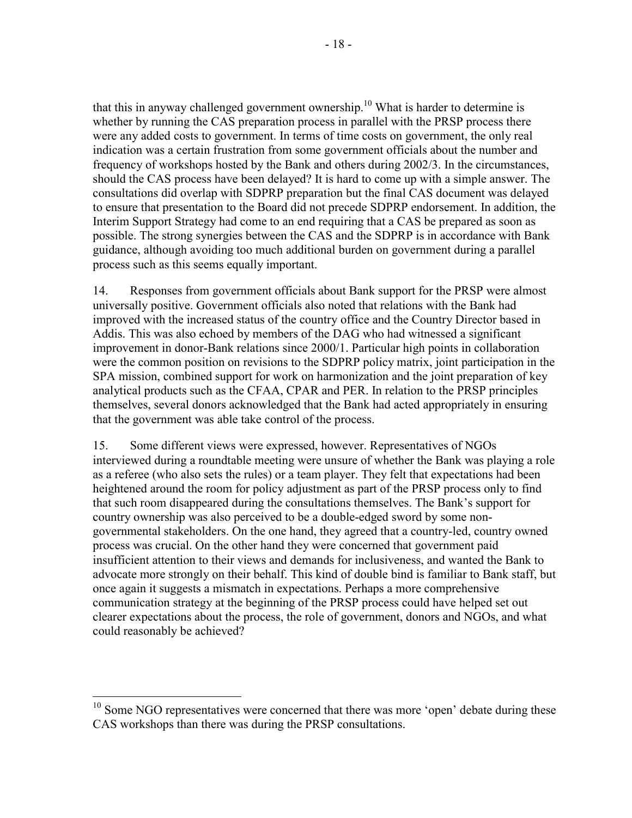that this in anyway challenged government ownership.<sup>10</sup> What is harder to determine is whether by running the CAS preparation process in parallel with the PRSP process there were any added costs to government. In terms of time costs on government, the only real indication was a certain frustration from some government officials about the number and frequency of workshops hosted by the Bank and others during 2002/3. In the circumstances, should the CAS process have been delayed? It is hard to come up with a simple answer. The consultations did overlap with SDPRP preparation but the final CAS document was delayed to ensure that presentation to the Board did not precede SDPRP endorsement. In addition, the Interim Support Strategy had come to an end requiring that a CAS be prepared as soon as possible. The strong synergies between the CAS and the SDPRP is in accordance with Bank guidance, although avoiding too much additional burden on government during a parallel process such as this seems equally important.

14. Responses from government officials about Bank support for the PRSP were almost universally positive. Government officials also noted that relations with the Bank had improved with the increased status of the country office and the Country Director based in Addis. This was also echoed by members of the DAG who had witnessed a significant improvement in donor-Bank relations since 2000/1. Particular high points in collaboration were the common position on revisions to the SDPRP policy matrix, joint participation in the SPA mission, combined support for work on harmonization and the joint preparation of key analytical products such as the CFAA, CPAR and PER. In relation to the PRSP principles themselves, several donors acknowledged that the Bank had acted appropriately in ensuring that the government was able take control of the process.

15. Some different views were expressed, however. Representatives of NGOs interviewed during a roundtable meeting were unsure of whether the Bank was playing a role as a referee (who also sets the rules) or a team player. They felt that expectations had been heightened around the room for policy adjustment as part of the PRSP process only to find that such room disappeared during the consultations themselves. The Bank's support for country ownership was also perceived to be a double-edged sword by some nongovernmental stakeholders. On the one hand, they agreed that a country-led, country owned process was crucial. On the other hand they were concerned that government paid insufficient attention to their views and demands for inclusiveness, and wanted the Bank to advocate more strongly on their behalf. This kind of double bind is familiar to Bank staff, but once again it suggests a mismatch in expectations. Perhaps a more comprehensive communication strategy at the beginning of the PRSP process could have helped set out clearer expectations about the process, the role of government, donors and NGOs, and what could reasonably be achieved?

1

 $10$  Some NGO representatives were concerned that there was more 'open' debate during these CAS workshops than there was during the PRSP consultations.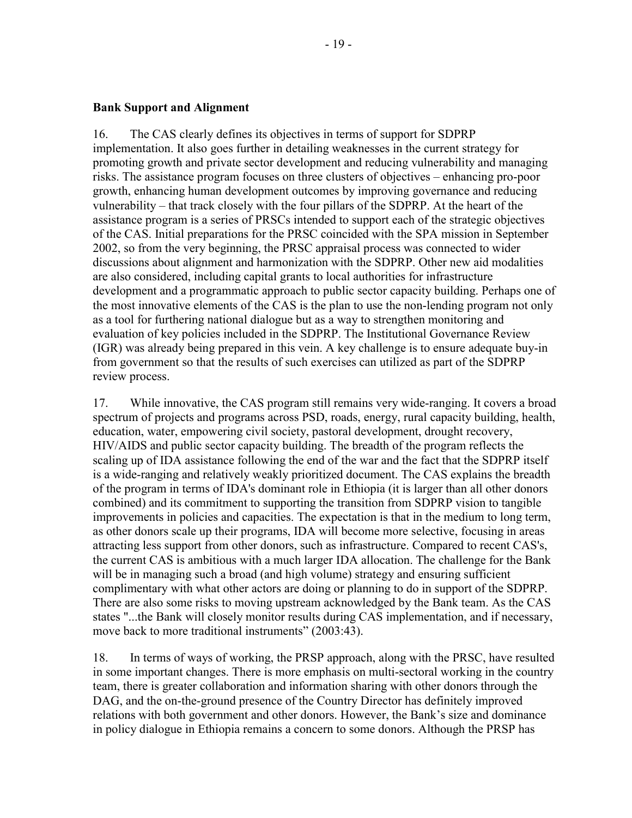16. The CAS clearly defines its objectives in terms of support for SDPRP implementation. It also goes further in detailing weaknesses in the current strategy for promoting growth and private sector development and reducing vulnerability and managing risks. The assistance program focuses on three clusters of objectives – enhancing pro-poor growth, enhancing human development outcomes by improving governance and reducing vulnerability – that track closely with the four pillars of the SDPRP. At the heart of the assistance program is a series of PRSCs intended to support each of the strategic objectives of the CAS. Initial preparations for the PRSC coincided with the SPA mission in September 2002, so from the very beginning, the PRSC appraisal process was connected to wider discussions about alignment and harmonization with the SDPRP. Other new aid modalities are also considered, including capital grants to local authorities for infrastructure development and a programmatic approach to public sector capacity building. Perhaps one of the most innovative elements of the CAS is the plan to use the non-lending program not only as a tool for furthering national dialogue but as a way to strengthen monitoring and evaluation of key policies included in the SDPRP. The Institutional Governance Review (IGR) was already being prepared in this vein. A key challenge is to ensure adequate buy-in from government so that the results of such exercises can utilized as part of the SDPRP review process.

17. While innovative, the CAS program still remains very wide-ranging. It covers a broad spectrum of projects and programs across PSD, roads, energy, rural capacity building, health, education, water, empowering civil society, pastoral development, drought recovery, HIV/AIDS and public sector capacity building. The breadth of the program reflects the scaling up of IDA assistance following the end of the war and the fact that the SDPRP itself is a wide-ranging and relatively weakly prioritized document. The CAS explains the breadth of the program in terms of IDA's dominant role in Ethiopia (it is larger than all other donors combined) and its commitment to supporting the transition from SDPRP vision to tangible improvements in policies and capacities. The expectation is that in the medium to long term, as other donors scale up their programs, IDA will become more selective, focusing in areas attracting less support from other donors, such as infrastructure. Compared to recent CAS's, the current CAS is ambitious with a much larger IDA allocation. The challenge for the Bank will be in managing such a broad (and high volume) strategy and ensuring sufficient complimentary with what other actors are doing or planning to do in support of the SDPRP. There are also some risks to moving upstream acknowledged by the Bank team. As the CAS states "...the Bank will closely monitor results during CAS implementation, and if necessary, move back to more traditional instruments" (2003:43).

18. In terms of ways of working, the PRSP approach, along with the PRSC, have resulted in some important changes. There is more emphasis on multi-sectoral working in the country team, there is greater collaboration and information sharing with other donors through the DAG, and the on-the-ground presence of the Country Director has definitely improved relations with both government and other donors. However, the Bank's size and dominance in policy dialogue in Ethiopia remains a concern to some donors. Although the PRSP has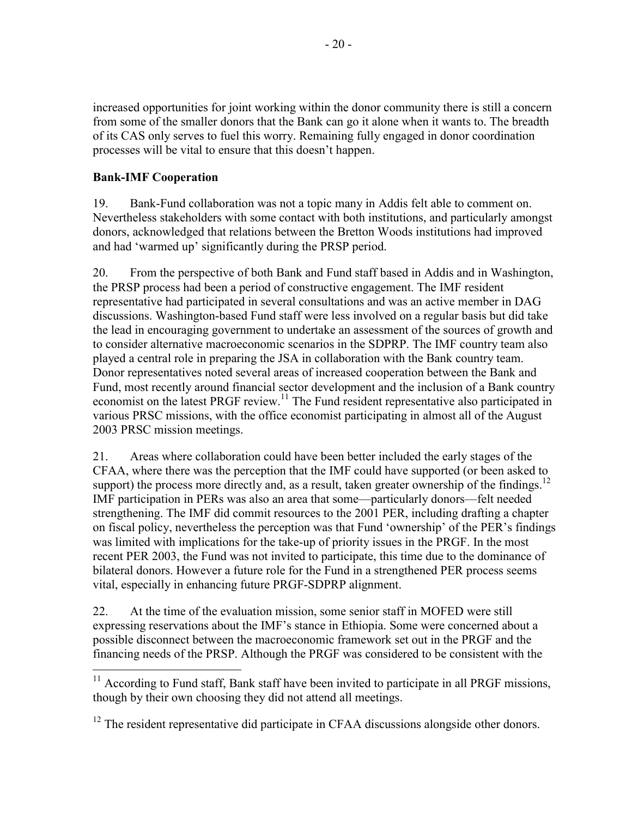increased opportunities for joint working within the donor community there is still a concern from some of the smaller donors that the Bank can go it alone when it wants to. The breadth of its CAS only serves to fuel this worry. Remaining fully engaged in donor coordination processes will be vital to ensure that this doesn't happen.

### **Bank-IMF Cooperation**

1

19. Bank-Fund collaboration was not a topic many in Addis felt able to comment on. Nevertheless stakeholders with some contact with both institutions, and particularly amongst donors, acknowledged that relations between the Bretton Woods institutions had improved and had 'warmed up' significantly during the PRSP period.

20. From the perspective of both Bank and Fund staff based in Addis and in Washington, the PRSP process had been a period of constructive engagement. The IMF resident representative had participated in several consultations and was an active member in DAG discussions. Washington-based Fund staff were less involved on a regular basis but did take the lead in encouraging government to undertake an assessment of the sources of growth and to consider alternative macroeconomic scenarios in the SDPRP. The IMF country team also played a central role in preparing the JSA in collaboration with the Bank country team. Donor representatives noted several areas of increased cooperation between the Bank and Fund, most recently around financial sector development and the inclusion of a Bank country economist on the latest PRGF review.<sup>11</sup> The Fund resident representative also participated in various PRSC missions, with the office economist participating in almost all of the August 2003 PRSC mission meetings.

21. Areas where collaboration could have been better included the early stages of the CFAA, where there was the perception that the IMF could have supported (or been asked to support) the process more directly and, as a result, taken greater ownership of the findings.<sup>12</sup> IMF participation in PERs was also an area that some—particularly donors—felt needed strengthening. The IMF did commit resources to the 2001 PER, including drafting a chapter on fiscal policy, nevertheless the perception was that Fund 'ownership' of the PER's findings was limited with implications for the take-up of priority issues in the PRGF. In the most recent PER 2003, the Fund was not invited to participate, this time due to the dominance of bilateral donors. However a future role for the Fund in a strengthened PER process seems vital, especially in enhancing future PRGF-SDPRP alignment.

22. At the time of the evaluation mission, some senior staff in MOFED were still expressing reservations about the IMF's stance in Ethiopia. Some were concerned about a possible disconnect between the macroeconomic framework set out in the PRGF and the financing needs of the PRSP. Although the PRGF was considered to be consistent with the

 $11$  According to Fund staff, Bank staff have been invited to participate in all PRGF missions, though by their own choosing they did not attend all meetings.

 $12$  The resident representative did participate in CFAA discussions alongside other donors.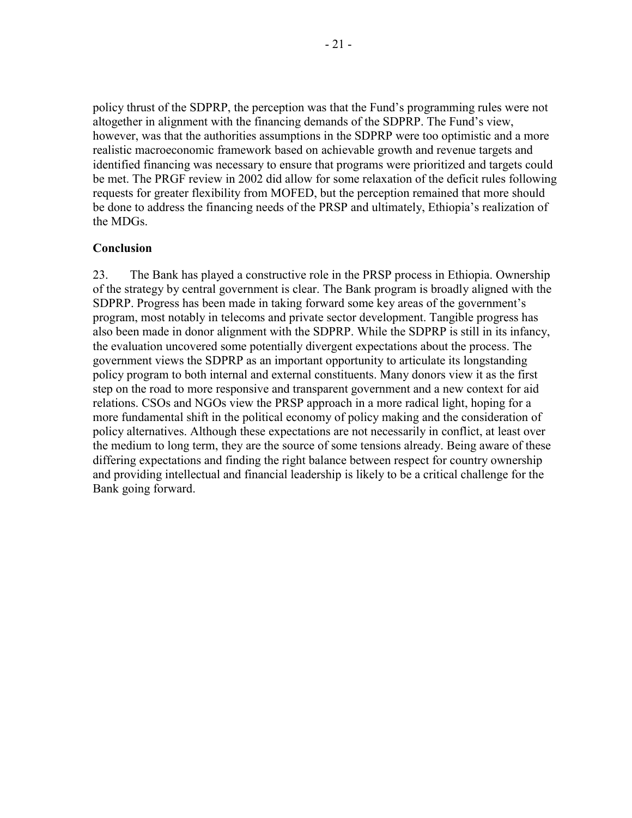policy thrust of the SDPRP, the perception was that the Fund's programming rules were not altogether in alignment with the financing demands of the SDPRP. The Fund's view, however, was that the authorities assumptions in the SDPRP were too optimistic and a more realistic macroeconomic framework based on achievable growth and revenue targets and identified financing was necessary to ensure that programs were prioritized and targets could be met. The PRGF review in 2002 did allow for some relaxation of the deficit rules following requests for greater flexibility from MOFED, but the perception remained that more should be done to address the financing needs of the PRSP and ultimately, Ethiopia's realization of the MDGs.

### **Conclusion**

23. The Bank has played a constructive role in the PRSP process in Ethiopia. Ownership of the strategy by central government is clear. The Bank program is broadly aligned with the SDPRP. Progress has been made in taking forward some key areas of the government's program, most notably in telecoms and private sector development. Tangible progress has also been made in donor alignment with the SDPRP. While the SDPRP is still in its infancy, the evaluation uncovered some potentially divergent expectations about the process. The government views the SDPRP as an important opportunity to articulate its longstanding policy program to both internal and external constituents. Many donors view it as the first step on the road to more responsive and transparent government and a new context for aid relations. CSOs and NGOs view the PRSP approach in a more radical light, hoping for a more fundamental shift in the political economy of policy making and the consideration of policy alternatives. Although these expectations are not necessarily in conflict, at least over the medium to long term, they are the source of some tensions already. Being aware of these differing expectations and finding the right balance between respect for country ownership and providing intellectual and financial leadership is likely to be a critical challenge for the Bank going forward.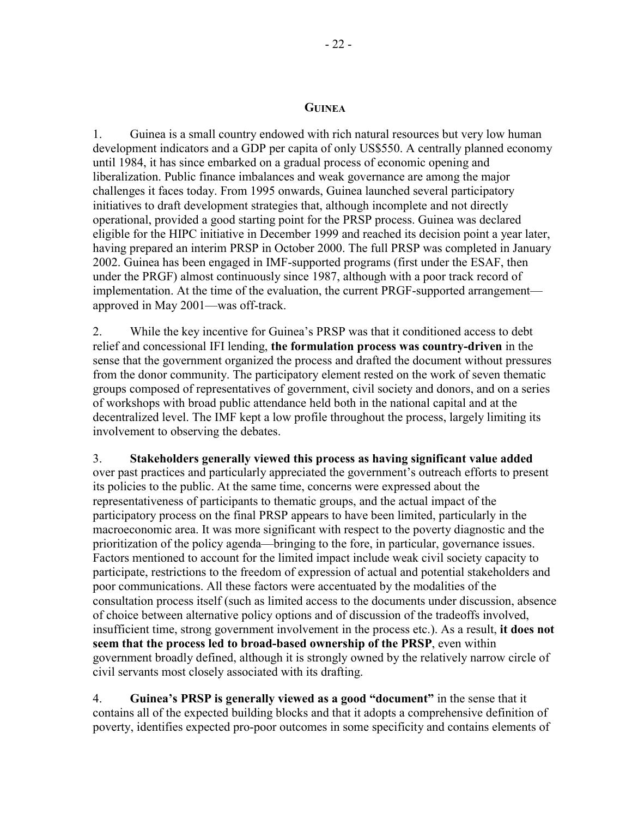1. Guinea is a small country endowed with rich natural resources but very low human development indicators and a GDP per capita of only US\$550. A centrally planned economy until 1984, it has since embarked on a gradual process of economic opening and liberalization. Public finance imbalances and weak governance are among the major challenges it faces today. From 1995 onwards, Guinea launched several participatory initiatives to draft development strategies that, although incomplete and not directly operational, provided a good starting point for the PRSP process. Guinea was declared eligible for the HIPC initiative in December 1999 and reached its decision point a year later, having prepared an interim PRSP in October 2000. The full PRSP was completed in January 2002. Guinea has been engaged in IMF-supported programs (first under the ESAF, then under the PRGF) almost continuously since 1987, although with a poor track record of implementation. At the time of the evaluation, the current PRGF-supported arrangement approved in May 2001—was off-track.

2. While the key incentive for Guinea's PRSP was that it conditioned access to debt relief and concessional IFI lending, **the formulation process was country-driven** in the sense that the government organized the process and drafted the document without pressures from the donor community. The participatory element rested on the work of seven thematic groups composed of representatives of government, civil society and donors, and on a series of workshops with broad public attendance held both in the national capital and at the decentralized level. The IMF kept a low profile throughout the process, largely limiting its involvement to observing the debates.

3. **Stakeholders generally viewed this process as having significant value added**  over past practices and particularly appreciated the government's outreach efforts to present its policies to the public. At the same time, concerns were expressed about the representativeness of participants to thematic groups, and the actual impact of the participatory process on the final PRSP appears to have been limited, particularly in the macroeconomic area. It was more significant with respect to the poverty diagnostic and the prioritization of the policy agenda—bringing to the fore, in particular, governance issues. Factors mentioned to account for the limited impact include weak civil society capacity to participate, restrictions to the freedom of expression of actual and potential stakeholders and poor communications. All these factors were accentuated by the modalities of the consultation process itself (such as limited access to the documents under discussion, absence of choice between alternative policy options and of discussion of the tradeoffs involved, insufficient time, strong government involvement in the process etc.). As a result, **it does not seem that the process led to broad-based ownership of the PRSP**, even within government broadly defined, although it is strongly owned by the relatively narrow circle of civil servants most closely associated with its drafting.

4. **Guinea's PRSP is generally viewed as a good "document"** in the sense that it contains all of the expected building blocks and that it adopts a comprehensive definition of poverty, identifies expected pro-poor outcomes in some specificity and contains elements of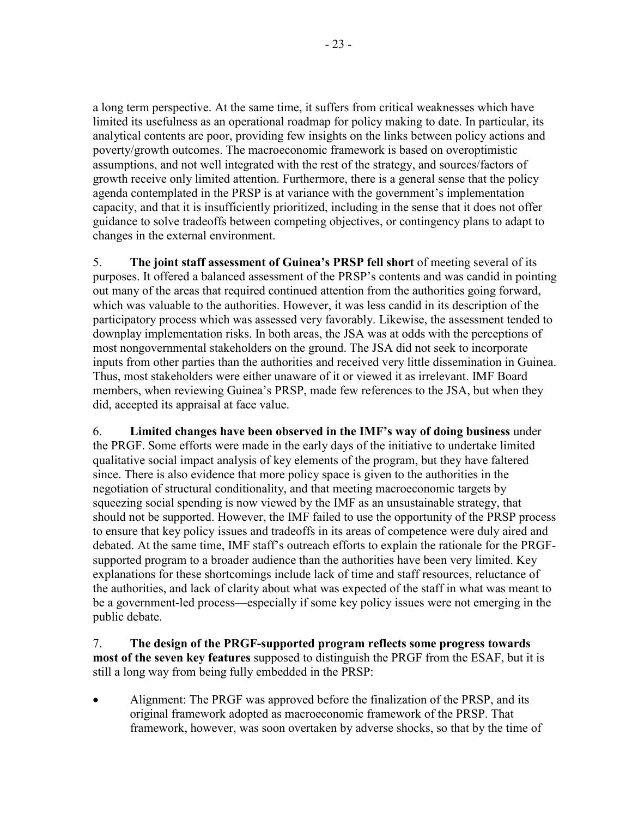a long term perspective. At the same time, it suffers from critical weaknesses which have limited its usefulness as an operational roadmap for policy making to date. In particular, its analytical contents are poor, providing few insights on the links between policy actions and poverty/growth outcomes. The macroeconomic framework is based on overoptimistic assumptions, and not well integrated with the rest of the strategy, and sources/factors of growth receive only limited attention. Furthermore, there is a general sense that the policy agenda contemplated in the PRSP is at variance with the government's implementation capacity, and that it is insufficiently prioritized, including in the sense that it does not offer guidance to solve tradeoffs between competing objectives, or contingency plans to adapt to changes in the external environment.

5. **The joint staff assessment of Guinea's PRSP fell short** of meeting several of its purposes. It offered a balanced assessment of the PRSP's contents and was candid in pointing out many of the areas that required continued attention from the authorities going forward, which was valuable to the authorities. However, it was less candid in its description of the participatory process which was assessed very favorably. Likewise, the assessment tended to downplay implementation risks. In both areas, the JSA was at odds with the perceptions of most nongovernmental stakeholders on the ground. The JSA did not seek to incorporate inputs from other parties than the authorities and received very little dissemination in Guinea. Thus, most stakeholders were either unaware of it or viewed it as irrelevant. IMF Board members, when reviewing Guinea's PRSP, made few references to the JSA, but when they did, accepted its appraisal at face value.

6. **Limited changes have been observed in the IMF's way of doing business** under the PRGF. Some efforts were made in the early days of the initiative to undertake limited qualitative social impact analysis of key elements of the program, but they have faltered since. There is also evidence that more policy space is given to the authorities in the negotiation of structural conditionality, and that meeting macroeconomic targets by squeezing social spending is now viewed by the IMF as an unsustainable strategy, that should not be supported. However, the IMF failed to use the opportunity of the PRSP process to ensure that key policy issues and tradeoffs in its areas of competence were duly aired and debated. At the same time, IMF staff's outreach efforts to explain the rationale for the PRGFsupported program to a broader audience than the authorities have been very limited. Key explanations for these shortcomings include lack of time and staff resources, reluctance of the authorities, and lack of clarity about what was expected of the staff in what was meant to be a government-led process—especially if some key policy issues were not emerging in the public debate.

7. **The design of the PRGF-supported program reflects some progress towards most of the seven key features** supposed to distinguish the PRGF from the ESAF, but it is still a long way from being fully embedded in the PRSP:

• Alignment: The PRGF was approved before the finalization of the PRSP, and its original framework adopted as macroeconomic framework of the PRSP. That framework, however, was soon overtaken by adverse shocks, so that by the time of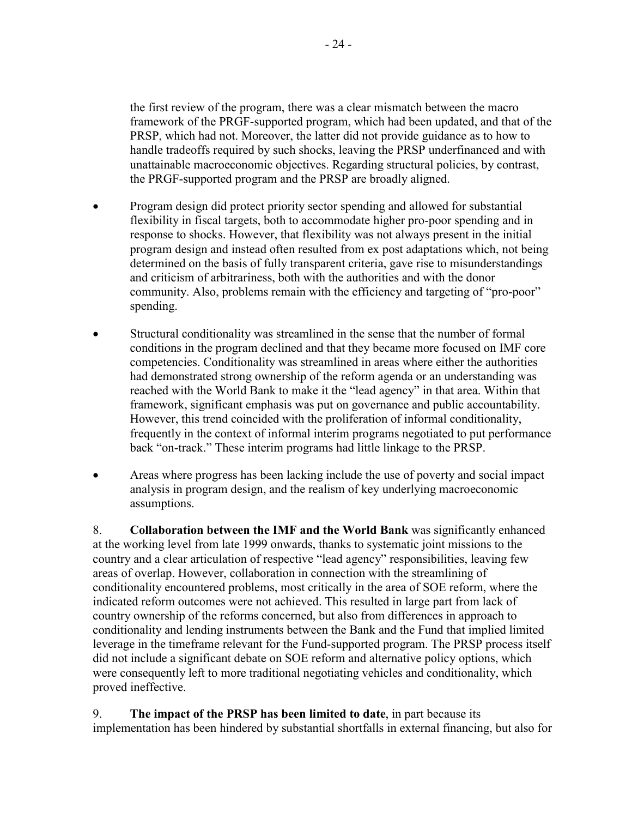the first review of the program, there was a clear mismatch between the macro framework of the PRGF-supported program, which had been updated, and that of the PRSP, which had not. Moreover, the latter did not provide guidance as to how to handle tradeoffs required by such shocks, leaving the PRSP underfinanced and with unattainable macroeconomic objectives. Regarding structural policies, by contrast, the PRGF-supported program and the PRSP are broadly aligned.

- Program design did protect priority sector spending and allowed for substantial flexibility in fiscal targets, both to accommodate higher pro-poor spending and in response to shocks. However, that flexibility was not always present in the initial program design and instead often resulted from ex post adaptations which, not being determined on the basis of fully transparent criteria, gave rise to misunderstandings and criticism of arbitrariness, both with the authorities and with the donor community. Also, problems remain with the efficiency and targeting of "pro-poor" spending.
- Structural conditionality was streamlined in the sense that the number of formal conditions in the program declined and that they became more focused on IMF core competencies. Conditionality was streamlined in areas where either the authorities had demonstrated strong ownership of the reform agenda or an understanding was reached with the World Bank to make it the "lead agency" in that area. Within that framework, significant emphasis was put on governance and public accountability. However, this trend coincided with the proliferation of informal conditionality, frequently in the context of informal interim programs negotiated to put performance back "on-track." These interim programs had little linkage to the PRSP.
- Areas where progress has been lacking include the use of poverty and social impact analysis in program design, and the realism of key underlying macroeconomic assumptions.

8. **Collaboration between the IMF and the World Bank** was significantly enhanced at the working level from late 1999 onwards, thanks to systematic joint missions to the country and a clear articulation of respective "lead agency" responsibilities, leaving few areas of overlap. However, collaboration in connection with the streamlining of conditionality encountered problems, most critically in the area of SOE reform, where the indicated reform outcomes were not achieved. This resulted in large part from lack of country ownership of the reforms concerned, but also from differences in approach to conditionality and lending instruments between the Bank and the Fund that implied limited leverage in the timeframe relevant for the Fund-supported program. The PRSP process itself did not include a significant debate on SOE reform and alternative policy options, which were consequently left to more traditional negotiating vehicles and conditionality, which proved ineffective.

9. **The impact of the PRSP has been limited to date**, in part because its implementation has been hindered by substantial shortfalls in external financing, but also for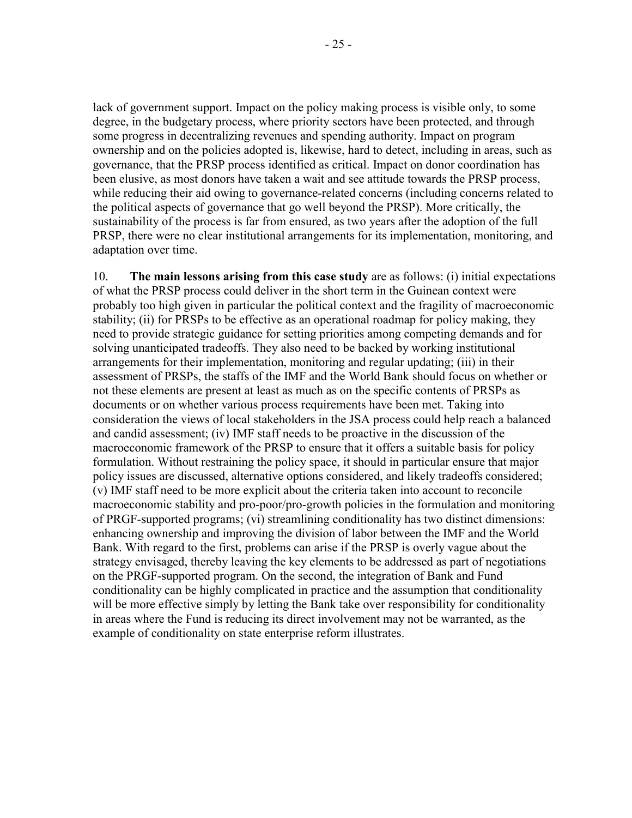lack of government support. Impact on the policy making process is visible only, to some degree, in the budgetary process, where priority sectors have been protected, and through some progress in decentralizing revenues and spending authority. Impact on program ownership and on the policies adopted is, likewise, hard to detect, including in areas, such as governance, that the PRSP process identified as critical. Impact on donor coordination has been elusive, as most donors have taken a wait and see attitude towards the PRSP process, while reducing their aid owing to governance-related concerns (including concerns related to the political aspects of governance that go well beyond the PRSP). More critically, the sustainability of the process is far from ensured, as two years after the adoption of the full

PRSP, there were no clear institutional arrangements for its implementation, monitoring, and

adaptation over time.

10. **The main lessons arising from this case study** are as follows: (i) initial expectations of what the PRSP process could deliver in the short term in the Guinean context were probably too high given in particular the political context and the fragility of macroeconomic stability; (ii) for PRSPs to be effective as an operational roadmap for policy making, they need to provide strategic guidance for setting priorities among competing demands and for solving unanticipated tradeoffs. They also need to be backed by working institutional arrangements for their implementation, monitoring and regular updating; (iii) in their assessment of PRSPs, the staffs of the IMF and the World Bank should focus on whether or not these elements are present at least as much as on the specific contents of PRSPs as documents or on whether various process requirements have been met. Taking into consideration the views of local stakeholders in the JSA process could help reach a balanced and candid assessment; (iv) IMF staff needs to be proactive in the discussion of the macroeconomic framework of the PRSP to ensure that it offers a suitable basis for policy formulation. Without restraining the policy space, it should in particular ensure that major policy issues are discussed, alternative options considered, and likely tradeoffs considered; (v) IMF staff need to be more explicit about the criteria taken into account to reconcile macroeconomic stability and pro-poor/pro-growth policies in the formulation and monitoring of PRGF-supported programs; (vi) streamlining conditionality has two distinct dimensions: enhancing ownership and improving the division of labor between the IMF and the World Bank. With regard to the first, problems can arise if the PRSP is overly vague about the strategy envisaged, thereby leaving the key elements to be addressed as part of negotiations on the PRGF-supported program. On the second, the integration of Bank and Fund conditionality can be highly complicated in practice and the assumption that conditionality will be more effective simply by letting the Bank take over responsibility for conditionality in areas where the Fund is reducing its direct involvement may not be warranted, as the example of conditionality on state enterprise reform illustrates.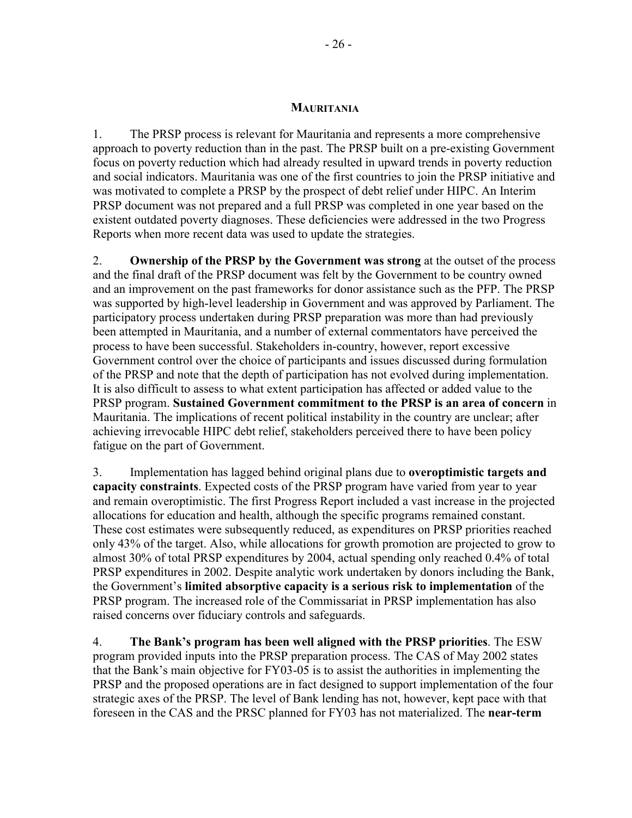#### **MAURITANIA**

1. The PRSP process is relevant for Mauritania and represents a more comprehensive approach to poverty reduction than in the past. The PRSP built on a pre-existing Government focus on poverty reduction which had already resulted in upward trends in poverty reduction and social indicators. Mauritania was one of the first countries to join the PRSP initiative and was motivated to complete a PRSP by the prospect of debt relief under HIPC. An Interim PRSP document was not prepared and a full PRSP was completed in one year based on the existent outdated poverty diagnoses. These deficiencies were addressed in the two Progress Reports when more recent data was used to update the strategies.

2. **Ownership of the PRSP by the Government was strong** at the outset of the process and the final draft of the PRSP document was felt by the Government to be country owned and an improvement on the past frameworks for donor assistance such as the PFP. The PRSP was supported by high-level leadership in Government and was approved by Parliament. The participatory process undertaken during PRSP preparation was more than had previously been attempted in Mauritania, and a number of external commentators have perceived the process to have been successful. Stakeholders in-country, however, report excessive Government control over the choice of participants and issues discussed during formulation of the PRSP and note that the depth of participation has not evolved during implementation. It is also difficult to assess to what extent participation has affected or added value to the PRSP program. **Sustained Government commitment to the PRSP is an area of concern** in Mauritania. The implications of recent political instability in the country are unclear; after achieving irrevocable HIPC debt relief, stakeholders perceived there to have been policy fatigue on the part of Government.

3. Implementation has lagged behind original plans due to **overoptimistic targets and capacity constraints**. Expected costs of the PRSP program have varied from year to year and remain overoptimistic. The first Progress Report included a vast increase in the projected allocations for education and health, although the specific programs remained constant. These cost estimates were subsequently reduced, as expenditures on PRSP priorities reached only 43% of the target. Also, while allocations for growth promotion are projected to grow to almost 30% of total PRSP expenditures by 2004, actual spending only reached 0.4% of total PRSP expenditures in 2002. Despite analytic work undertaken by donors including the Bank, the Government's **limited absorptive capacity is a serious risk to implementation** of the PRSP program. The increased role of the Commissariat in PRSP implementation has also raised concerns over fiduciary controls and safeguards.

4. **The Bank's program has been well aligned with the PRSP priorities**. The ESW program provided inputs into the PRSP preparation process. The CAS of May 2002 states that the Bank's main objective for FY03-05 is to assist the authorities in implementing the PRSP and the proposed operations are in fact designed to support implementation of the four strategic axes of the PRSP. The level of Bank lending has not, however, kept pace with that foreseen in the CAS and the PRSC planned for FY03 has not materialized. The **near-term**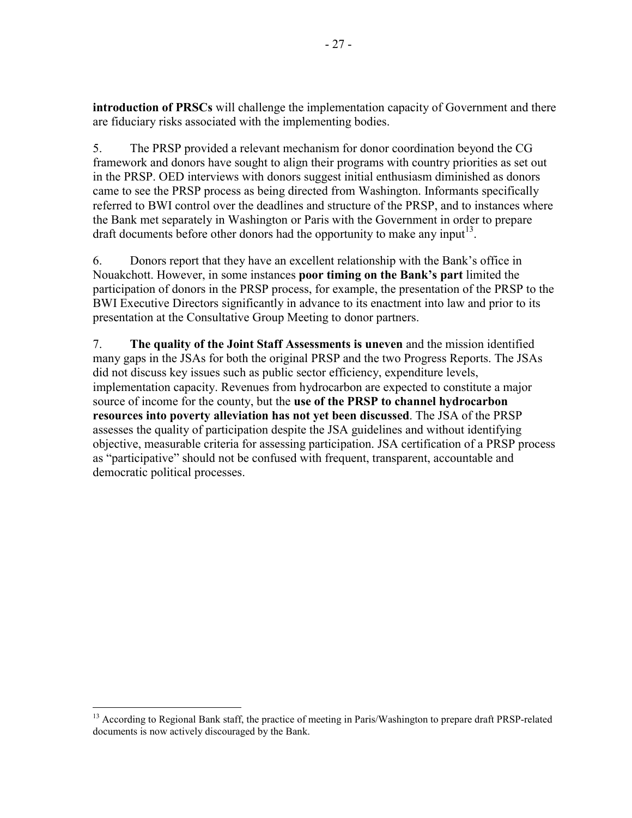**introduction of PRSCs** will challenge the implementation capacity of Government and there are fiduciary risks associated with the implementing bodies.

5. The PRSP provided a relevant mechanism for donor coordination beyond the CG framework and donors have sought to align their programs with country priorities as set out in the PRSP. OED interviews with donors suggest initial enthusiasm diminished as donors came to see the PRSP process as being directed from Washington. Informants specifically referred to BWI control over the deadlines and structure of the PRSP, and to instances where the Bank met separately in Washington or Paris with the Government in order to prepare draft documents before other donors had the opportunity to make any input<sup>13</sup>.

6. Donors report that they have an excellent relationship with the Bank's office in Nouakchott. However, in some instances **poor timing on the Bank's part** limited the participation of donors in the PRSP process, for example, the presentation of the PRSP to the BWI Executive Directors significantly in advance to its enactment into law and prior to its presentation at the Consultative Group Meeting to donor partners.

7. **The quality of the Joint Staff Assessments is uneven** and the mission identified many gaps in the JSAs for both the original PRSP and the two Progress Reports. The JSAs did not discuss key issues such as public sector efficiency, expenditure levels, implementation capacity. Revenues from hydrocarbon are expected to constitute a major source of income for the county, but the **use of the PRSP to channel hydrocarbon resources into poverty alleviation has not yet been discussed**. The JSA of the PRSP assesses the quality of participation despite the JSA guidelines and without identifying objective, measurable criteria for assessing participation. JSA certification of a PRSP process as "participative" should not be confused with frequent, transparent, accountable and democratic political processes.

 $\overline{a}$ <sup>13</sup> According to Regional Bank staff, the practice of meeting in Paris/Washington to prepare draft PRSP-related documents is now actively discouraged by the Bank.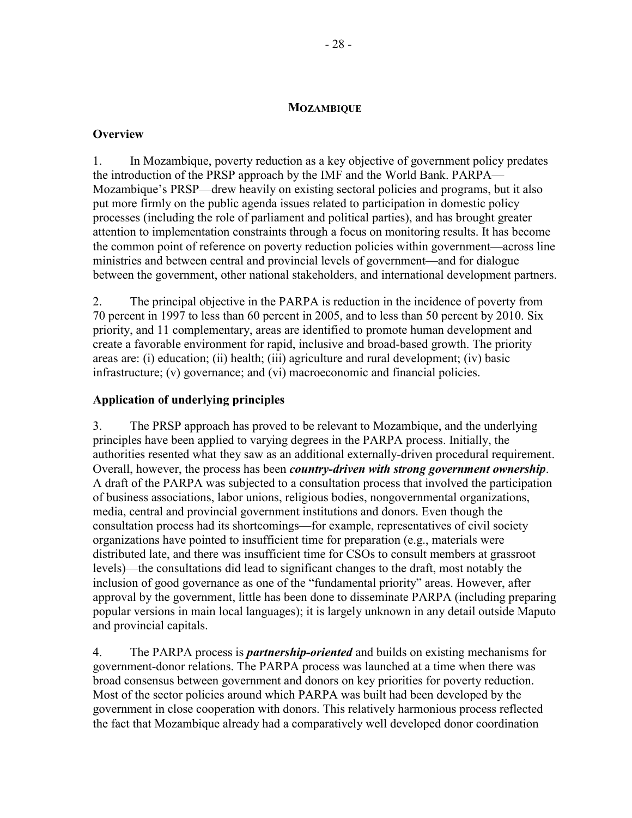#### **MOZAMBIQUE**

#### **Overview**

1. In Mozambique, poverty reduction as a key objective of government policy predates the introduction of the PRSP approach by the IMF and the World Bank. PARPA— Mozambique's PRSP—drew heavily on existing sectoral policies and programs, but it also put more firmly on the public agenda issues related to participation in domestic policy processes (including the role of parliament and political parties), and has brought greater attention to implementation constraints through a focus on monitoring results. It has become the common point of reference on poverty reduction policies within government—across line ministries and between central and provincial levels of government—and for dialogue between the government, other national stakeholders, and international development partners.

2. The principal objective in the PARPA is reduction in the incidence of poverty from 70 percent in 1997 to less than 60 percent in 2005, and to less than 50 percent by 2010. Six priority, and 11 complementary, areas are identified to promote human development and create a favorable environment for rapid, inclusive and broad-based growth. The priority areas are: (i) education; (ii) health; (iii) agriculture and rural development; (iv) basic infrastructure; (v) governance; and (vi) macroeconomic and financial policies.

### **Application of underlying principles**

3. The PRSP approach has proved to be relevant to Mozambique, and the underlying principles have been applied to varying degrees in the PARPA process. Initially, the authorities resented what they saw as an additional externally-driven procedural requirement. Overall, however, the process has been *country-driven with strong government ownership*. A draft of the PARPA was subjected to a consultation process that involved the participation of business associations, labor unions, religious bodies, nongovernmental organizations, media, central and provincial government institutions and donors. Even though the consultation process had its shortcomings—for example, representatives of civil society organizations have pointed to insufficient time for preparation (e.g., materials were distributed late, and there was insufficient time for CSOs to consult members at grassroot levels)—the consultations did lead to significant changes to the draft, most notably the inclusion of good governance as one of the "fundamental priority" areas. However, after approval by the government, little has been done to disseminate PARPA (including preparing popular versions in main local languages); it is largely unknown in any detail outside Maputo and provincial capitals.

4. The PARPA process is *partnership-oriented* and builds on existing mechanisms for government-donor relations. The PARPA process was launched at a time when there was broad consensus between government and donors on key priorities for poverty reduction. Most of the sector policies around which PARPA was built had been developed by the government in close cooperation with donors. This relatively harmonious process reflected the fact that Mozambique already had a comparatively well developed donor coordination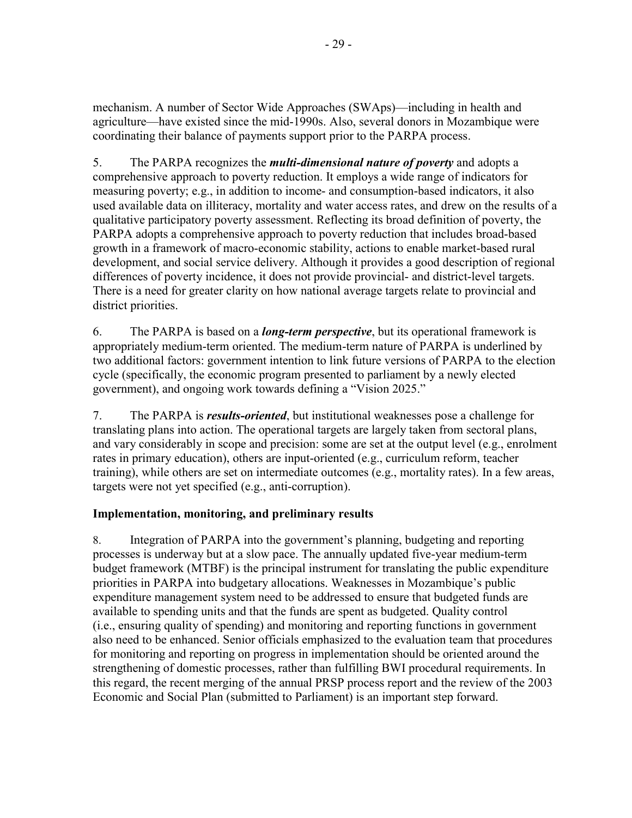mechanism. A number of Sector Wide Approaches (SWAps)—including in health and agriculture—have existed since the mid-1990s. Also, several donors in Mozambique were coordinating their balance of payments support prior to the PARPA process.

5. The PARPA recognizes the *multi-dimensional nature of poverty* and adopts a comprehensive approach to poverty reduction. It employs a wide range of indicators for measuring poverty; e.g., in addition to income- and consumption-based indicators, it also used available data on illiteracy, mortality and water access rates, and drew on the results of a qualitative participatory poverty assessment. Reflecting its broad definition of poverty, the PARPA adopts a comprehensive approach to poverty reduction that includes broad-based growth in a framework of macro-economic stability, actions to enable market-based rural development, and social service delivery. Although it provides a good description of regional differences of poverty incidence, it does not provide provincial- and district-level targets. There is a need for greater clarity on how national average targets relate to provincial and district priorities.

6. The PARPA is based on a *long-term perspective*, but its operational framework is appropriately medium-term oriented. The medium-term nature of PARPA is underlined by two additional factors: government intention to link future versions of PARPA to the election cycle (specifically, the economic program presented to parliament by a newly elected government), and ongoing work towards defining a "Vision 2025."

7. The PARPA is *results-oriented*, but institutional weaknesses pose a challenge for translating plans into action. The operational targets are largely taken from sectoral plans, and vary considerably in scope and precision: some are set at the output level (e.g., enrolment rates in primary education), others are input-oriented (e.g., curriculum reform, teacher training), while others are set on intermediate outcomes (e.g., mortality rates). In a few areas, targets were not yet specified (e.g., anti-corruption).

### **Implementation, monitoring, and preliminary results**

8. Integration of PARPA into the government's planning, budgeting and reporting processes is underway but at a slow pace. The annually updated five-year medium-term budget framework (MTBF) is the principal instrument for translating the public expenditure priorities in PARPA into budgetary allocations. Weaknesses in Mozambique's public expenditure management system need to be addressed to ensure that budgeted funds are available to spending units and that the funds are spent as budgeted. Quality control (i.e., ensuring quality of spending) and monitoring and reporting functions in government also need to be enhanced. Senior officials emphasized to the evaluation team that procedures for monitoring and reporting on progress in implementation should be oriented around the strengthening of domestic processes, rather than fulfilling BWI procedural requirements. In this regard, the recent merging of the annual PRSP process report and the review of the 2003 Economic and Social Plan (submitted to Parliament) is an important step forward.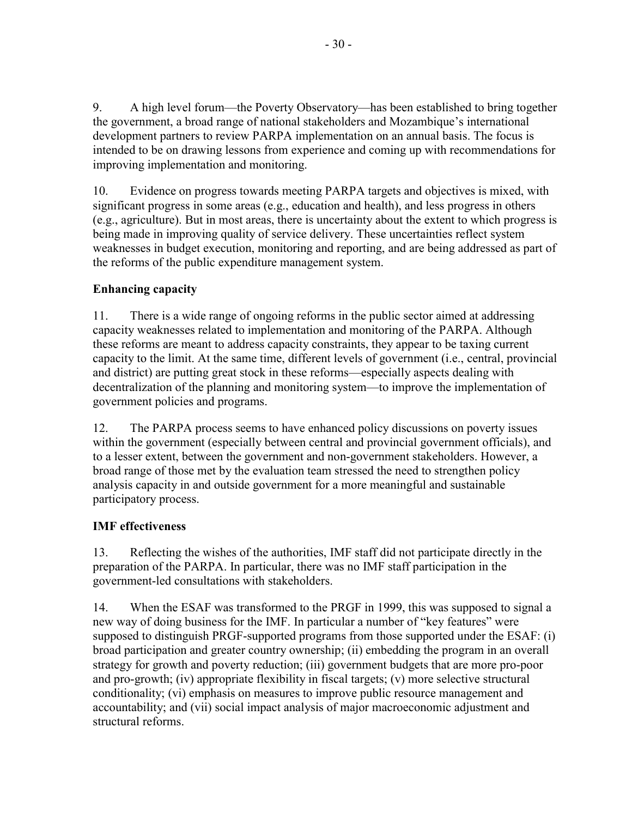9. A high level forum—the Poverty Observatory—has been established to bring together the government, a broad range of national stakeholders and Mozambique's international development partners to review PARPA implementation on an annual basis. The focus is intended to be on drawing lessons from experience and coming up with recommendations for improving implementation and monitoring.

10. Evidence on progress towards meeting PARPA targets and objectives is mixed, with significant progress in some areas (e.g., education and health), and less progress in others (e.g., agriculture). But in most areas, there is uncertainty about the extent to which progress is being made in improving quality of service delivery. These uncertainties reflect system weaknesses in budget execution, monitoring and reporting, and are being addressed as part of the reforms of the public expenditure management system.

## **Enhancing capacity**

11. There is a wide range of ongoing reforms in the public sector aimed at addressing capacity weaknesses related to implementation and monitoring of the PARPA. Although these reforms are meant to address capacity constraints, they appear to be taxing current capacity to the limit. At the same time, different levels of government (i.e., central, provincial and district) are putting great stock in these reforms—especially aspects dealing with decentralization of the planning and monitoring system—to improve the implementation of government policies and programs.

12. The PARPA process seems to have enhanced policy discussions on poverty issues within the government (especially between central and provincial government officials), and to a lesser extent, between the government and non-government stakeholders. However, a broad range of those met by the evaluation team stressed the need to strengthen policy analysis capacity in and outside government for a more meaningful and sustainable participatory process.

## **IMF effectiveness**

13. Reflecting the wishes of the authorities, IMF staff did not participate directly in the preparation of the PARPA. In particular, there was no IMF staff participation in the government-led consultations with stakeholders.

14. When the ESAF was transformed to the PRGF in 1999, this was supposed to signal a new way of doing business for the IMF. In particular a number of "key features" were supposed to distinguish PRGF-supported programs from those supported under the ESAF: (i) broad participation and greater country ownership; (ii) embedding the program in an overall strategy for growth and poverty reduction; (iii) government budgets that are more pro-poor and pro-growth; (iv) appropriate flexibility in fiscal targets; (v) more selective structural conditionality; (vi) emphasis on measures to improve public resource management and accountability; and (vii) social impact analysis of major macroeconomic adjustment and structural reforms.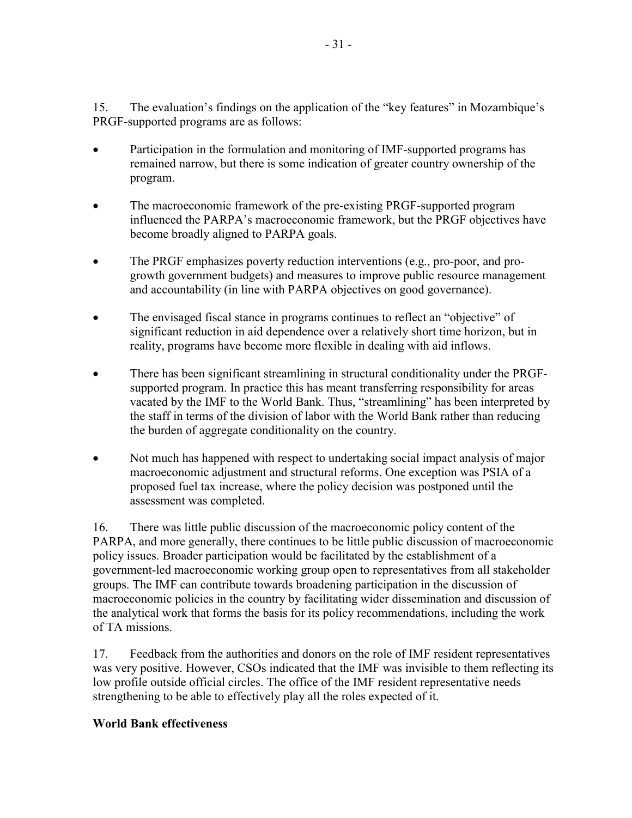15. The evaluation's findings on the application of the "key features" in Mozambique's PRGF-supported programs are as follows:

- Participation in the formulation and monitoring of IMF-supported programs has remained narrow, but there is some indication of greater country ownership of the program.
- The macroeconomic framework of the pre-existing PRGF-supported program influenced the PARPA's macroeconomic framework, but the PRGF objectives have become broadly aligned to PARPA goals.
- The PRGF emphasizes poverty reduction interventions (e.g., pro-poor, and progrowth government budgets) and measures to improve public resource management and accountability (in line with PARPA objectives on good governance).
- The envisaged fiscal stance in programs continues to reflect an "objective" of significant reduction in aid dependence over a relatively short time horizon, but in reality, programs have become more flexible in dealing with aid inflows.
- There has been significant streamlining in structural conditionality under the PRGFsupported program. In practice this has meant transferring responsibility for areas vacated by the IMF to the World Bank. Thus, "streamlining" has been interpreted by the staff in terms of the division of labor with the World Bank rather than reducing the burden of aggregate conditionality on the country.
- Not much has happened with respect to undertaking social impact analysis of major macroeconomic adjustment and structural reforms. One exception was PSIA of a proposed fuel tax increase, where the policy decision was postponed until the assessment was completed.

16. There was little public discussion of the macroeconomic policy content of the PARPA, and more generally, there continues to be little public discussion of macroeconomic policy issues. Broader participation would be facilitated by the establishment of a government-led macroeconomic working group open to representatives from all stakeholder groups. The IMF can contribute towards broadening participation in the discussion of macroeconomic policies in the country by facilitating wider dissemination and discussion of the analytical work that forms the basis for its policy recommendations, including the work of TA missions.

17. Feedback from the authorities and donors on the role of IMF resident representatives was very positive. However, CSOs indicated that the IMF was invisible to them reflecting its low profile outside official circles. The office of the IMF resident representative needs strengthening to be able to effectively play all the roles expected of it.

### **World Bank effectiveness**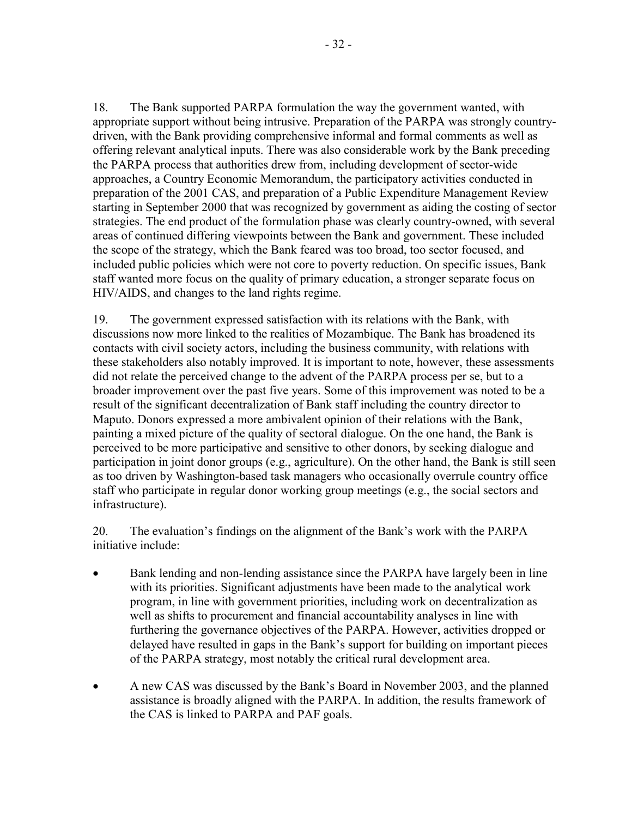18. The Bank supported PARPA formulation the way the government wanted, with appropriate support without being intrusive. Preparation of the PARPA was strongly countrydriven, with the Bank providing comprehensive informal and formal comments as well as offering relevant analytical inputs. There was also considerable work by the Bank preceding the PARPA process that authorities drew from, including development of sector-wide approaches, a Country Economic Memorandum, the participatory activities conducted in preparation of the 2001 CAS, and preparation of a Public Expenditure Management Review starting in September 2000 that was recognized by government as aiding the costing of sector strategies. The end product of the formulation phase was clearly country-owned, with several areas of continued differing viewpoints between the Bank and government. These included the scope of the strategy, which the Bank feared was too broad, too sector focused, and included public policies which were not core to poverty reduction. On specific issues, Bank staff wanted more focus on the quality of primary education, a stronger separate focus on HIV/AIDS, and changes to the land rights regime.

19. The government expressed satisfaction with its relations with the Bank, with discussions now more linked to the realities of Mozambique. The Bank has broadened its contacts with civil society actors, including the business community, with relations with these stakeholders also notably improved. It is important to note, however, these assessments did not relate the perceived change to the advent of the PARPA process per se, but to a broader improvement over the past five years. Some of this improvement was noted to be a result of the significant decentralization of Bank staff including the country director to Maputo. Donors expressed a more ambivalent opinion of their relations with the Bank, painting a mixed picture of the quality of sectoral dialogue. On the one hand, the Bank is perceived to be more participative and sensitive to other donors, by seeking dialogue and participation in joint donor groups (e.g., agriculture). On the other hand, the Bank is still seen as too driven by Washington-based task managers who occasionally overrule country office staff who participate in regular donor working group meetings (e.g., the social sectors and infrastructure).

20. The evaluation's findings on the alignment of the Bank's work with the PARPA initiative include:

- Bank lending and non-lending assistance since the PARPA have largely been in line with its priorities. Significant adjustments have been made to the analytical work program, in line with government priorities, including work on decentralization as well as shifts to procurement and financial accountability analyses in line with furthering the governance objectives of the PARPA. However, activities dropped or delayed have resulted in gaps in the Bank's support for building on important pieces of the PARPA strategy, most notably the critical rural development area.
- A new CAS was discussed by the Bank's Board in November 2003, and the planned assistance is broadly aligned with the PARPA. In addition, the results framework of the CAS is linked to PARPA and PAF goals.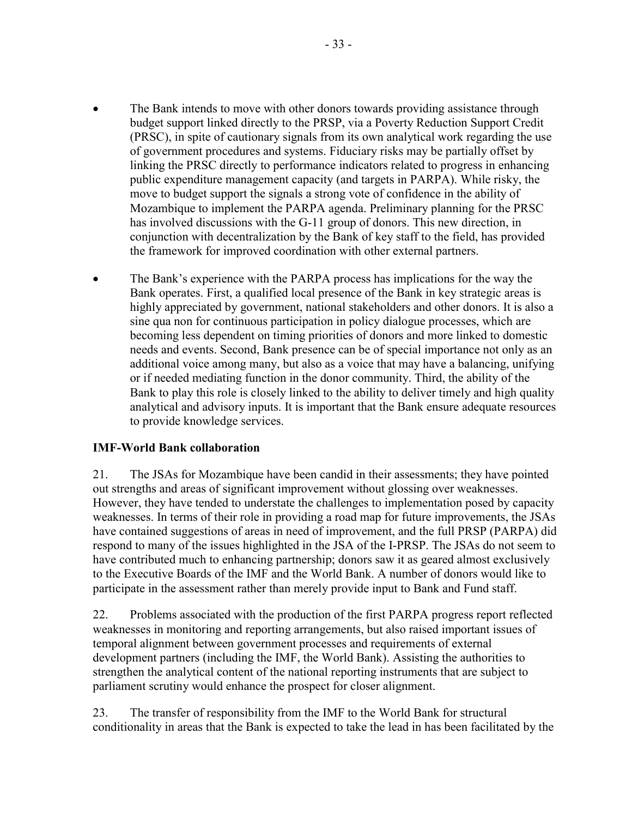- The Bank intends to move with other donors towards providing assistance through budget support linked directly to the PRSP, via a Poverty Reduction Support Credit (PRSC), in spite of cautionary signals from its own analytical work regarding the use of government procedures and systems. Fiduciary risks may be partially offset by linking the PRSC directly to performance indicators related to progress in enhancing public expenditure management capacity (and targets in PARPA). While risky, the move to budget support the signals a strong vote of confidence in the ability of Mozambique to implement the PARPA agenda. Preliminary planning for the PRSC has involved discussions with the G-11 group of donors. This new direction, in conjunction with decentralization by the Bank of key staff to the field, has provided the framework for improved coordination with other external partners.
- The Bank's experience with the PARPA process has implications for the way the Bank operates. First, a qualified local presence of the Bank in key strategic areas is highly appreciated by government, national stakeholders and other donors. It is also a sine qua non for continuous participation in policy dialogue processes, which are becoming less dependent on timing priorities of donors and more linked to domestic needs and events. Second, Bank presence can be of special importance not only as an additional voice among many, but also as a voice that may have a balancing, unifying or if needed mediating function in the donor community. Third, the ability of the Bank to play this role is closely linked to the ability to deliver timely and high quality analytical and advisory inputs. It is important that the Bank ensure adequate resources to provide knowledge services.

### **IMF-World Bank collaboration**

21. The JSAs for Mozambique have been candid in their assessments; they have pointed out strengths and areas of significant improvement without glossing over weaknesses. However, they have tended to understate the challenges to implementation posed by capacity weaknesses. In terms of their role in providing a road map for future improvements, the JSAs have contained suggestions of areas in need of improvement, and the full PRSP (PARPA) did respond to many of the issues highlighted in the JSA of the I-PRSP. The JSAs do not seem to have contributed much to enhancing partnership; donors saw it as geared almost exclusively to the Executive Boards of the IMF and the World Bank. A number of donors would like to participate in the assessment rather than merely provide input to Bank and Fund staff.

22. Problems associated with the production of the first PARPA progress report reflected weaknesses in monitoring and reporting arrangements, but also raised important issues of temporal alignment between government processes and requirements of external development partners (including the IMF, the World Bank). Assisting the authorities to strengthen the analytical content of the national reporting instruments that are subject to parliament scrutiny would enhance the prospect for closer alignment.

23. The transfer of responsibility from the IMF to the World Bank for structural conditionality in areas that the Bank is expected to take the lead in has been facilitated by the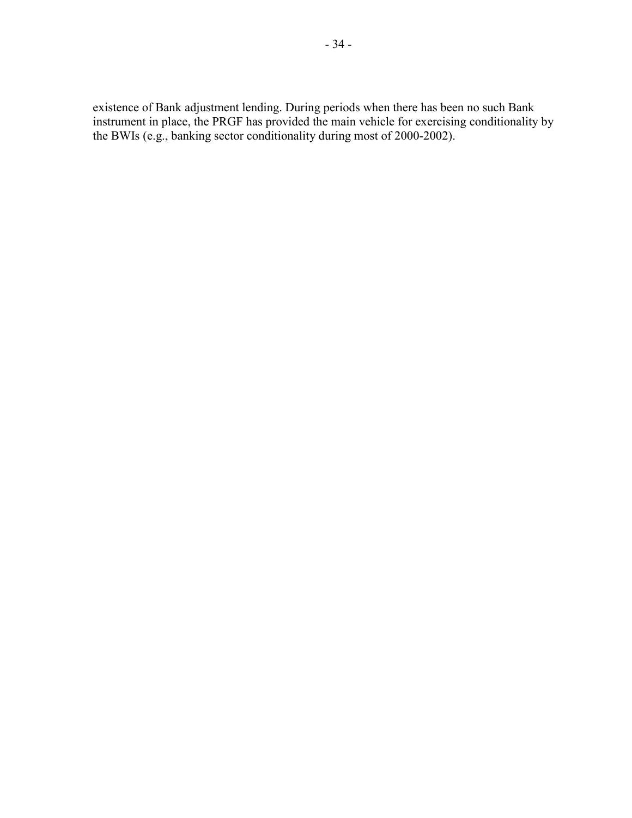existence of Bank adjustment lending. During periods when there has been no such Bank instrument in place, the PRGF has provided the main vehicle for exercising conditionality by the BWIs (e.g., banking sector conditionality during most of 2000-2002).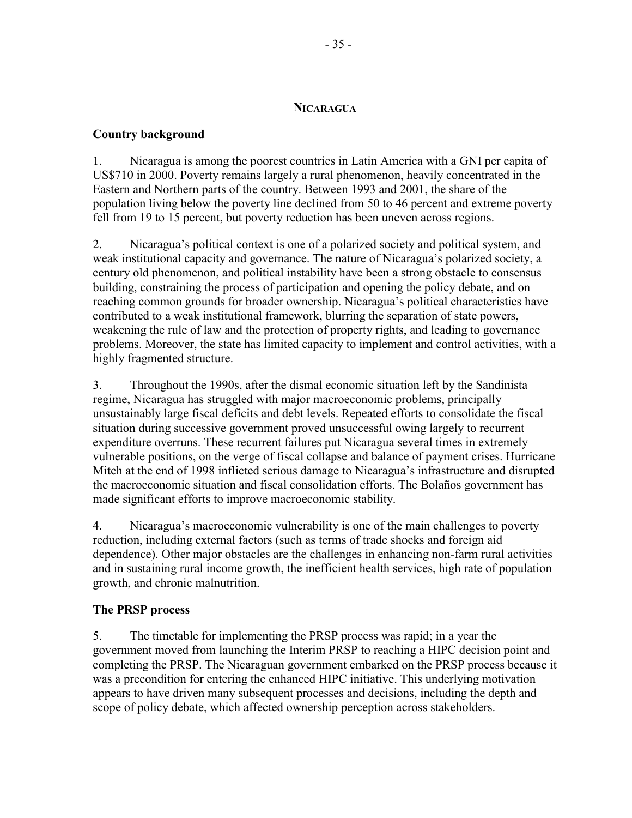#### **NICARAGUA**

#### **Country background**

1. Nicaragua is among the poorest countries in Latin America with a GNI per capita of US\$710 in 2000. Poverty remains largely a rural phenomenon, heavily concentrated in the Eastern and Northern parts of the country. Between 1993 and 2001, the share of the population living below the poverty line declined from 50 to 46 percent and extreme poverty fell from 19 to 15 percent, but poverty reduction has been uneven across regions.

2. Nicaragua's political context is one of a polarized society and political system, and weak institutional capacity and governance. The nature of Nicaragua's polarized society, a century old phenomenon, and political instability have been a strong obstacle to consensus building, constraining the process of participation and opening the policy debate, and on reaching common grounds for broader ownership. Nicaragua's political characteristics have contributed to a weak institutional framework, blurring the separation of state powers, weakening the rule of law and the protection of property rights, and leading to governance problems. Moreover, the state has limited capacity to implement and control activities, with a highly fragmented structure.

3. Throughout the 1990s, after the dismal economic situation left by the Sandinista regime, Nicaragua has struggled with major macroeconomic problems, principally unsustainably large fiscal deficits and debt levels. Repeated efforts to consolidate the fiscal situation during successive government proved unsuccessful owing largely to recurrent expenditure overruns. These recurrent failures put Nicaragua several times in extremely vulnerable positions, on the verge of fiscal collapse and balance of payment crises. Hurricane Mitch at the end of 1998 inflicted serious damage to Nicaragua's infrastructure and disrupted the macroeconomic situation and fiscal consolidation efforts. The Bolaños government has made significant efforts to improve macroeconomic stability.

4. Nicaragua's macroeconomic vulnerability is one of the main challenges to poverty reduction, including external factors (such as terms of trade shocks and foreign aid dependence). Other major obstacles are the challenges in enhancing non-farm rural activities and in sustaining rural income growth, the inefficient health services, high rate of population growth, and chronic malnutrition.

### **The PRSP process**

5. The timetable for implementing the PRSP process was rapid; in a year the government moved from launching the Interim PRSP to reaching a HIPC decision point and completing the PRSP. The Nicaraguan government embarked on the PRSP process because it was a precondition for entering the enhanced HIPC initiative. This underlying motivation appears to have driven many subsequent processes and decisions, including the depth and scope of policy debate, which affected ownership perception across stakeholders.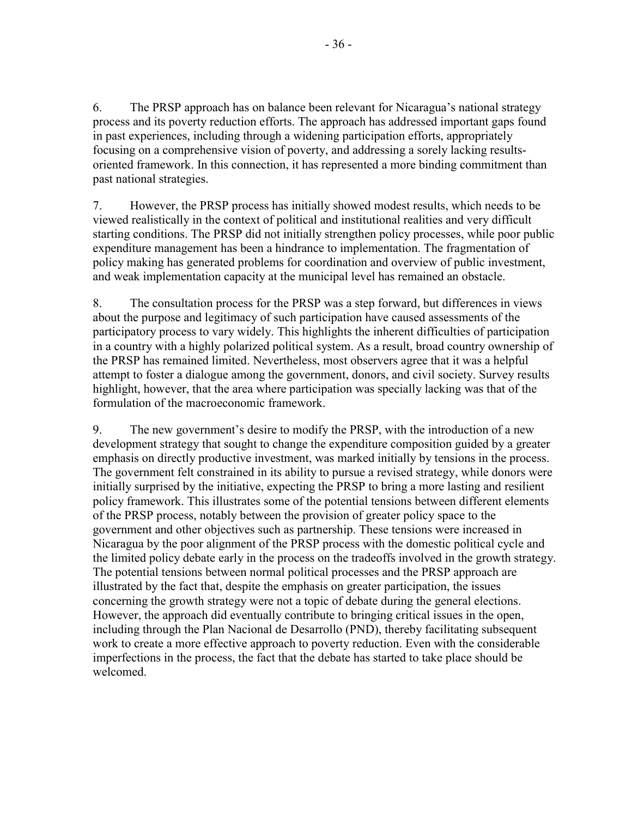6. The PRSP approach has on balance been relevant for Nicaragua's national strategy process and its poverty reduction efforts. The approach has addressed important gaps found in past experiences, including through a widening participation efforts, appropriately focusing on a comprehensive vision of poverty, and addressing a sorely lacking resultsoriented framework. In this connection, it has represented a more binding commitment than past national strategies.

7. However, the PRSP process has initially showed modest results, which needs to be viewed realistically in the context of political and institutional realities and very difficult starting conditions. The PRSP did not initially strengthen policy processes, while poor public expenditure management has been a hindrance to implementation. The fragmentation of policy making has generated problems for coordination and overview of public investment, and weak implementation capacity at the municipal level has remained an obstacle.

8. The consultation process for the PRSP was a step forward, but differences in views about the purpose and legitimacy of such participation have caused assessments of the participatory process to vary widely. This highlights the inherent difficulties of participation in a country with a highly polarized political system. As a result, broad country ownership of the PRSP has remained limited. Nevertheless, most observers agree that it was a helpful attempt to foster a dialogue among the government, donors, and civil society. Survey results highlight, however, that the area where participation was specially lacking was that of the formulation of the macroeconomic framework.

9. The new government's desire to modify the PRSP, with the introduction of a new development strategy that sought to change the expenditure composition guided by a greater emphasis on directly productive investment, was marked initially by tensions in the process. The government felt constrained in its ability to pursue a revised strategy, while donors were initially surprised by the initiative, expecting the PRSP to bring a more lasting and resilient policy framework. This illustrates some of the potential tensions between different elements of the PRSP process, notably between the provision of greater policy space to the government and other objectives such as partnership. These tensions were increased in Nicaragua by the poor alignment of the PRSP process with the domestic political cycle and the limited policy debate early in the process on the tradeoffs involved in the growth strategy. The potential tensions between normal political processes and the PRSP approach are illustrated by the fact that, despite the emphasis on greater participation, the issues concerning the growth strategy were not a topic of debate during the general elections. However, the approach did eventually contribute to bringing critical issues in the open, including through the Plan Nacional de Desarrollo (PND), thereby facilitating subsequent work to create a more effective approach to poverty reduction. Even with the considerable imperfections in the process, the fact that the debate has started to take place should be welcomed.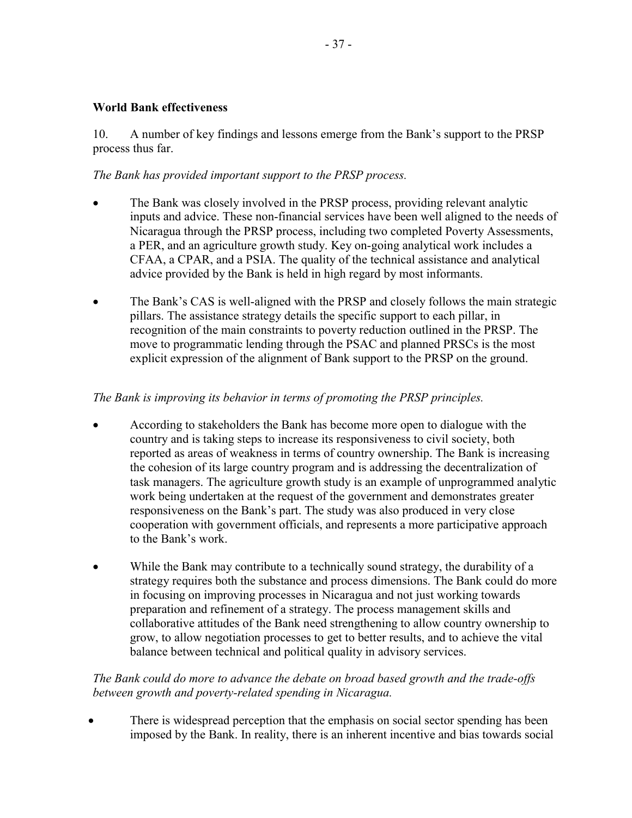#### **World Bank effectiveness**

10. A number of key findings and lessons emerge from the Bank's support to the PRSP process thus far.

#### *The Bank has provided important support to the PRSP process.*

- The Bank was closely involved in the PRSP process, providing relevant analytic inputs and advice. These non-financial services have been well aligned to the needs of Nicaragua through the PRSP process, including two completed Poverty Assessments, a PER, and an agriculture growth study. Key on-going analytical work includes a CFAA, a CPAR, and a PSIA. The quality of the technical assistance and analytical advice provided by the Bank is held in high regard by most informants.
- The Bank's CAS is well-aligned with the PRSP and closely follows the main strategic pillars. The assistance strategy details the specific support to each pillar, in recognition of the main constraints to poverty reduction outlined in the PRSP. The move to programmatic lending through the PSAC and planned PRSCs is the most explicit expression of the alignment of Bank support to the PRSP on the ground.

### *The Bank is improving its behavior in terms of promoting the PRSP principles.*

- According to stakeholders the Bank has become more open to dialogue with the country and is taking steps to increase its responsiveness to civil society, both reported as areas of weakness in terms of country ownership. The Bank is increasing the cohesion of its large country program and is addressing the decentralization of task managers. The agriculture growth study is an example of unprogrammed analytic work being undertaken at the request of the government and demonstrates greater responsiveness on the Bank's part. The study was also produced in very close cooperation with government officials, and represents a more participative approach to the Bank's work.
- While the Bank may contribute to a technically sound strategy, the durability of a strategy requires both the substance and process dimensions. The Bank could do more in focusing on improving processes in Nicaragua and not just working towards preparation and refinement of a strategy. The process management skills and collaborative attitudes of the Bank need strengthening to allow country ownership to grow, to allow negotiation processes to get to better results, and to achieve the vital balance between technical and political quality in advisory services.

### *The Bank could do more to advance the debate on broad based growth and the trade-offs between growth and poverty-related spending in Nicaragua.*

There is widespread perception that the emphasis on social sector spending has been imposed by the Bank. In reality, there is an inherent incentive and bias towards social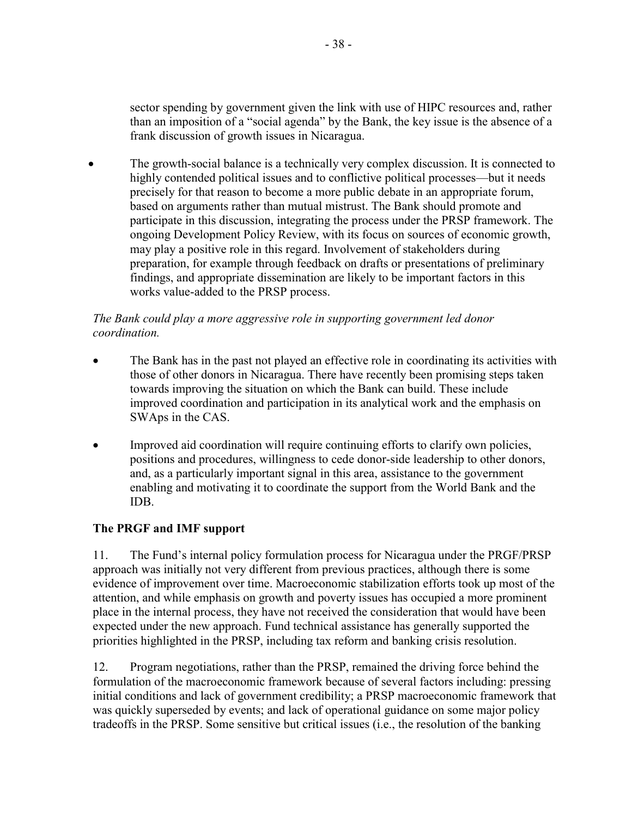sector spending by government given the link with use of HIPC resources and, rather than an imposition of a "social agenda" by the Bank, the key issue is the absence of a frank discussion of growth issues in Nicaragua.

• The growth-social balance is a technically very complex discussion. It is connected to highly contended political issues and to conflictive political processes—but it needs precisely for that reason to become a more public debate in an appropriate forum, based on arguments rather than mutual mistrust. The Bank should promote and participate in this discussion, integrating the process under the PRSP framework. The ongoing Development Policy Review, with its focus on sources of economic growth, may play a positive role in this regard. Involvement of stakeholders during preparation, for example through feedback on drafts or presentations of preliminary findings, and appropriate dissemination are likely to be important factors in this works value-added to the PRSP process.

### *The Bank could play a more aggressive role in supporting government led donor coordination.*

- The Bank has in the past not played an effective role in coordinating its activities with those of other donors in Nicaragua. There have recently been promising steps taken towards improving the situation on which the Bank can build. These include improved coordination and participation in its analytical work and the emphasis on SWAps in the CAS.
- Improved aid coordination will require continuing efforts to clarify own policies, positions and procedures, willingness to cede donor-side leadership to other donors, and, as a particularly important signal in this area, assistance to the government enabling and motivating it to coordinate the support from the World Bank and the IDB.

### **The PRGF and IMF support**

11. The Fund's internal policy formulation process for Nicaragua under the PRGF/PRSP approach was initially not very different from previous practices, although there is some evidence of improvement over time. Macroeconomic stabilization efforts took up most of the attention, and while emphasis on growth and poverty issues has occupied a more prominent place in the internal process, they have not received the consideration that would have been expected under the new approach. Fund technical assistance has generally supported the priorities highlighted in the PRSP, including tax reform and banking crisis resolution.

12. Program negotiations, rather than the PRSP, remained the driving force behind the formulation of the macroeconomic framework because of several factors including: pressing initial conditions and lack of government credibility; a PRSP macroeconomic framework that was quickly superseded by events; and lack of operational guidance on some major policy tradeoffs in the PRSP. Some sensitive but critical issues (i.e., the resolution of the banking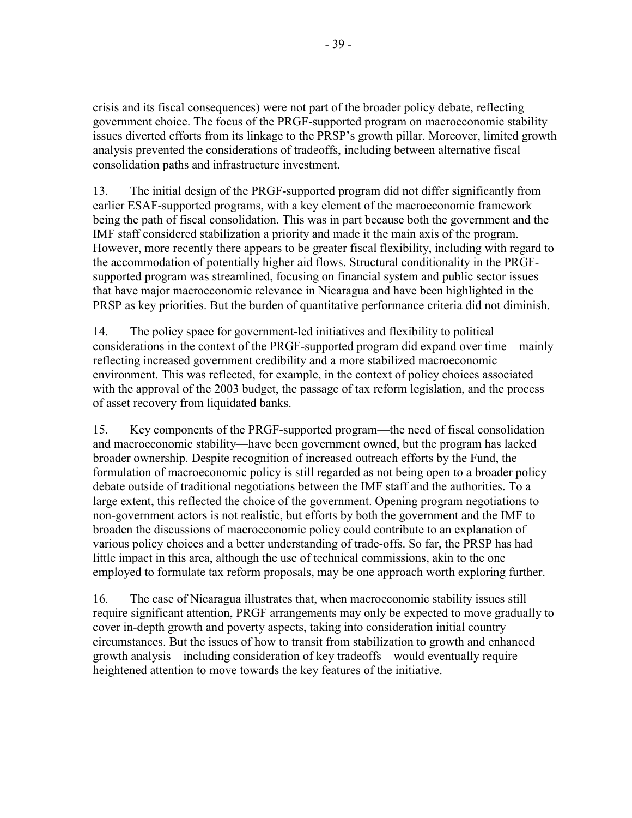crisis and its fiscal consequences) were not part of the broader policy debate, reflecting government choice. The focus of the PRGF-supported program on macroeconomic stability issues diverted efforts from its linkage to the PRSP's growth pillar. Moreover, limited growth analysis prevented the considerations of tradeoffs, including between alternative fiscal consolidation paths and infrastructure investment.

13. The initial design of the PRGF-supported program did not differ significantly from earlier ESAF-supported programs, with a key element of the macroeconomic framework being the path of fiscal consolidation. This was in part because both the government and the IMF staff considered stabilization a priority and made it the main axis of the program. However, more recently there appears to be greater fiscal flexibility, including with regard to the accommodation of potentially higher aid flows. Structural conditionality in the PRGFsupported program was streamlined, focusing on financial system and public sector issues that have major macroeconomic relevance in Nicaragua and have been highlighted in the PRSP as key priorities. But the burden of quantitative performance criteria did not diminish.

14. The policy space for government-led initiatives and flexibility to political considerations in the context of the PRGF-supported program did expand over time—mainly reflecting increased government credibility and a more stabilized macroeconomic environment. This was reflected, for example, in the context of policy choices associated with the approval of the 2003 budget, the passage of tax reform legislation, and the process of asset recovery from liquidated banks.

15. Key components of the PRGF-supported program—the need of fiscal consolidation and macroeconomic stability—have been government owned, but the program has lacked broader ownership. Despite recognition of increased outreach efforts by the Fund, the formulation of macroeconomic policy is still regarded as not being open to a broader policy debate outside of traditional negotiations between the IMF staff and the authorities. To a large extent, this reflected the choice of the government. Opening program negotiations to non-government actors is not realistic, but efforts by both the government and the IMF to broaden the discussions of macroeconomic policy could contribute to an explanation of various policy choices and a better understanding of trade-offs. So far, the PRSP has had little impact in this area, although the use of technical commissions, akin to the one employed to formulate tax reform proposals, may be one approach worth exploring further.

16. The case of Nicaragua illustrates that, when macroeconomic stability issues still require significant attention, PRGF arrangements may only be expected to move gradually to cover in-depth growth and poverty aspects, taking into consideration initial country circumstances. But the issues of how to transit from stabilization to growth and enhanced growth analysis—including consideration of key tradeoffs—would eventually require heightened attention to move towards the key features of the initiative.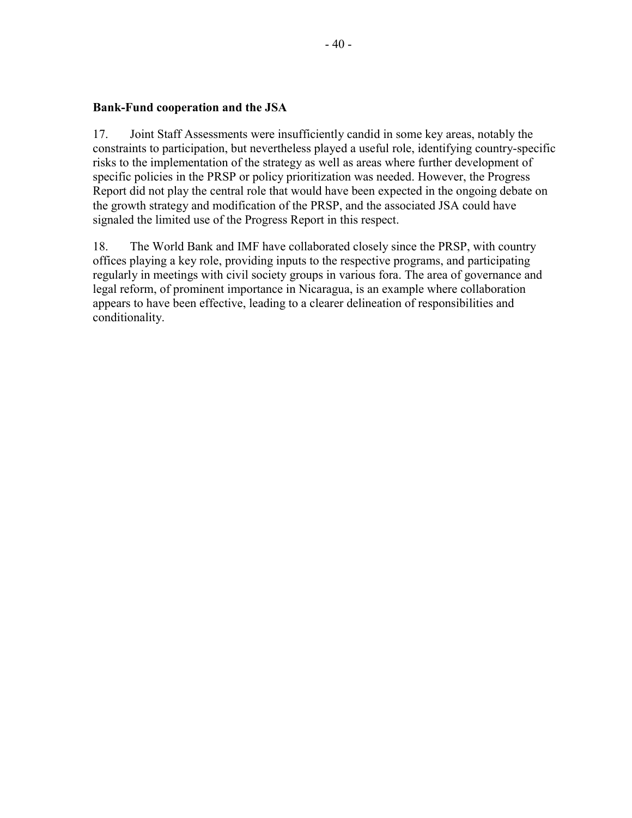#### **Bank-Fund cooperation and the JSA**

17. Joint Staff Assessments were insufficiently candid in some key areas, notably the constraints to participation, but nevertheless played a useful role, identifying country-specific risks to the implementation of the strategy as well as areas where further development of specific policies in the PRSP or policy prioritization was needed. However, the Progress Report did not play the central role that would have been expected in the ongoing debate on the growth strategy and modification of the PRSP, and the associated JSA could have signaled the limited use of the Progress Report in this respect.

18. The World Bank and IMF have collaborated closely since the PRSP, with country offices playing a key role, providing inputs to the respective programs, and participating regularly in meetings with civil society groups in various fora. The area of governance and legal reform, of prominent importance in Nicaragua, is an example where collaboration appears to have been effective, leading to a clearer delineation of responsibilities and conditionality.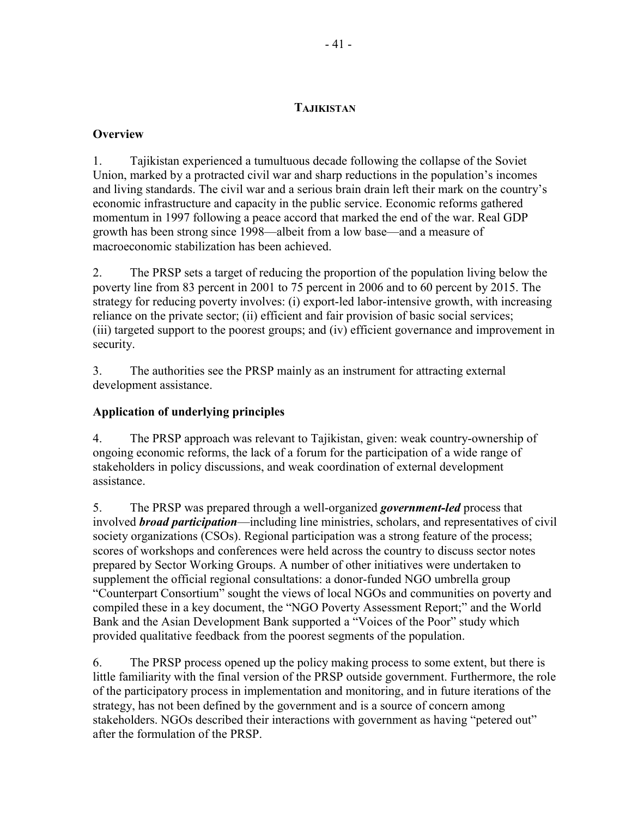#### **TAJIKISTAN**

### **Overview**

1. Tajikistan experienced a tumultuous decade following the collapse of the Soviet Union, marked by a protracted civil war and sharp reductions in the population's incomes and living standards. The civil war and a serious brain drain left their mark on the country's economic infrastructure and capacity in the public service. Economic reforms gathered momentum in 1997 following a peace accord that marked the end of the war. Real GDP growth has been strong since 1998—albeit from a low base—and a measure of macroeconomic stabilization has been achieved.

2. The PRSP sets a target of reducing the proportion of the population living below the poverty line from 83 percent in 2001 to 75 percent in 2006 and to 60 percent by 2015. The strategy for reducing poverty involves: (i) export-led labor-intensive growth, with increasing reliance on the private sector; (ii) efficient and fair provision of basic social services; (iii) targeted support to the poorest groups; and (iv) efficient governance and improvement in security.

3. The authorities see the PRSP mainly as an instrument for attracting external development assistance.

## **Application of underlying principles**

4. The PRSP approach was relevant to Tajikistan, given: weak country-ownership of ongoing economic reforms, the lack of a forum for the participation of a wide range of stakeholders in policy discussions, and weak coordination of external development assistance.

5. The PRSP was prepared through a well-organized *government-led* process that involved *broad participation*—including line ministries, scholars, and representatives of civil society organizations (CSOs). Regional participation was a strong feature of the process; scores of workshops and conferences were held across the country to discuss sector notes prepared by Sector Working Groups. A number of other initiatives were undertaken to supplement the official regional consultations: a donor-funded NGO umbrella group "Counterpart Consortium" sought the views of local NGOs and communities on poverty and compiled these in a key document, the "NGO Poverty Assessment Report;" and the World Bank and the Asian Development Bank supported a "Voices of the Poor" study which provided qualitative feedback from the poorest segments of the population.

6. The PRSP process opened up the policy making process to some extent, but there is little familiarity with the final version of the PRSP outside government. Furthermore, the role of the participatory process in implementation and monitoring, and in future iterations of the strategy, has not been defined by the government and is a source of concern among stakeholders. NGOs described their interactions with government as having "petered out" after the formulation of the PRSP.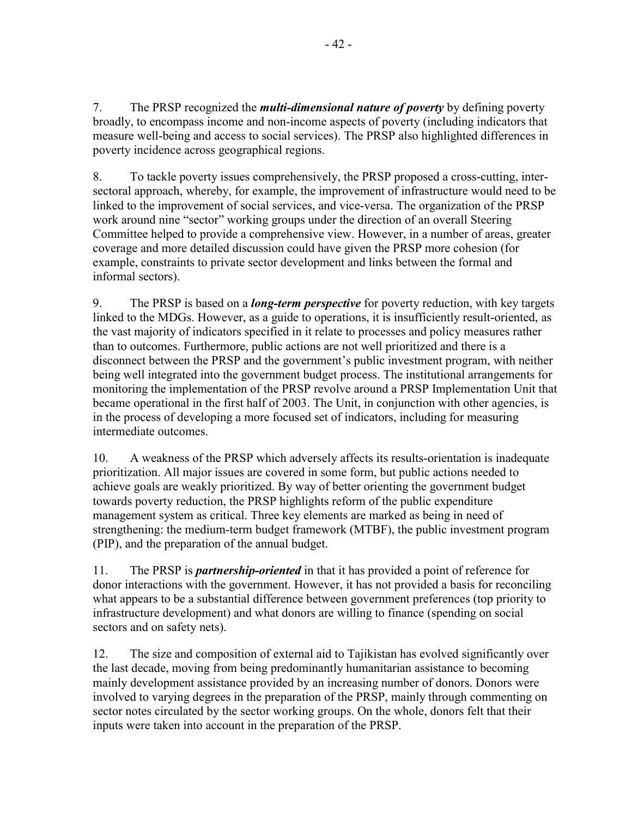7. The PRSP recognized the *multi-dimensional nature of poverty* by defining poverty broadly, to encompass income and non-income aspects of poverty (including indicators that measure well-being and access to social services). The PRSP also highlighted differences in poverty incidence across geographical regions.

8. To tackle poverty issues comprehensively, the PRSP proposed a cross-cutting, intersectoral approach, whereby, for example, the improvement of infrastructure would need to be linked to the improvement of social services, and vice-versa. The organization of the PRSP work around nine "sector" working groups under the direction of an overall Steering Committee helped to provide a comprehensive view. However, in a number of areas, greater coverage and more detailed discussion could have given the PRSP more cohesion (for example, constraints to private sector development and links between the formal and informal sectors).

9. The PRSP is based on a *long-term perspective* for poverty reduction, with key targets linked to the MDGs. However, as a guide to operations, it is insufficiently result-oriented, as the vast majority of indicators specified in it relate to processes and policy measures rather than to outcomes. Furthermore, public actions are not well prioritized and there is a disconnect between the PRSP and the government's public investment program, with neither being well integrated into the government budget process. The institutional arrangements for monitoring the implementation of the PRSP revolve around a PRSP Implementation Unit that became operational in the first half of 2003. The Unit, in conjunction with other agencies, is in the process of developing a more focused set of indicators, including for measuring intermediate outcomes.

10. A weakness of the PRSP which adversely affects its results-orientation is inadequate prioritization. All major issues are covered in some form, but public actions needed to achieve goals are weakly prioritized. By way of better orienting the government budget towards poverty reduction, the PRSP highlights reform of the public expenditure management system as critical. Three key elements are marked as being in need of strengthening: the medium-term budget framework (MTBF), the public investment program (PIP), and the preparation of the annual budget.

11. The PRSP is *partnership-oriented* in that it has provided a point of reference for donor interactions with the government. However, it has not provided a basis for reconciling what appears to be a substantial difference between government preferences (top priority to infrastructure development) and what donors are willing to finance (spending on social sectors and on safety nets).

12. The size and composition of external aid to Tajikistan has evolved significantly over the last decade, moving from being predominantly humanitarian assistance to becoming mainly development assistance provided by an increasing number of donors. Donors were involved to varying degrees in the preparation of the PRSP, mainly through commenting on sector notes circulated by the sector working groups. On the whole, donors felt that their inputs were taken into account in the preparation of the PRSP.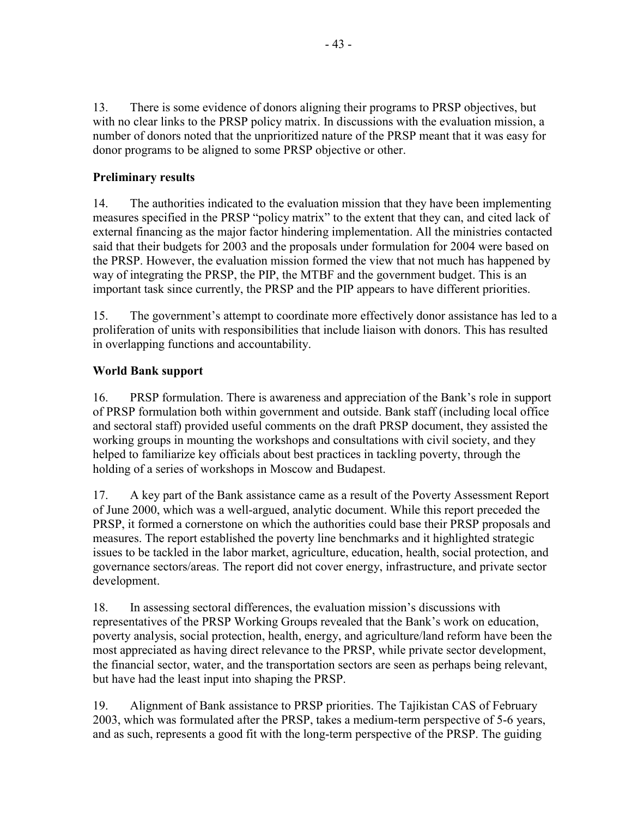13. There is some evidence of donors aligning their programs to PRSP objectives, but with no clear links to the PRSP policy matrix. In discussions with the evaluation mission, a number of donors noted that the unprioritized nature of the PRSP meant that it was easy for donor programs to be aligned to some PRSP objective or other.

### **Preliminary results**

14. The authorities indicated to the evaluation mission that they have been implementing measures specified in the PRSP "policy matrix" to the extent that they can, and cited lack of external financing as the major factor hindering implementation. All the ministries contacted said that their budgets for 2003 and the proposals under formulation for 2004 were based on the PRSP. However, the evaluation mission formed the view that not much has happened by way of integrating the PRSP, the PIP, the MTBF and the government budget. This is an important task since currently, the PRSP and the PIP appears to have different priorities.

15. The government's attempt to coordinate more effectively donor assistance has led to a proliferation of units with responsibilities that include liaison with donors. This has resulted in overlapping functions and accountability.

### **World Bank support**

16. PRSP formulation. There is awareness and appreciation of the Bank's role in support of PRSP formulation both within government and outside. Bank staff (including local office and sectoral staff) provided useful comments on the draft PRSP document, they assisted the working groups in mounting the workshops and consultations with civil society, and they helped to familiarize key officials about best practices in tackling poverty, through the holding of a series of workshops in Moscow and Budapest.

17. A key part of the Bank assistance came as a result of the Poverty Assessment Report of June 2000, which was a well-argued, analytic document. While this report preceded the PRSP, it formed a cornerstone on which the authorities could base their PRSP proposals and measures. The report established the poverty line benchmarks and it highlighted strategic issues to be tackled in the labor market, agriculture, education, health, social protection, and governance sectors/areas. The report did not cover energy, infrastructure, and private sector development.

18. In assessing sectoral differences, the evaluation mission's discussions with representatives of the PRSP Working Groups revealed that the Bank's work on education, poverty analysis, social protection, health, energy, and agriculture/land reform have been the most appreciated as having direct relevance to the PRSP, while private sector development, the financial sector, water, and the transportation sectors are seen as perhaps being relevant, but have had the least input into shaping the PRSP.

19. Alignment of Bank assistance to PRSP priorities. The Tajikistan CAS of February 2003, which was formulated after the PRSP, takes a medium-term perspective of 5-6 years, and as such, represents a good fit with the long-term perspective of the PRSP. The guiding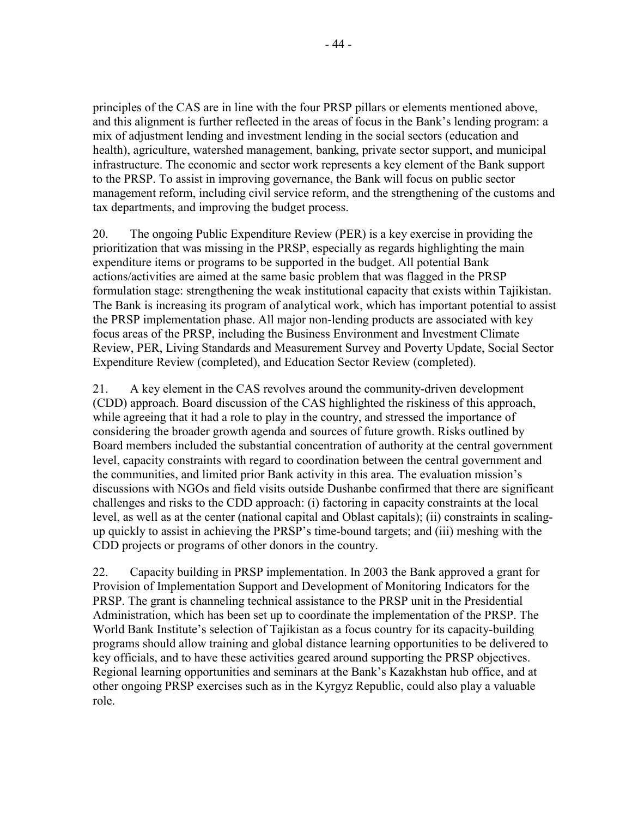principles of the CAS are in line with the four PRSP pillars or elements mentioned above, and this alignment is further reflected in the areas of focus in the Bank's lending program: a mix of adjustment lending and investment lending in the social sectors (education and health), agriculture, watershed management, banking, private sector support, and municipal infrastructure. The economic and sector work represents a key element of the Bank support to the PRSP. To assist in improving governance, the Bank will focus on public sector management reform, including civil service reform, and the strengthening of the customs and tax departments, and improving the budget process.

20. The ongoing Public Expenditure Review (PER) is a key exercise in providing the prioritization that was missing in the PRSP, especially as regards highlighting the main expenditure items or programs to be supported in the budget. All potential Bank actions/activities are aimed at the same basic problem that was flagged in the PRSP formulation stage: strengthening the weak institutional capacity that exists within Tajikistan. The Bank is increasing its program of analytical work, which has important potential to assist the PRSP implementation phase. All major non-lending products are associated with key focus areas of the PRSP, including the Business Environment and Investment Climate Review, PER, Living Standards and Measurement Survey and Poverty Update, Social Sector Expenditure Review (completed), and Education Sector Review (completed).

21. A key element in the CAS revolves around the community-driven development (CDD) approach. Board discussion of the CAS highlighted the riskiness of this approach, while agreeing that it had a role to play in the country, and stressed the importance of considering the broader growth agenda and sources of future growth. Risks outlined by Board members included the substantial concentration of authority at the central government level, capacity constraints with regard to coordination between the central government and the communities, and limited prior Bank activity in this area. The evaluation mission's discussions with NGOs and field visits outside Dushanbe confirmed that there are significant challenges and risks to the CDD approach: (i) factoring in capacity constraints at the local level, as well as at the center (national capital and Oblast capitals); (ii) constraints in scalingup quickly to assist in achieving the PRSP's time-bound targets; and (iii) meshing with the CDD projects or programs of other donors in the country.

22. Capacity building in PRSP implementation. In 2003 the Bank approved a grant for Provision of Implementation Support and Development of Monitoring Indicators for the PRSP. The grant is channeling technical assistance to the PRSP unit in the Presidential Administration, which has been set up to coordinate the implementation of the PRSP. The World Bank Institute's selection of Tajikistan as a focus country for its capacity-building programs should allow training and global distance learning opportunities to be delivered to key officials, and to have these activities geared around supporting the PRSP objectives. Regional learning opportunities and seminars at the Bank's Kazakhstan hub office, and at other ongoing PRSP exercises such as in the Kyrgyz Republic, could also play a valuable role.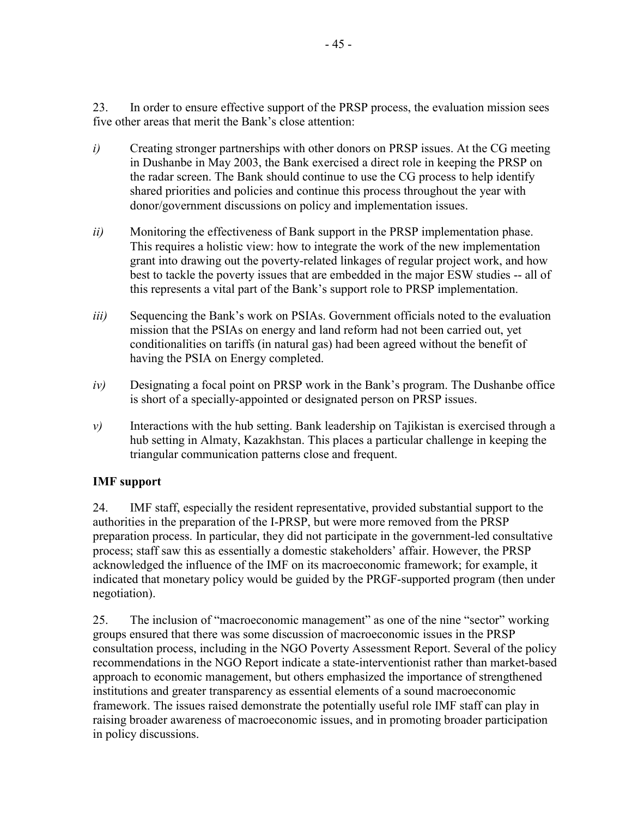23. In order to ensure effective support of the PRSP process, the evaluation mission sees five other areas that merit the Bank's close attention:

- *i*) Creating stronger partnerships with other donors on PRSP issues. At the CG meeting in Dushanbe in May 2003, the Bank exercised a direct role in keeping the PRSP on the radar screen. The Bank should continue to use the CG process to help identify shared priorities and policies and continue this process throughout the year with donor/government discussions on policy and implementation issues.
- *ii)* Monitoring the effectiveness of Bank support in the PRSP implementation phase. This requires a holistic view: how to integrate the work of the new implementation grant into drawing out the poverty-related linkages of regular project work, and how best to tackle the poverty issues that are embedded in the major ESW studies -- all of this represents a vital part of the Bank's support role to PRSP implementation.
- *iii*) Sequencing the Bank's work on PSIAs. Government officials noted to the evaluation mission that the PSIAs on energy and land reform had not been carried out, yet conditionalities on tariffs (in natural gas) had been agreed without the benefit of having the PSIA on Energy completed.
- *iv)* Designating a focal point on PRSP work in the Bank's program. The Dushanbe office is short of a specially-appointed or designated person on PRSP issues.
- *v*) Interactions with the hub setting. Bank leadership on Tajikistan is exercised through a hub setting in Almaty, Kazakhstan. This places a particular challenge in keeping the triangular communication patterns close and frequent.

## **IMF support**

24. IMF staff, especially the resident representative, provided substantial support to the authorities in the preparation of the I-PRSP, but were more removed from the PRSP preparation process. In particular, they did not participate in the government-led consultative process; staff saw this as essentially a domestic stakeholders' affair. However, the PRSP acknowledged the influence of the IMF on its macroeconomic framework; for example, it indicated that monetary policy would be guided by the PRGF-supported program (then under negotiation).

25. The inclusion of "macroeconomic management" as one of the nine "sector" working groups ensured that there was some discussion of macroeconomic issues in the PRSP consultation process, including in the NGO Poverty Assessment Report. Several of the policy recommendations in the NGO Report indicate a state-interventionist rather than market-based approach to economic management, but others emphasized the importance of strengthened institutions and greater transparency as essential elements of a sound macroeconomic framework. The issues raised demonstrate the potentially useful role IMF staff can play in raising broader awareness of macroeconomic issues, and in promoting broader participation in policy discussions.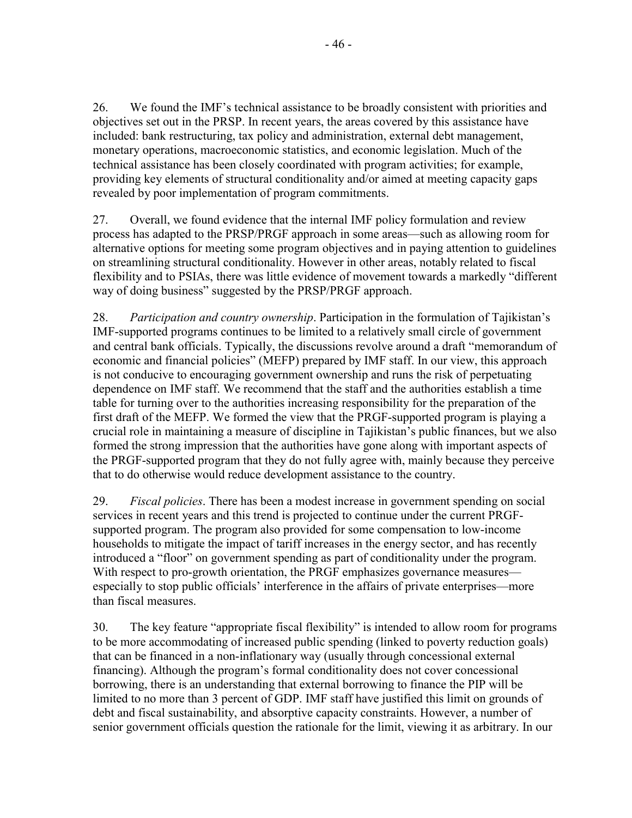26. We found the IMF's technical assistance to be broadly consistent with priorities and objectives set out in the PRSP. In recent years, the areas covered by this assistance have included: bank restructuring, tax policy and administration, external debt management, monetary operations, macroeconomic statistics, and economic legislation. Much of the technical assistance has been closely coordinated with program activities; for example, providing key elements of structural conditionality and/or aimed at meeting capacity gaps revealed by poor implementation of program commitments.

27. Overall, we found evidence that the internal IMF policy formulation and review process has adapted to the PRSP/PRGF approach in some areas—such as allowing room for alternative options for meeting some program objectives and in paying attention to guidelines on streamlining structural conditionality. However in other areas, notably related to fiscal flexibility and to PSIAs, there was little evidence of movement towards a markedly "different way of doing business" suggested by the PRSP/PRGF approach.

28. *Participation and country ownership*. Participation in the formulation of Tajikistan's IMF-supported programs continues to be limited to a relatively small circle of government and central bank officials. Typically, the discussions revolve around a draft "memorandum of economic and financial policies" (MEFP) prepared by IMF staff. In our view, this approach is not conducive to encouraging government ownership and runs the risk of perpetuating dependence on IMF staff. We recommend that the staff and the authorities establish a time table for turning over to the authorities increasing responsibility for the preparation of the first draft of the MEFP. We formed the view that the PRGF-supported program is playing a crucial role in maintaining a measure of discipline in Tajikistan's public finances, but we also formed the strong impression that the authorities have gone along with important aspects of the PRGF-supported program that they do not fully agree with, mainly because they perceive that to do otherwise would reduce development assistance to the country.

29. *Fiscal policies*. There has been a modest increase in government spending on social services in recent years and this trend is projected to continue under the current PRGFsupported program. The program also provided for some compensation to low-income households to mitigate the impact of tariff increases in the energy sector, and has recently introduced a "floor" on government spending as part of conditionality under the program. With respect to pro-growth orientation, the PRGF emphasizes governance measures especially to stop public officials' interference in the affairs of private enterprises—more than fiscal measures.

30. The key feature "appropriate fiscal flexibility" is intended to allow room for programs to be more accommodating of increased public spending (linked to poverty reduction goals) that can be financed in a non-inflationary way (usually through concessional external financing). Although the program's formal conditionality does not cover concessional borrowing, there is an understanding that external borrowing to finance the PIP will be limited to no more than 3 percent of GDP. IMF staff have justified this limit on grounds of debt and fiscal sustainability, and absorptive capacity constraints. However, a number of senior government officials question the rationale for the limit, viewing it as arbitrary. In our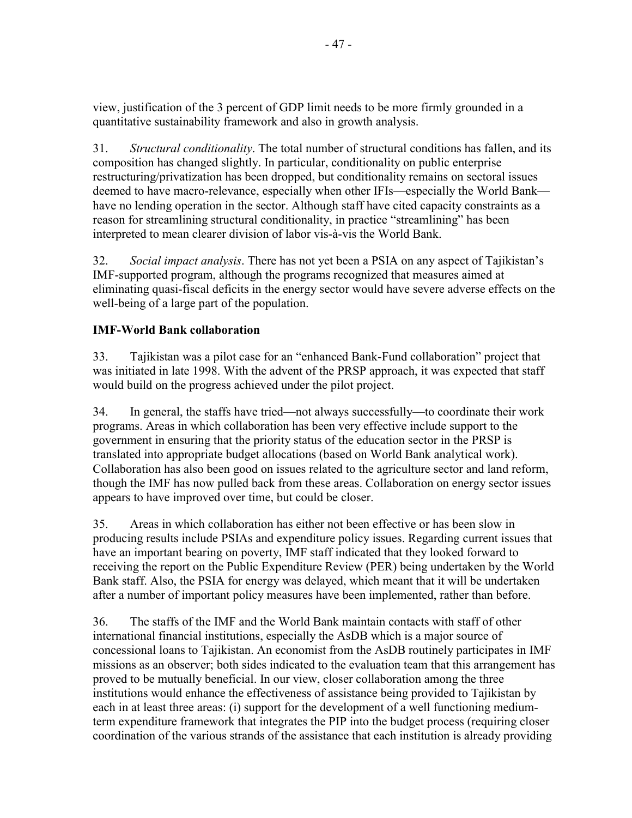view, justification of the 3 percent of GDP limit needs to be more firmly grounded in a quantitative sustainability framework and also in growth analysis.

31. *Structural conditionality*. The total number of structural conditions has fallen, and its composition has changed slightly. In particular, conditionality on public enterprise restructuring/privatization has been dropped, but conditionality remains on sectoral issues deemed to have macro-relevance, especially when other IFIs—especially the World Bank have no lending operation in the sector. Although staff have cited capacity constraints as a reason for streamlining structural conditionality, in practice "streamlining" has been interpreted to mean clearer division of labor vis-à-vis the World Bank.

32. *Social impact analysis*. There has not yet been a PSIA on any aspect of Tajikistan's IMF-supported program, although the programs recognized that measures aimed at eliminating quasi-fiscal deficits in the energy sector would have severe adverse effects on the well-being of a large part of the population.

## **IMF-World Bank collaboration**

33. Tajikistan was a pilot case for an "enhanced Bank-Fund collaboration" project that was initiated in late 1998. With the advent of the PRSP approach, it was expected that staff would build on the progress achieved under the pilot project.

34. In general, the staffs have tried—not always successfully—to coordinate their work programs. Areas in which collaboration has been very effective include support to the government in ensuring that the priority status of the education sector in the PRSP is translated into appropriate budget allocations (based on World Bank analytical work). Collaboration has also been good on issues related to the agriculture sector and land reform, though the IMF has now pulled back from these areas. Collaboration on energy sector issues appears to have improved over time, but could be closer.

35. Areas in which collaboration has either not been effective or has been slow in producing results include PSIAs and expenditure policy issues. Regarding current issues that have an important bearing on poverty, IMF staff indicated that they looked forward to receiving the report on the Public Expenditure Review (PER) being undertaken by the World Bank staff. Also, the PSIA for energy was delayed, which meant that it will be undertaken after a number of important policy measures have been implemented, rather than before.

36. The staffs of the IMF and the World Bank maintain contacts with staff of other international financial institutions, especially the AsDB which is a major source of concessional loans to Tajikistan. An economist from the AsDB routinely participates in IMF missions as an observer; both sides indicated to the evaluation team that this arrangement has proved to be mutually beneficial. In our view, closer collaboration among the three institutions would enhance the effectiveness of assistance being provided to Tajikistan by each in at least three areas: (i) support for the development of a well functioning mediumterm expenditure framework that integrates the PIP into the budget process (requiring closer coordination of the various strands of the assistance that each institution is already providing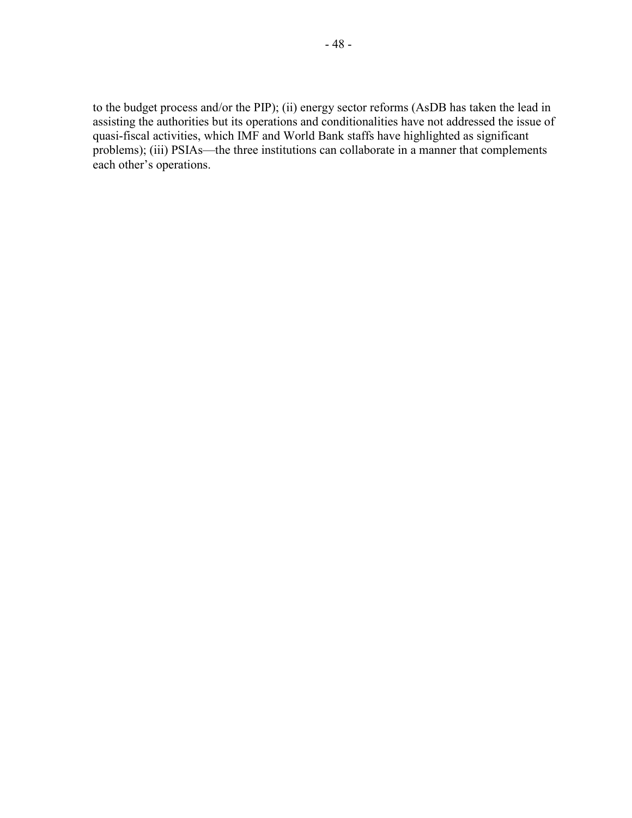to the budget process and/or the PIP); (ii) energy sector reforms (AsDB has taken the lead in assisting the authorities but its operations and conditionalities have not addressed the issue of quasi-fiscal activities, which IMF and World Bank staffs have highlighted as significant problems); (iii) PSIAs—the three institutions can collaborate in a manner that complements each other's operations.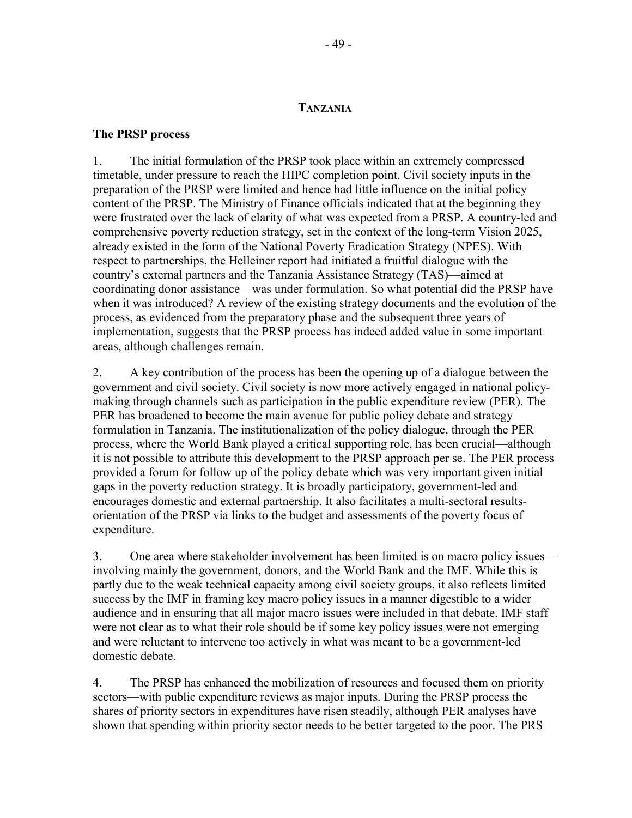#### **TANZANIA**

#### **The PRSP process**

1. The initial formulation of the PRSP took place within an extremely compressed timetable, under pressure to reach the HIPC completion point. Civil society inputs in the preparation of the PRSP were limited and hence had little influence on the initial policy content of the PRSP. The Ministry of Finance officials indicated that at the beginning they were frustrated over the lack of clarity of what was expected from a PRSP. A country-led and comprehensive poverty reduction strategy, set in the context of the long-term Vision 2025, already existed in the form of the National Poverty Eradication Strategy (NPES). With respect to partnerships, the Helleiner report had initiated a fruitful dialogue with the country's external partners and the Tanzania Assistance Strategy (TAS)—aimed at coordinating donor assistance—was under formulation. So what potential did the PRSP have when it was introduced? A review of the existing strategy documents and the evolution of the process, as evidenced from the preparatory phase and the subsequent three years of implementation, suggests that the PRSP process has indeed added value in some important areas, although challenges remain.

2. A key contribution of the process has been the opening up of a dialogue between the government and civil society. Civil society is now more actively engaged in national policymaking through channels such as participation in the public expenditure review (PER). The PER has broadened to become the main avenue for public policy debate and strategy formulation in Tanzania. The institutionalization of the policy dialogue, through the PER process, where the World Bank played a critical supporting role, has been crucial—although it is not possible to attribute this development to the PRSP approach per se. The PER process provided a forum for follow up of the policy debate which was very important given initial gaps in the poverty reduction strategy. It is broadly participatory, government-led and encourages domestic and external partnership. It also facilitates a multi-sectoral resultsorientation of the PRSP via links to the budget and assessments of the poverty focus of expenditure.

3. One area where stakeholder involvement has been limited is on macro policy issues involving mainly the government, donors, and the World Bank and the IMF. While this is partly due to the weak technical capacity among civil society groups, it also reflects limited success by the IMF in framing key macro policy issues in a manner digestible to a wider audience and in ensuring that all major macro issues were included in that debate. IMF staff were not clear as to what their role should be if some key policy issues were not emerging and were reluctant to intervene too actively in what was meant to be a government-led domestic debate.

4. The PRSP has enhanced the mobilization of resources and focused them on priority sectors—with public expenditure reviews as major inputs. During the PRSP process the shares of priority sectors in expenditures have risen steadily, although PER analyses have shown that spending within priority sector needs to be better targeted to the poor. The PRS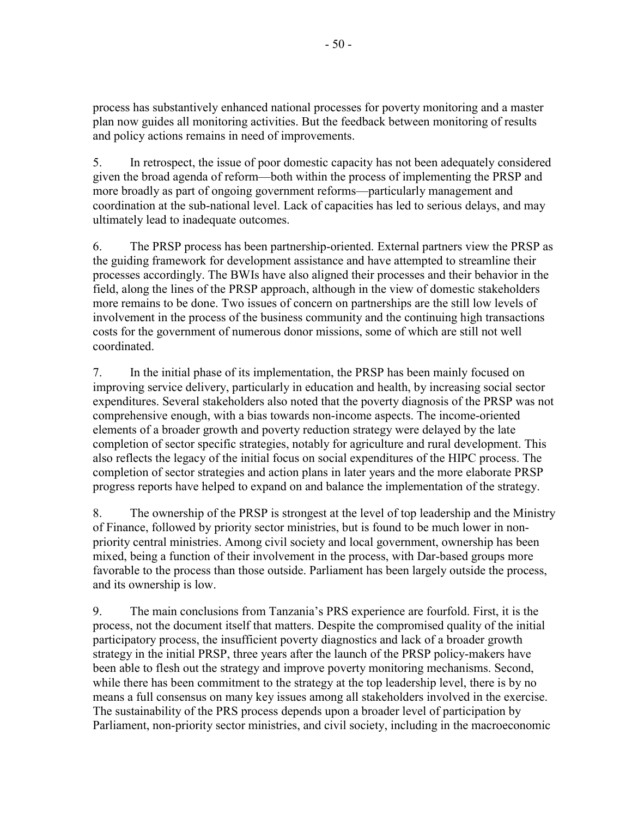process has substantively enhanced national processes for poverty monitoring and a master plan now guides all monitoring activities. But the feedback between monitoring of results and policy actions remains in need of improvements.

5. In retrospect, the issue of poor domestic capacity has not been adequately considered given the broad agenda of reform—both within the process of implementing the PRSP and more broadly as part of ongoing government reforms—particularly management and coordination at the sub-national level. Lack of capacities has led to serious delays, and may ultimately lead to inadequate outcomes.

6. The PRSP process has been partnership-oriented. External partners view the PRSP as the guiding framework for development assistance and have attempted to streamline their processes accordingly. The BWIs have also aligned their processes and their behavior in the field, along the lines of the PRSP approach, although in the view of domestic stakeholders more remains to be done. Two issues of concern on partnerships are the still low levels of involvement in the process of the business community and the continuing high transactions costs for the government of numerous donor missions, some of which are still not well coordinated.

7. In the initial phase of its implementation, the PRSP has been mainly focused on improving service delivery, particularly in education and health, by increasing social sector expenditures. Several stakeholders also noted that the poverty diagnosis of the PRSP was not comprehensive enough, with a bias towards non-income aspects. The income-oriented elements of a broader growth and poverty reduction strategy were delayed by the late completion of sector specific strategies, notably for agriculture and rural development. This also reflects the legacy of the initial focus on social expenditures of the HIPC process. The completion of sector strategies and action plans in later years and the more elaborate PRSP progress reports have helped to expand on and balance the implementation of the strategy.

8. The ownership of the PRSP is strongest at the level of top leadership and the Ministry of Finance, followed by priority sector ministries, but is found to be much lower in nonpriority central ministries. Among civil society and local government, ownership has been mixed, being a function of their involvement in the process, with Dar-based groups more favorable to the process than those outside. Parliament has been largely outside the process, and its ownership is low.

9. The main conclusions from Tanzania's PRS experience are fourfold. First, it is the process, not the document itself that matters. Despite the compromised quality of the initial participatory process, the insufficient poverty diagnostics and lack of a broader growth strategy in the initial PRSP, three years after the launch of the PRSP policy-makers have been able to flesh out the strategy and improve poverty monitoring mechanisms. Second, while there has been commitment to the strategy at the top leadership level, there is by no means a full consensus on many key issues among all stakeholders involved in the exercise. The sustainability of the PRS process depends upon a broader level of participation by Parliament, non-priority sector ministries, and civil society, including in the macroeconomic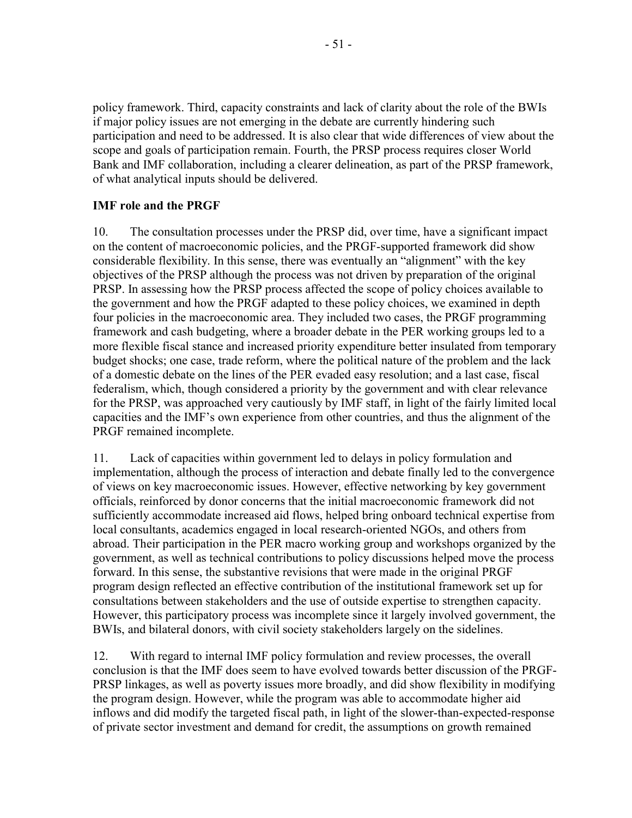policy framework. Third, capacity constraints and lack of clarity about the role of the BWIs if major policy issues are not emerging in the debate are currently hindering such participation and need to be addressed. It is also clear that wide differences of view about the scope and goals of participation remain. Fourth, the PRSP process requires closer World Bank and IMF collaboration, including a clearer delineation, as part of the PRSP framework, of what analytical inputs should be delivered.

#### **IMF role and the PRGF**

10. The consultation processes under the PRSP did, over time, have a significant impact on the content of macroeconomic policies, and the PRGF-supported framework did show considerable flexibility. In this sense, there was eventually an "alignment" with the key objectives of the PRSP although the process was not driven by preparation of the original PRSP. In assessing how the PRSP process affected the scope of policy choices available to the government and how the PRGF adapted to these policy choices, we examined in depth four policies in the macroeconomic area. They included two cases, the PRGF programming framework and cash budgeting, where a broader debate in the PER working groups led to a more flexible fiscal stance and increased priority expenditure better insulated from temporary budget shocks; one case, trade reform, where the political nature of the problem and the lack of a domestic debate on the lines of the PER evaded easy resolution; and a last case, fiscal federalism, which, though considered a priority by the government and with clear relevance for the PRSP, was approached very cautiously by IMF staff, in light of the fairly limited local capacities and the IMF's own experience from other countries, and thus the alignment of the PRGF remained incomplete.

11. Lack of capacities within government led to delays in policy formulation and implementation, although the process of interaction and debate finally led to the convergence of views on key macroeconomic issues. However, effective networking by key government officials, reinforced by donor concerns that the initial macroeconomic framework did not sufficiently accommodate increased aid flows, helped bring onboard technical expertise from local consultants, academics engaged in local research-oriented NGOs, and others from abroad. Their participation in the PER macro working group and workshops organized by the government, as well as technical contributions to policy discussions helped move the process forward. In this sense, the substantive revisions that were made in the original PRGF program design reflected an effective contribution of the institutional framework set up for consultations between stakeholders and the use of outside expertise to strengthen capacity. However, this participatory process was incomplete since it largely involved government, the BWIs, and bilateral donors, with civil society stakeholders largely on the sidelines.

12. With regard to internal IMF policy formulation and review processes, the overall conclusion is that the IMF does seem to have evolved towards better discussion of the PRGF-PRSP linkages, as well as poverty issues more broadly, and did show flexibility in modifying the program design. However, while the program was able to accommodate higher aid inflows and did modify the targeted fiscal path, in light of the slower-than-expected-response of private sector investment and demand for credit, the assumptions on growth remained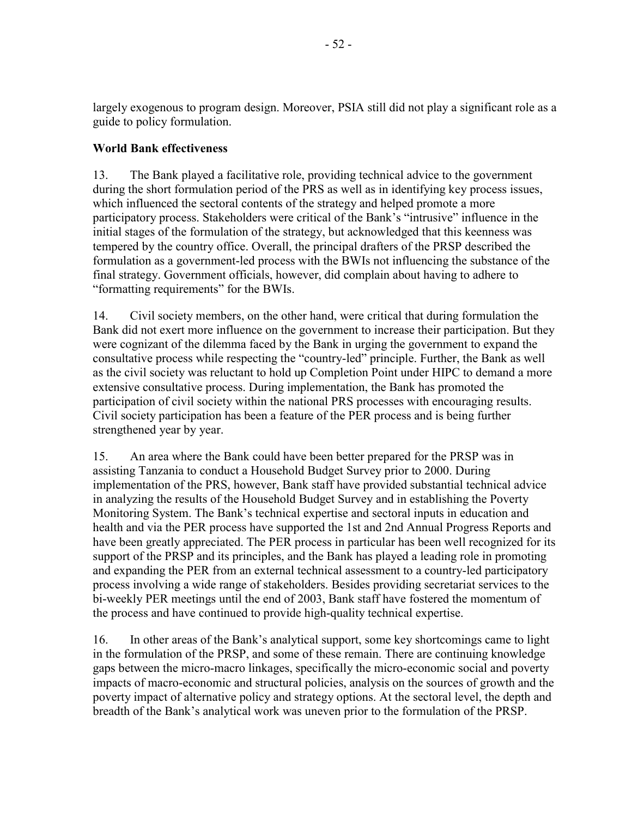largely exogenous to program design. Moreover, PSIA still did not play a significant role as a guide to policy formulation.

### **World Bank effectiveness**

13. The Bank played a facilitative role, providing technical advice to the government during the short formulation period of the PRS as well as in identifying key process issues, which influenced the sectoral contents of the strategy and helped promote a more participatory process. Stakeholders were critical of the Bank's "intrusive" influence in the initial stages of the formulation of the strategy, but acknowledged that this keenness was tempered by the country office. Overall, the principal drafters of the PRSP described the formulation as a government-led process with the BWIs not influencing the substance of the final strategy. Government officials, however, did complain about having to adhere to "formatting requirements" for the BWIs.

14. Civil society members, on the other hand, were critical that during formulation the Bank did not exert more influence on the government to increase their participation. But they were cognizant of the dilemma faced by the Bank in urging the government to expand the consultative process while respecting the "country-led" principle. Further, the Bank as well as the civil society was reluctant to hold up Completion Point under HIPC to demand a more extensive consultative process. During implementation, the Bank has promoted the participation of civil society within the national PRS processes with encouraging results. Civil society participation has been a feature of the PER process and is being further strengthened year by year.

15. An area where the Bank could have been better prepared for the PRSP was in assisting Tanzania to conduct a Household Budget Survey prior to 2000. During implementation of the PRS, however, Bank staff have provided substantial technical advice in analyzing the results of the Household Budget Survey and in establishing the Poverty Monitoring System. The Bank's technical expertise and sectoral inputs in education and health and via the PER process have supported the 1st and 2nd Annual Progress Reports and have been greatly appreciated. The PER process in particular has been well recognized for its support of the PRSP and its principles, and the Bank has played a leading role in promoting and expanding the PER from an external technical assessment to a country-led participatory process involving a wide range of stakeholders. Besides providing secretariat services to the bi-weekly PER meetings until the end of 2003, Bank staff have fostered the momentum of the process and have continued to provide high-quality technical expertise.

16. In other areas of the Bank's analytical support, some key shortcomings came to light in the formulation of the PRSP, and some of these remain. There are continuing knowledge gaps between the micro-macro linkages, specifically the micro-economic social and poverty impacts of macro-economic and structural policies, analysis on the sources of growth and the poverty impact of alternative policy and strategy options. At the sectoral level, the depth and breadth of the Bank's analytical work was uneven prior to the formulation of the PRSP.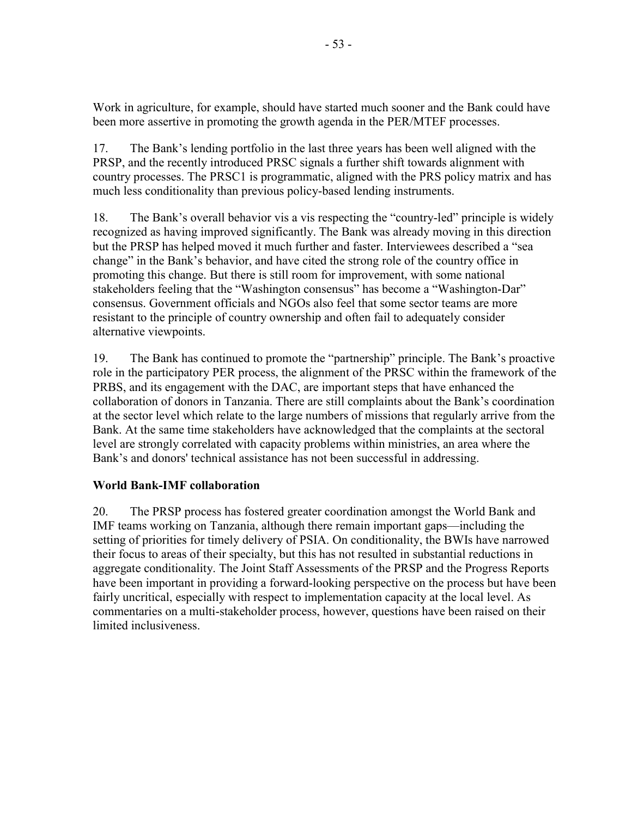Work in agriculture, for example, should have started much sooner and the Bank could have been more assertive in promoting the growth agenda in the PER/MTEF processes.

17. The Bank's lending portfolio in the last three years has been well aligned with the PRSP, and the recently introduced PRSC signals a further shift towards alignment with country processes. The PRSC1 is programmatic, aligned with the PRS policy matrix and has much less conditionality than previous policy-based lending instruments.

18. The Bank's overall behavior vis a vis respecting the "country-led" principle is widely recognized as having improved significantly. The Bank was already moving in this direction but the PRSP has helped moved it much further and faster. Interviewees described a "sea change" in the Bank's behavior, and have cited the strong role of the country office in promoting this change. But there is still room for improvement, with some national stakeholders feeling that the "Washington consensus" has become a "Washington-Dar" consensus. Government officials and NGOs also feel that some sector teams are more resistant to the principle of country ownership and often fail to adequately consider alternative viewpoints.

19. The Bank has continued to promote the "partnership" principle. The Bank's proactive role in the participatory PER process, the alignment of the PRSC within the framework of the PRBS, and its engagement with the DAC, are important steps that have enhanced the collaboration of donors in Tanzania. There are still complaints about the Bank's coordination at the sector level which relate to the large numbers of missions that regularly arrive from the Bank. At the same time stakeholders have acknowledged that the complaints at the sectoral level are strongly correlated with capacity problems within ministries, an area where the Bank's and donors' technical assistance has not been successful in addressing.

### **World Bank-IMF collaboration**

20. The PRSP process has fostered greater coordination amongst the World Bank and IMF teams working on Tanzania, although there remain important gaps—including the setting of priorities for timely delivery of PSIA. On conditionality, the BWIs have narrowed their focus to areas of their specialty, but this has not resulted in substantial reductions in aggregate conditionality. The Joint Staff Assessments of the PRSP and the Progress Reports have been important in providing a forward-looking perspective on the process but have been fairly uncritical, especially with respect to implementation capacity at the local level. As commentaries on a multi-stakeholder process, however, questions have been raised on their limited inclusiveness.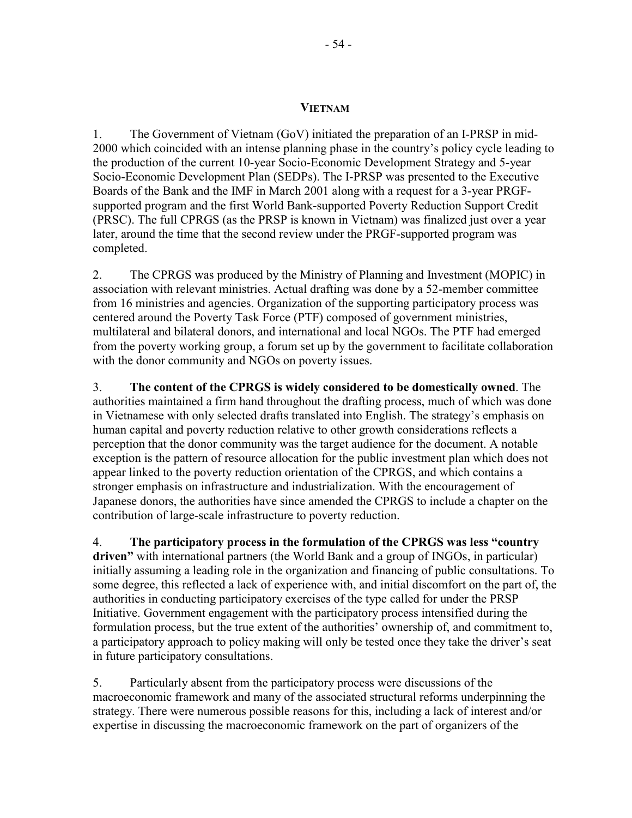#### **VIETNAM**

1. The Government of Vietnam (GoV) initiated the preparation of an I-PRSP in mid-2000 which coincided with an intense planning phase in the country's policy cycle leading to the production of the current 10-year Socio-Economic Development Strategy and 5-year Socio-Economic Development Plan (SEDPs). The I-PRSP was presented to the Executive Boards of the Bank and the IMF in March 2001 along with a request for a 3-year PRGFsupported program and the first World Bank-supported Poverty Reduction Support Credit (PRSC). The full CPRGS (as the PRSP is known in Vietnam) was finalized just over a year later, around the time that the second review under the PRGF-supported program was completed.

2. The CPRGS was produced by the Ministry of Planning and Investment (MOPIC) in association with relevant ministries. Actual drafting was done by a 52-member committee from 16 ministries and agencies. Organization of the supporting participatory process was centered around the Poverty Task Force (PTF) composed of government ministries, multilateral and bilateral donors, and international and local NGOs. The PTF had emerged from the poverty working group, a forum set up by the government to facilitate collaboration with the donor community and NGOs on poverty issues.

3. **The content of the CPRGS is widely considered to be domestically owned**. The authorities maintained a firm hand throughout the drafting process, much of which was done in Vietnamese with only selected drafts translated into English. The strategy's emphasis on human capital and poverty reduction relative to other growth considerations reflects a perception that the donor community was the target audience for the document. A notable exception is the pattern of resource allocation for the public investment plan which does not appear linked to the poverty reduction orientation of the CPRGS, and which contains a stronger emphasis on infrastructure and industrialization. With the encouragement of Japanese donors, the authorities have since amended the CPRGS to include a chapter on the contribution of large-scale infrastructure to poverty reduction.

4. **The participatory process in the formulation of the CPRGS was less "country driven"** with international partners (the World Bank and a group of INGOs, in particular) initially assuming a leading role in the organization and financing of public consultations. To some degree, this reflected a lack of experience with, and initial discomfort on the part of, the authorities in conducting participatory exercises of the type called for under the PRSP Initiative. Government engagement with the participatory process intensified during the formulation process, but the true extent of the authorities' ownership of, and commitment to, a participatory approach to policy making will only be tested once they take the driver's seat in future participatory consultations.

5. Particularly absent from the participatory process were discussions of the macroeconomic framework and many of the associated structural reforms underpinning the strategy. There were numerous possible reasons for this, including a lack of interest and/or expertise in discussing the macroeconomic framework on the part of organizers of the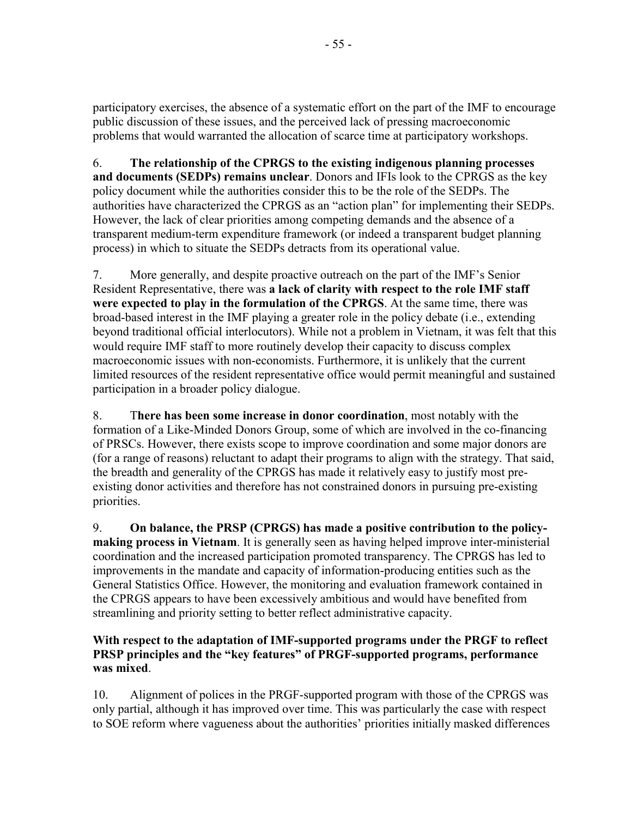participatory exercises, the absence of a systematic effort on the part of the IMF to encourage public discussion of these issues, and the perceived lack of pressing macroeconomic problems that would warranted the allocation of scarce time at participatory workshops.

6. **The relationship of the CPRGS to the existing indigenous planning processes and documents (SEDPs) remains unclear**. Donors and IFIs look to the CPRGS as the key policy document while the authorities consider this to be the role of the SEDPs. The authorities have characterized the CPRGS as an "action plan" for implementing their SEDPs. However, the lack of clear priorities among competing demands and the absence of a transparent medium-term expenditure framework (or indeed a transparent budget planning process) in which to situate the SEDPs detracts from its operational value.

7. More generally, and despite proactive outreach on the part of the IMF's Senior Resident Representative, there was **a lack of clarity with respect to the role IMF staff were expected to play in the formulation of the CPRGS**. At the same time, there was broad-based interest in the IMF playing a greater role in the policy debate (i.e., extending beyond traditional official interlocutors). While not a problem in Vietnam, it was felt that this would require IMF staff to more routinely develop their capacity to discuss complex macroeconomic issues with non-economists. Furthermore, it is unlikely that the current limited resources of the resident representative office would permit meaningful and sustained participation in a broader policy dialogue.

8. T**here has been some increase in donor coordination**, most notably with the formation of a Like-Minded Donors Group, some of which are involved in the co-financing of PRSCs. However, there exists scope to improve coordination and some major donors are (for a range of reasons) reluctant to adapt their programs to align with the strategy. That said, the breadth and generality of the CPRGS has made it relatively easy to justify most preexisting donor activities and therefore has not constrained donors in pursuing pre-existing priorities.

9. **On balance, the PRSP (CPRGS) has made a positive contribution to the policymaking process in Vietnam**. It is generally seen as having helped improve inter-ministerial coordination and the increased participation promoted transparency. The CPRGS has led to improvements in the mandate and capacity of information-producing entities such as the General Statistics Office. However, the monitoring and evaluation framework contained in the CPRGS appears to have been excessively ambitious and would have benefited from streamlining and priority setting to better reflect administrative capacity.

### **With respect to the adaptation of IMF-supported programs under the PRGF to reflect PRSP principles and the "key features" of PRGF-supported programs, performance was mixed**.

10. Alignment of polices in the PRGF-supported program with those of the CPRGS was only partial, although it has improved over time. This was particularly the case with respect to SOE reform where vagueness about the authorities' priorities initially masked differences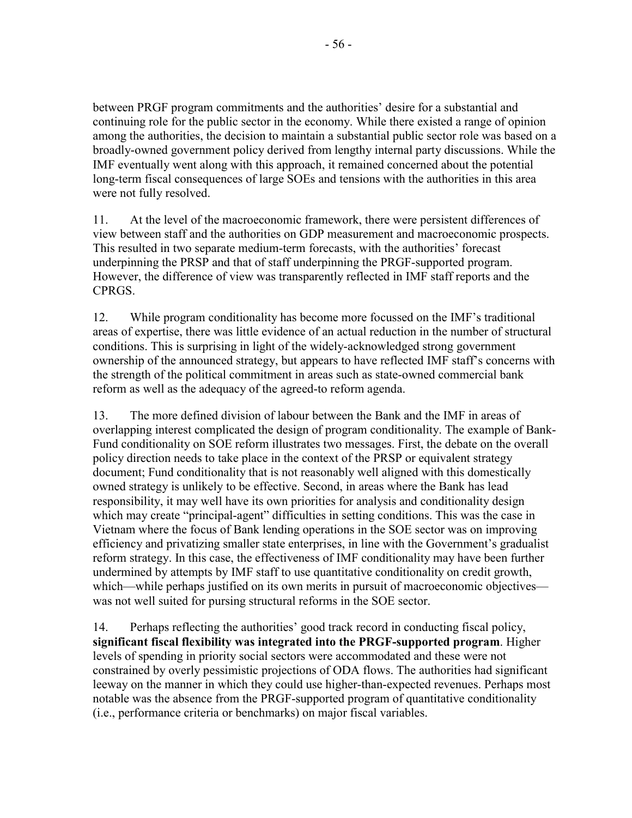between PRGF program commitments and the authorities' desire for a substantial and continuing role for the public sector in the economy. While there existed a range of opinion among the authorities, the decision to maintain a substantial public sector role was based on a broadly-owned government policy derived from lengthy internal party discussions. While the IMF eventually went along with this approach, it remained concerned about the potential long-term fiscal consequences of large SOEs and tensions with the authorities in this area were not fully resolved.

11. At the level of the macroeconomic framework, there were persistent differences of view between staff and the authorities on GDP measurement and macroeconomic prospects. This resulted in two separate medium-term forecasts, with the authorities' forecast underpinning the PRSP and that of staff underpinning the PRGF-supported program. However, the difference of view was transparently reflected in IMF staff reports and the CPRGS.

12. While program conditionality has become more focussed on the IMF's traditional areas of expertise, there was little evidence of an actual reduction in the number of structural conditions. This is surprising in light of the widely-acknowledged strong government ownership of the announced strategy, but appears to have reflected IMF staff's concerns with the strength of the political commitment in areas such as state-owned commercial bank reform as well as the adequacy of the agreed-to reform agenda.

13. The more defined division of labour between the Bank and the IMF in areas of overlapping interest complicated the design of program conditionality. The example of Bank-Fund conditionality on SOE reform illustrates two messages. First, the debate on the overall policy direction needs to take place in the context of the PRSP or equivalent strategy document; Fund conditionality that is not reasonably well aligned with this domestically owned strategy is unlikely to be effective. Second, in areas where the Bank has lead responsibility, it may well have its own priorities for analysis and conditionality design which may create "principal-agent" difficulties in setting conditions. This was the case in Vietnam where the focus of Bank lending operations in the SOE sector was on improving efficiency and privatizing smaller state enterprises, in line with the Government's gradualist reform strategy. In this case, the effectiveness of IMF conditionality may have been further undermined by attempts by IMF staff to use quantitative conditionality on credit growth, which—while perhaps justified on its own merits in pursuit of macroeconomic objectives was not well suited for pursing structural reforms in the SOE sector.

14. Perhaps reflecting the authorities' good track record in conducting fiscal policy, **significant fiscal flexibility was integrated into the PRGF-supported program**. Higher levels of spending in priority social sectors were accommodated and these were not constrained by overly pessimistic projections of ODA flows. The authorities had significant leeway on the manner in which they could use higher-than-expected revenues. Perhaps most notable was the absence from the PRGF-supported program of quantitative conditionality (i.e., performance criteria or benchmarks) on major fiscal variables.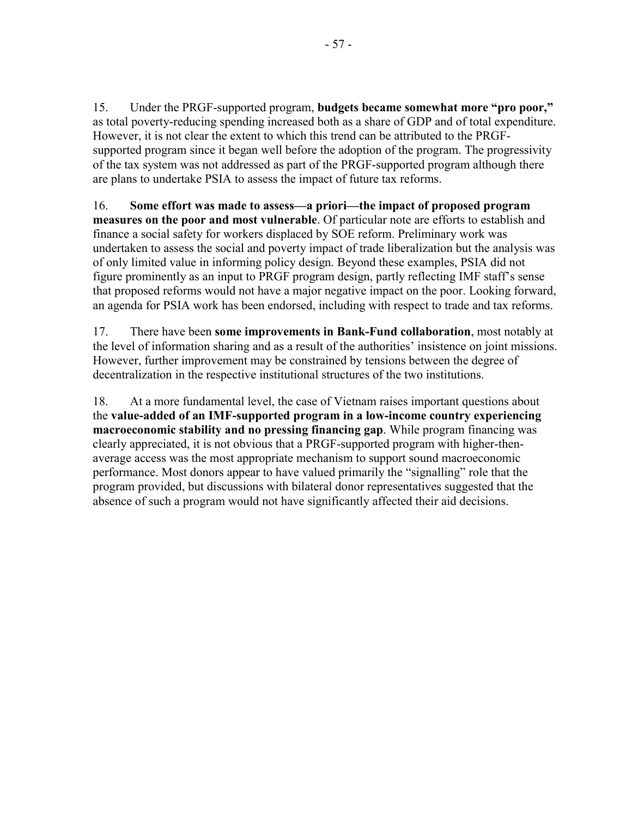15. Under the PRGF-supported program, **budgets became somewhat more "pro poor,"** as total poverty-reducing spending increased both as a share of GDP and of total expenditure. However, it is not clear the extent to which this trend can be attributed to the PRGFsupported program since it began well before the adoption of the program. The progressivity of the tax system was not addressed as part of the PRGF-supported program although there are plans to undertake PSIA to assess the impact of future tax reforms.

16. **Some effort was made to assess—a priori—the impact of proposed program measures on the poor and most vulnerable**. Of particular note are efforts to establish and finance a social safety for workers displaced by SOE reform. Preliminary work was undertaken to assess the social and poverty impact of trade liberalization but the analysis was of only limited value in informing policy design. Beyond these examples, PSIA did not figure prominently as an input to PRGF program design, partly reflecting IMF staff's sense that proposed reforms would not have a major negative impact on the poor. Looking forward, an agenda for PSIA work has been endorsed, including with respect to trade and tax reforms.

17. There have been **some improvements in Bank-Fund collaboration**, most notably at the level of information sharing and as a result of the authorities' insistence on joint missions. However, further improvement may be constrained by tensions between the degree of decentralization in the respective institutional structures of the two institutions.

18. At a more fundamental level, the case of Vietnam raises important questions about the **value-added of an IMF-supported program in a low-income country experiencing macroeconomic stability and no pressing financing gap**. While program financing was clearly appreciated, it is not obvious that a PRGF-supported program with higher-thenaverage access was the most appropriate mechanism to support sound macroeconomic performance. Most donors appear to have valued primarily the "signalling" role that the program provided, but discussions with bilateral donor representatives suggested that the absence of such a program would not have significantly affected their aid decisions.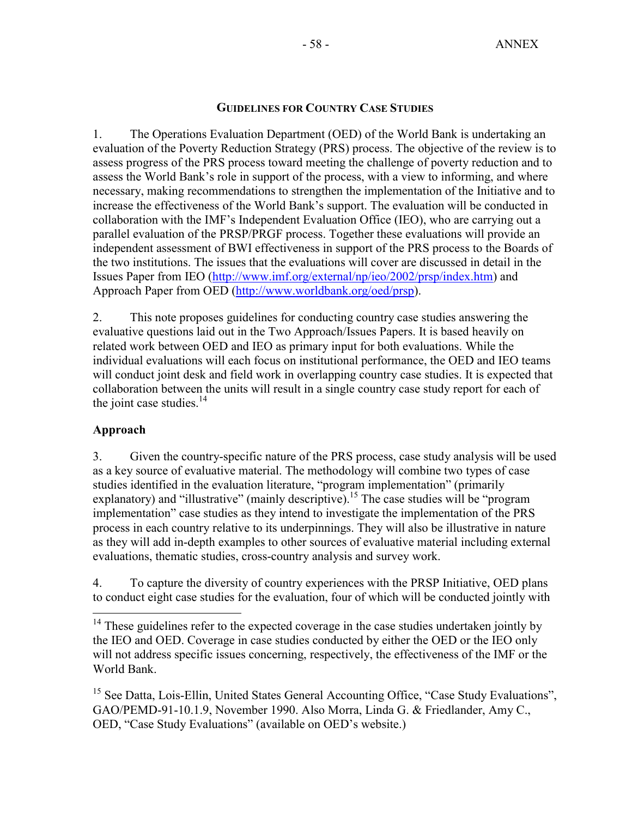#### **GUIDELINES FOR COUNTRY CASE STUDIES**

1. The Operations Evaluation Department (OED) of the World Bank is undertaking an evaluation of the Poverty Reduction Strategy (PRS) process. The objective of the review is to assess progress of the PRS process toward meeting the challenge of poverty reduction and to assess the World Bank's role in support of the process, with a view to informing, and where necessary, making recommendations to strengthen the implementation of the Initiative and to increase the effectiveness of the World Bank's support. The evaluation will be conducted in collaboration with the IMF's Independent Evaluation Office (IEO), who are carrying out a parallel evaluation of the PRSP/PRGF process. Together these evaluations will provide an independent assessment of BWI effectiveness in support of the PRS process to the Boards of the two institutions. The issues that the evaluations will cover are discussed in detail in the Issues Paper from IEO (http://www.imf.org/external/np/ieo/2002/prsp/index.htm) and Approach Paper from OED (http://www.worldbank.org/oed/prsp).

2. This note proposes guidelines for conducting country case studies answering the evaluative questions laid out in the Two Approach/Issues Papers. It is based heavily on related work between OED and IEO as primary input for both evaluations. While the individual evaluations will each focus on institutional performance, the OED and IEO teams will conduct joint desk and field work in overlapping country case studies. It is expected that collaboration between the units will result in a single country case study report for each of the joint case studies. $14$ 

## **Approach**

 $\overline{a}$ 

3. Given the country-specific nature of the PRS process, case study analysis will be used as a key source of evaluative material. The methodology will combine two types of case studies identified in the evaluation literature, "program implementation" (primarily explanatory) and "illustrative" (mainly descriptive).<sup>15</sup> The case studies will be "program" implementation" case studies as they intend to investigate the implementation of the PRS process in each country relative to its underpinnings. They will also be illustrative in nature as they will add in-depth examples to other sources of evaluative material including external evaluations, thematic studies, cross-country analysis and survey work.

4. To capture the diversity of country experiences with the PRSP Initiative, OED plans to conduct eight case studies for the evaluation, four of which will be conducted jointly with

<sup>15</sup> See Datta, Lois-Ellin, United States General Accounting Office, "Case Study Evaluations", GAO/PEMD-91-10.1.9, November 1990. Also Morra, Linda G. & Friedlander, Amy C., OED, "Case Study Evaluations" (available on OED's website.)

 $14$  These guidelines refer to the expected coverage in the case studies undertaken jointly by the IEO and OED. Coverage in case studies conducted by either the OED or the IEO only will not address specific issues concerning, respectively, the effectiveness of the IMF or the World Bank.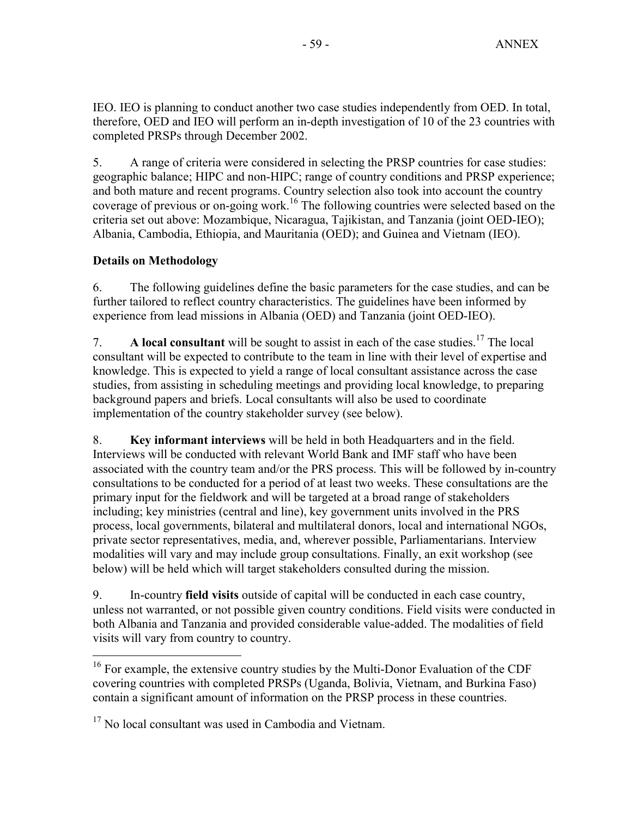IEO. IEO is planning to conduct another two case studies independently from OED. In total, therefore, OED and IEO will perform an in-depth investigation of 10 of the 23 countries with completed PRSPs through December 2002.

5. A range of criteria were considered in selecting the PRSP countries for case studies: geographic balance; HIPC and non-HIPC; range of country conditions and PRSP experience; and both mature and recent programs. Country selection also took into account the country coverage of previous or on-going work.<sup>16</sup> The following countries were selected based on the criteria set out above: Mozambique, Nicaragua, Tajikistan, and Tanzania (joint OED-IEO); Albania, Cambodia, Ethiopia, and Mauritania (OED); and Guinea and Vietnam (IEO).

### **Details on Methodology**

 $\overline{a}$ 

6. The following guidelines define the basic parameters for the case studies, and can be further tailored to reflect country characteristics. The guidelines have been informed by experience from lead missions in Albania (OED) and Tanzania (joint OED-IEO).

7. **A local consultant** will be sought to assist in each of the case studies.<sup>17</sup> The local consultant will be expected to contribute to the team in line with their level of expertise and knowledge. This is expected to yield a range of local consultant assistance across the case studies, from assisting in scheduling meetings and providing local knowledge, to preparing background papers and briefs. Local consultants will also be used to coordinate implementation of the country stakeholder survey (see below).

8. **Key informant interviews** will be held in both Headquarters and in the field. Interviews will be conducted with relevant World Bank and IMF staff who have been associated with the country team and/or the PRS process. This will be followed by in-country consultations to be conducted for a period of at least two weeks. These consultations are the primary input for the fieldwork and will be targeted at a broad range of stakeholders including; key ministries (central and line), key government units involved in the PRS process, local governments, bilateral and multilateral donors, local and international NGOs, private sector representatives, media, and, wherever possible, Parliamentarians. Interview modalities will vary and may include group consultations. Finally, an exit workshop (see below) will be held which will target stakeholders consulted during the mission.

9. In-country **field visits** outside of capital will be conducted in each case country, unless not warranted, or not possible given country conditions. Field visits were conducted in both Albania and Tanzania and provided considerable value-added. The modalities of field visits will vary from country to country.

 $16$  For example, the extensive country studies by the Multi-Donor Evaluation of the CDF covering countries with completed PRSPs (Uganda, Bolivia, Vietnam, and Burkina Faso) contain a significant amount of information on the PRSP process in these countries.

 $17$  No local consultant was used in Cambodia and Vietnam.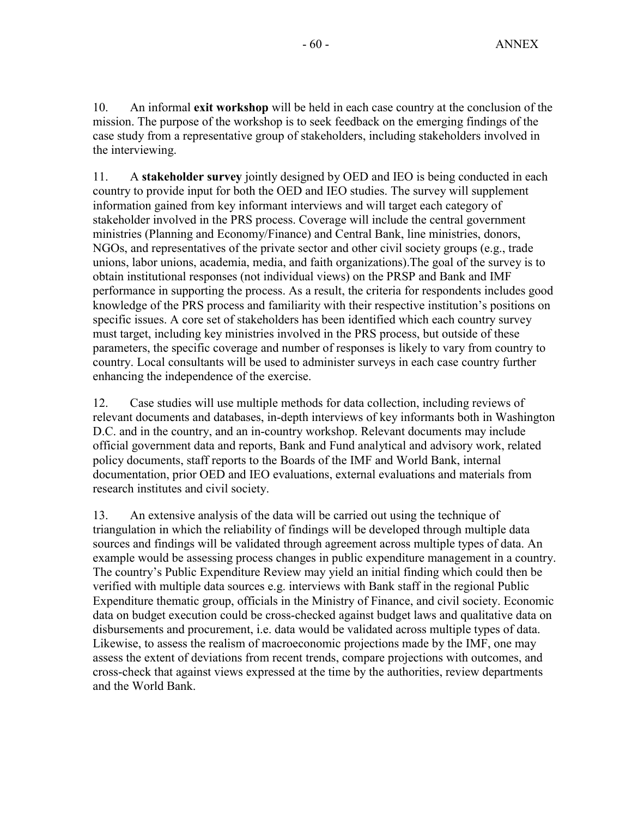10. An informal **exit workshop** will be held in each case country at the conclusion of the mission. The purpose of the workshop is to seek feedback on the emerging findings of the case study from a representative group of stakeholders, including stakeholders involved in the interviewing.

11. A **stakeholder survey** jointly designed by OED and IEO is being conducted in each country to provide input for both the OED and IEO studies. The survey will supplement information gained from key informant interviews and will target each category of stakeholder involved in the PRS process. Coverage will include the central government ministries (Planning and Economy/Finance) and Central Bank, line ministries, donors, NGOs, and representatives of the private sector and other civil society groups (e.g., trade unions, labor unions, academia, media, and faith organizations).The goal of the survey is to obtain institutional responses (not individual views) on the PRSP and Bank and IMF performance in supporting the process. As a result, the criteria for respondents includes good knowledge of the PRS process and familiarity with their respective institution's positions on specific issues. A core set of stakeholders has been identified which each country survey must target, including key ministries involved in the PRS process, but outside of these parameters, the specific coverage and number of responses is likely to vary from country to country. Local consultants will be used to administer surveys in each case country further enhancing the independence of the exercise.

12. Case studies will use multiple methods for data collection, including reviews of relevant documents and databases, in-depth interviews of key informants both in Washington D.C. and in the country, and an in-country workshop. Relevant documents may include official government data and reports, Bank and Fund analytical and advisory work, related policy documents, staff reports to the Boards of the IMF and World Bank, internal documentation, prior OED and IEO evaluations, external evaluations and materials from research institutes and civil society.

13. An extensive analysis of the data will be carried out using the technique of triangulation in which the reliability of findings will be developed through multiple data sources and findings will be validated through agreement across multiple types of data. An example would be assessing process changes in public expenditure management in a country. The country's Public Expenditure Review may yield an initial finding which could then be verified with multiple data sources e.g. interviews with Bank staff in the regional Public Expenditure thematic group, officials in the Ministry of Finance, and civil society. Economic data on budget execution could be cross-checked against budget laws and qualitative data on disbursements and procurement, i.e. data would be validated across multiple types of data. Likewise, to assess the realism of macroeconomic projections made by the IMF, one may assess the extent of deviations from recent trends, compare projections with outcomes, and cross-check that against views expressed at the time by the authorities, review departments and the World Bank.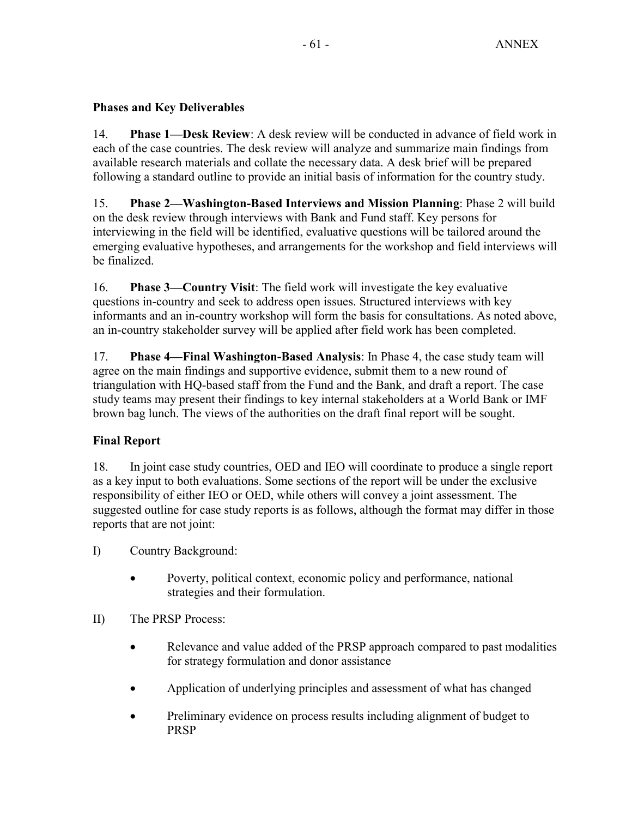## **Phases and Key Deliverables**

14. **Phase 1—Desk Review**: A desk review will be conducted in advance of field work in each of the case countries. The desk review will analyze and summarize main findings from available research materials and collate the necessary data. A desk brief will be prepared following a standard outline to provide an initial basis of information for the country study.

15. **Phase 2—Washington-Based Interviews and Mission Planning**: Phase 2 will build on the desk review through interviews with Bank and Fund staff. Key persons for interviewing in the field will be identified, evaluative questions will be tailored around the emerging evaluative hypotheses, and arrangements for the workshop and field interviews will be finalized.

16. **Phase 3—Country Visit**: The field work will investigate the key evaluative questions in-country and seek to address open issues. Structured interviews with key informants and an in-country workshop will form the basis for consultations. As noted above, an in-country stakeholder survey will be applied after field work has been completed.

17. **Phase 4—Final Washington-Based Analysis**: In Phase 4, the case study team will agree on the main findings and supportive evidence, submit them to a new round of triangulation with HQ-based staff from the Fund and the Bank, and draft a report. The case study teams may present their findings to key internal stakeholders at a World Bank or IMF brown bag lunch. The views of the authorities on the draft final report will be sought.

## **Final Report**

18. In joint case study countries, OED and IEO will coordinate to produce a single report as a key input to both evaluations. Some sections of the report will be under the exclusive responsibility of either IEO or OED, while others will convey a joint assessment. The suggested outline for case study reports is as follows, although the format may differ in those reports that are not joint:

I) Country Background:

- Poverty, political context, economic policy and performance, national strategies and their formulation.
- II) The PRSP Process:
	- Relevance and value added of the PRSP approach compared to past modalities for strategy formulation and donor assistance
	- Application of underlying principles and assessment of what has changed
	- Preliminary evidence on process results including alignment of budget to PRSP